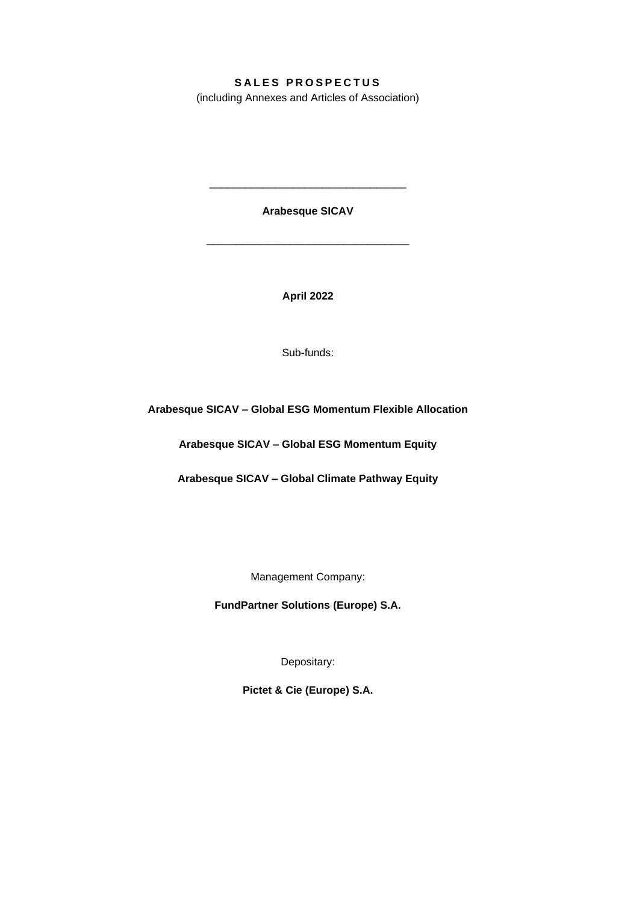# **S A L E S P R O S P E C T U S**

(including Annexes and Articles of Association)

**Arabesque SICAV**

\_\_\_\_\_\_\_\_\_\_\_\_\_\_\_\_\_\_\_\_\_\_\_\_\_\_\_\_\_\_\_\_\_\_

\_\_\_\_\_\_\_\_\_\_\_\_\_\_\_\_\_\_\_\_\_\_\_\_\_\_\_\_\_\_\_\_\_

**April 2022**

Sub-funds:

**Arabesque SICAV – Global ESG Momentum Flexible Allocation**

**Arabesque SICAV – Global ESG Momentum Equity**

**Arabesque SICAV – Global Climate Pathway Equity**

Management Company:

**FundPartner Solutions (Europe) S.A.**

Depositary:

**Pictet & Cie (Europe) S.A.**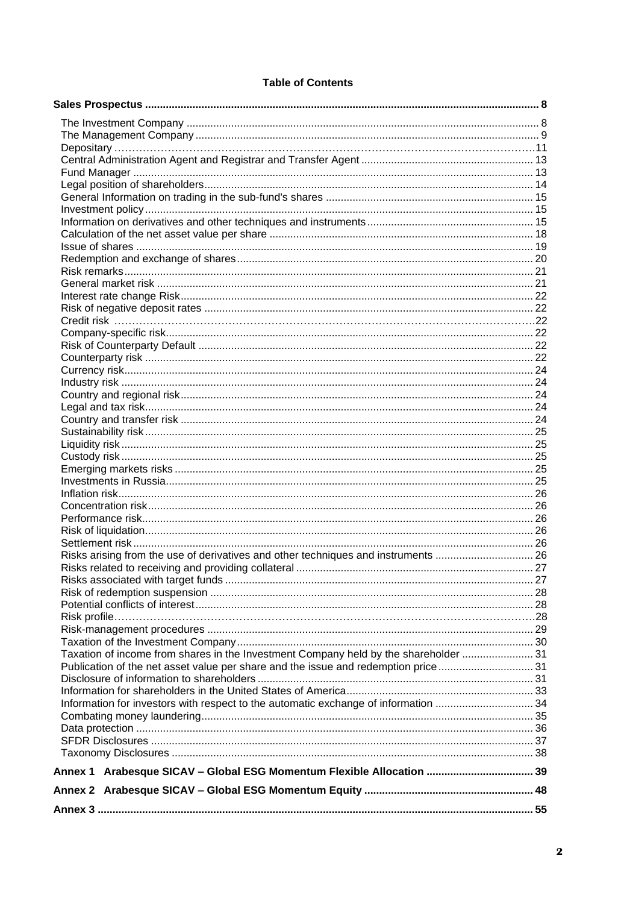### **Table of Contents**

| Risks arising from the use of derivatives and other techniques and instruments 26    |  |
|--------------------------------------------------------------------------------------|--|
|                                                                                      |  |
|                                                                                      |  |
|                                                                                      |  |
|                                                                                      |  |
|                                                                                      |  |
|                                                                                      |  |
|                                                                                      |  |
| Taxation of income from shares in the Investment Company held by the shareholder  31 |  |
| Publication of the net asset value per share and the issue and redemption price  31  |  |
|                                                                                      |  |
|                                                                                      |  |
| Information for investors with respect to the automatic exchange of information  34  |  |
|                                                                                      |  |
|                                                                                      |  |
|                                                                                      |  |
|                                                                                      |  |
| Annex 1 Arabesque SICAV - Global ESG Momentum Flexible Allocation  39                |  |
|                                                                                      |  |
|                                                                                      |  |
|                                                                                      |  |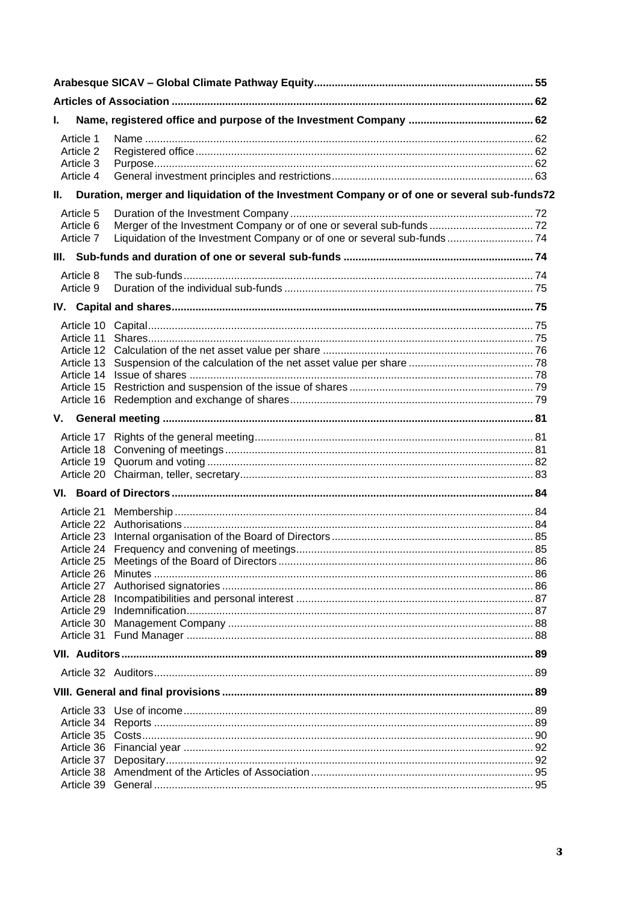| L. |                        |                                                                                             |  |  |
|----|------------------------|---------------------------------------------------------------------------------------------|--|--|
|    | Article 1              |                                                                                             |  |  |
|    | Article 2              |                                                                                             |  |  |
|    | Article 3<br>Article 4 |                                                                                             |  |  |
| Ш. |                        | Duration, merger and liquidation of the Investment Company or of one or several sub-funds72 |  |  |
|    |                        |                                                                                             |  |  |
|    | Article 5<br>Article 6 |                                                                                             |  |  |
|    | Article 7              | Liquidation of the Investment Company or of one or several sub-funds 74                     |  |  |
|    |                        |                                                                                             |  |  |
|    | Article 8              |                                                                                             |  |  |
|    | Article 9              |                                                                                             |  |  |
|    |                        |                                                                                             |  |  |
|    |                        |                                                                                             |  |  |
|    |                        |                                                                                             |  |  |
|    |                        |                                                                                             |  |  |
|    |                        |                                                                                             |  |  |
|    |                        |                                                                                             |  |  |
|    |                        |                                                                                             |  |  |
|    |                        |                                                                                             |  |  |
|    |                        |                                                                                             |  |  |
|    |                        |                                                                                             |  |  |
|    |                        |                                                                                             |  |  |
|    |                        |                                                                                             |  |  |
|    |                        |                                                                                             |  |  |
|    |                        |                                                                                             |  |  |
|    |                        |                                                                                             |  |  |
|    |                        |                                                                                             |  |  |
|    |                        |                                                                                             |  |  |
|    |                        |                                                                                             |  |  |
|    |                        |                                                                                             |  |  |
|    |                        |                                                                                             |  |  |
|    |                        |                                                                                             |  |  |
|    |                        |                                                                                             |  |  |
|    | Article 30             |                                                                                             |  |  |
|    | Article 31             |                                                                                             |  |  |
|    |                        |                                                                                             |  |  |
|    |                        |                                                                                             |  |  |
|    |                        |                                                                                             |  |  |
|    |                        |                                                                                             |  |  |
|    |                        |                                                                                             |  |  |
|    |                        |                                                                                             |  |  |
|    |                        |                                                                                             |  |  |
|    |                        |                                                                                             |  |  |
|    |                        |                                                                                             |  |  |
|    |                        |                                                                                             |  |  |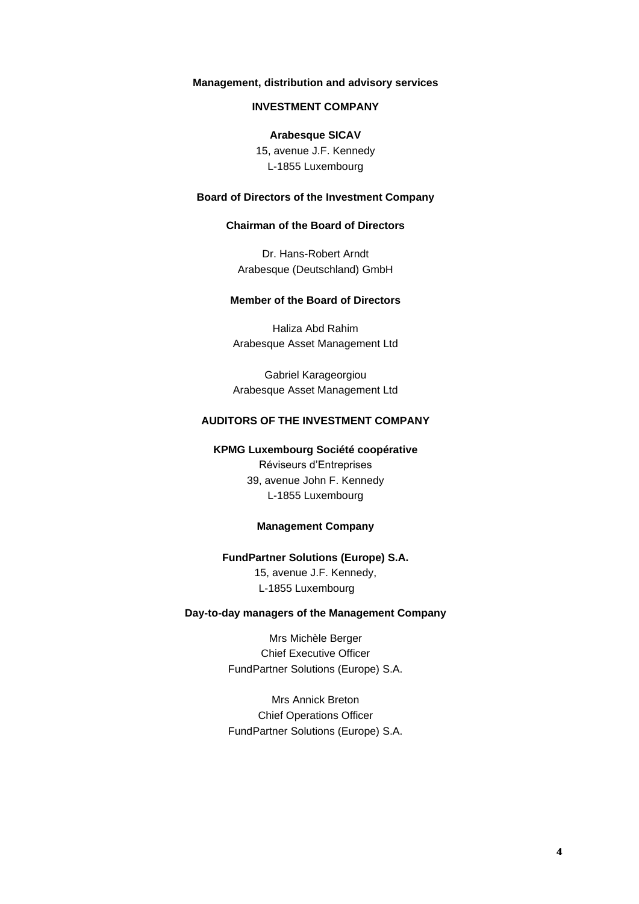### **Management, distribution and advisory services**

#### **INVESTMENT COMPANY**

#### **Arabesque SICAV**

15, avenue J.F. Kennedy L-1855 Luxembourg

### **Board of Directors of the Investment Company**

#### **Chairman of the Board of Directors**

Dr. Hans-Robert Arndt Arabesque (Deutschland) GmbH

### **Member of the Board of Directors**

Haliza Abd Rahim Arabesque Asset Management Ltd

Gabriel Karageorgiou Arabesque Asset Management Ltd

### **AUDITORS OF THE INVESTMENT COMPANY**

#### **KPMG Luxembourg Société coopérative** Réviseurs d'Entreprises

39, avenue John F. Kennedy L-1855 Luxembourg

#### **Management Company**

#### **FundPartner Solutions (Europe) S.A.**

15, avenue J.F. Kennedy, L-1855 Luxembourg

### **Day-to-day managers of the Management Company**

Mrs Michèle Berger Chief Executive Officer FundPartner Solutions (Europe) S.A.

Mrs Annick Breton Chief Operations Officer FundPartner Solutions (Europe) S.A.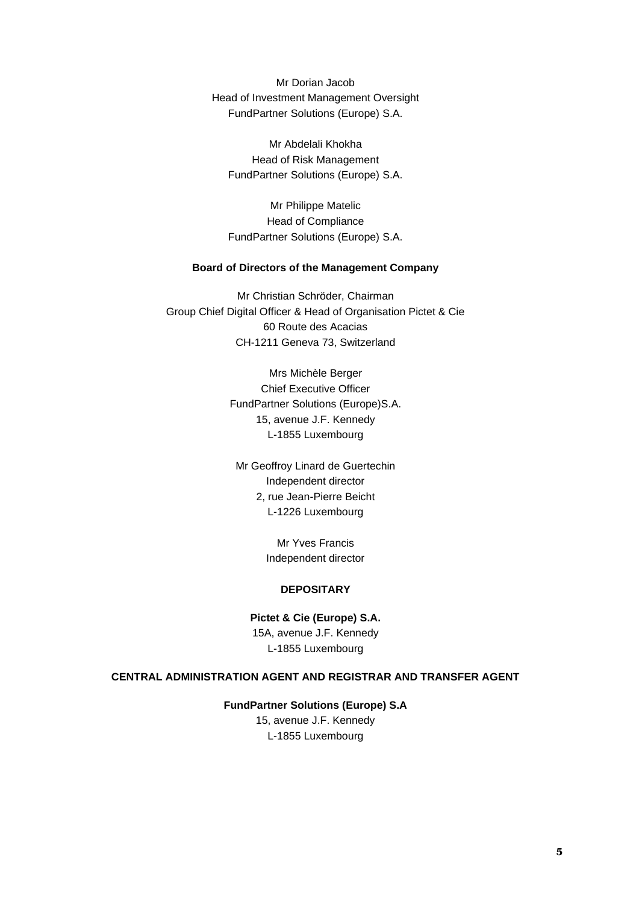Mr Dorian Jacob Head of Investment Management Oversight FundPartner Solutions (Europe) S.A.

Mr Abdelali Khokha Head of Risk Management FundPartner Solutions (Europe) S.A.

Mr Philippe Matelic Head of Compliance FundPartner Solutions (Europe) S.A.

#### **Board of Directors of the Management Company**

Mr Christian Schröder, Chairman Group Chief Digital Officer & Head of Organisation Pictet & Cie 60 Route des Acacias CH-1211 Geneva 73, Switzerland

> Mrs Michèle Berger Chief Executive Officer FundPartner Solutions (Europe)S.A. 15, avenue J.F. Kennedy L-1855 Luxembourg

Mr Geoffroy Linard de Guertechin Independent director 2, rue Jean-Pierre Beicht L-1226 Luxembourg

> Mr Yves Francis Independent director

#### **DEPOSITARY**

**Pictet & Cie (Europe) S.A.** 15A, avenue J.F. Kennedy L-1855 Luxembourg

### **CENTRAL ADMINISTRATION AGENT AND REGISTRAR AND TRANSFER AGENT**

#### **FundPartner Solutions (Europe) S.A**

15, avenue J.F. Kennedy L-1855 Luxembourg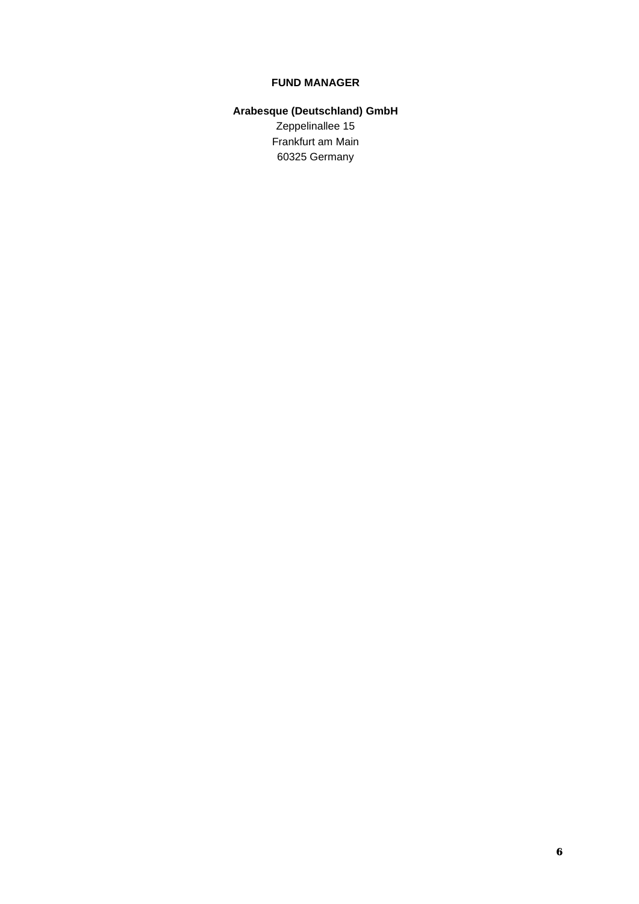### **FUND MANAGER**

# **Arabesque (Deutschland) GmbH** Zeppelinallee 15 Frankfurt am Main 60325 Germany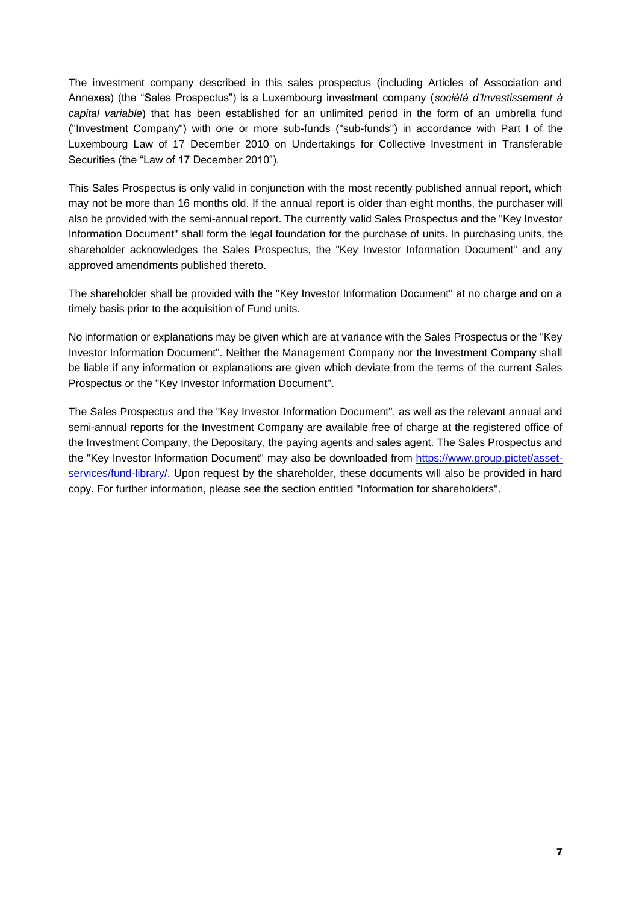The investment company described in this sales prospectus (including Articles of Association and Annexes) (the "Sales Prospectus") is a Luxembourg investment company (*société d'Investissement à capital variable*) that has been established for an unlimited period in the form of an umbrella fund ("Investment Company") with one or more sub-funds ("sub-funds") in accordance with Part I of the Luxembourg Law of 17 December 2010 on Undertakings for Collective Investment in Transferable Securities (the "Law of 17 December 2010").

This Sales Prospectus is only valid in conjunction with the most recently published annual report, which may not be more than 16 months old. If the annual report is older than eight months, the purchaser will also be provided with the semi-annual report. The currently valid Sales Prospectus and the "Key Investor Information Document" shall form the legal foundation for the purchase of units. In purchasing units, the shareholder acknowledges the Sales Prospectus, the "Key Investor Information Document" and any approved amendments published thereto.

The shareholder shall be provided with the "Key Investor Information Document" at no charge and on a timely basis prior to the acquisition of Fund units.

No information or explanations may be given which are at variance with the Sales Prospectus or the "Key Investor Information Document". Neither the Management Company nor the Investment Company shall be liable if any information or explanations are given which deviate from the terms of the current Sales Prospectus or the "Key Investor Information Document".

The Sales Prospectus and the "Key Investor Information Document", as well as the relevant annual and semi-annual reports for the Investment Company are available free of charge at the registered office of the Investment Company, the Depositary, the paying agents and sales agent. The Sales Prospectus and the "Key Investor Information Document" may also be downloaded from [https://www.group.pictet/asset](https://gbr01.safelinks.protection.outlook.com/?url=https%3A%2F%2Fwww.group.pictet%2Fasset-services%2Ffund-library%2F&data=02%7C01%7CMatthieu.Chambon%40simmons-simmons.com%7Cf51558d7b03648bc6b9008d82739e440%7C9c0035ef4799443f8b14c5d60303e8cd%7C0%7C0%7C637302476898840042&sdata=JyrD%2FMz3IHKegN6v7Wf2%2BnSdCotd2zgowbbkVGI2pl0%3D&reserved=0)[services/fund-library/.](https://gbr01.safelinks.protection.outlook.com/?url=https%3A%2F%2Fwww.group.pictet%2Fasset-services%2Ffund-library%2F&data=02%7C01%7CMatthieu.Chambon%40simmons-simmons.com%7Cf51558d7b03648bc6b9008d82739e440%7C9c0035ef4799443f8b14c5d60303e8cd%7C0%7C0%7C637302476898840042&sdata=JyrD%2FMz3IHKegN6v7Wf2%2BnSdCotd2zgowbbkVGI2pl0%3D&reserved=0) Upon request by the shareholder, these documents will also be provided in hard copy. For further information, please see the section entitled "Information for shareholders".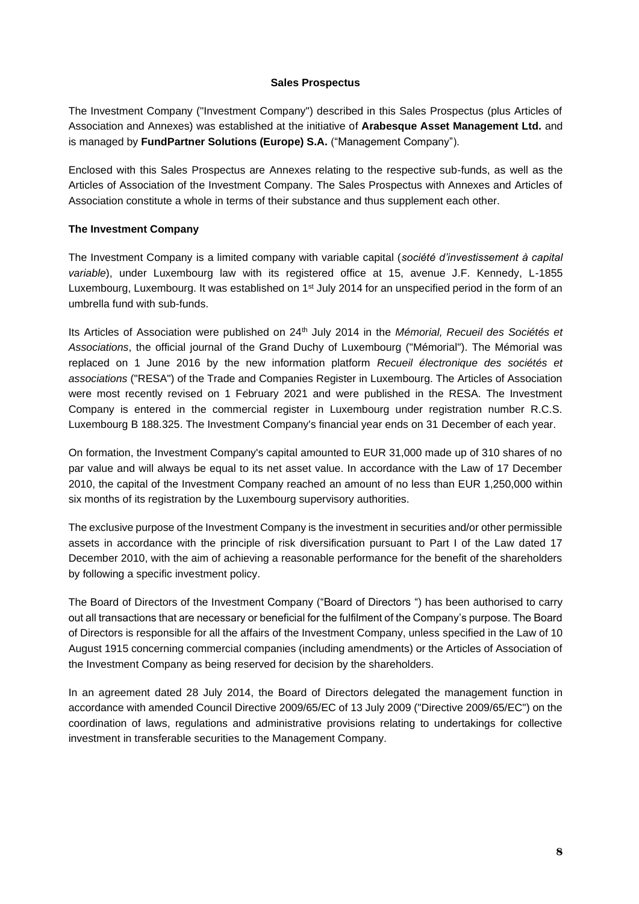#### **Sales Prospectus**

The Investment Company ("Investment Company") described in this Sales Prospectus (plus Articles of Association and Annexes) was established at the initiative of **Arabesque Asset Management Ltd.** and is managed by **FundPartner Solutions (Europe) S.A.** ("Management Company").

Enclosed with this Sales Prospectus are Annexes relating to the respective sub-funds, as well as the Articles of Association of the Investment Company. The Sales Prospectus with Annexes and Articles of Association constitute a whole in terms of their substance and thus supplement each other.

### **The Investment Company**

The Investment Company is a limited company with variable capital (*société d'investissement à capital variable*), under Luxembourg law with its registered office at 15, avenue J.F. Kennedy, L-1855 Luxembourg, Luxembourg. It was established on 1<sup>st</sup> July 2014 for an unspecified period in the form of an umbrella fund with sub-funds.

Its Articles of Association were published on 24<sup>th</sup> July 2014 in the *Mémorial, Recueil des Sociétés et Associations*, the official journal of the Grand Duchy of Luxembourg ("Mémorial"). The Mémorial was replaced on 1 June 2016 by the new information platform *Recueil électronique des sociétés et associations* ("RESA") of the Trade and Companies Register in Luxembourg. The Articles of Association were most recently revised on 1 February 2021 and were published in the RESA. The Investment Company is entered in the commercial register in Luxembourg under registration number R.C.S. Luxembourg B 188.325. The Investment Company's financial year ends on 31 December of each year.

On formation, the Investment Company's capital amounted to EUR 31,000 made up of 310 shares of no par value and will always be equal to its net asset value. In accordance with the Law of 17 December 2010, the capital of the Investment Company reached an amount of no less than EUR 1,250,000 within six months of its registration by the Luxembourg supervisory authorities.

The exclusive purpose of the Investment Company is the investment in securities and/or other permissible assets in accordance with the principle of risk diversification pursuant to Part I of the Law dated 17 December 2010, with the aim of achieving a reasonable performance for the benefit of the shareholders by following a specific investment policy.

The Board of Directors of the Investment Company ("Board of Directors ") has been authorised to carry out all transactions that are necessary or beneficial for the fulfilment of the Company's purpose. The Board of Directors is responsible for all the affairs of the Investment Company, unless specified in the Law of 10 August 1915 concerning commercial companies (including amendments) or the Articles of Association of the Investment Company as being reserved for decision by the shareholders.

In an agreement dated 28 July 2014, the Board of Directors delegated the management function in accordance with amended Council Directive 2009/65/EC of 13 July 2009 ("Directive 2009/65/EC") on the coordination of laws, regulations and administrative provisions relating to undertakings for collective investment in transferable securities to the Management Company.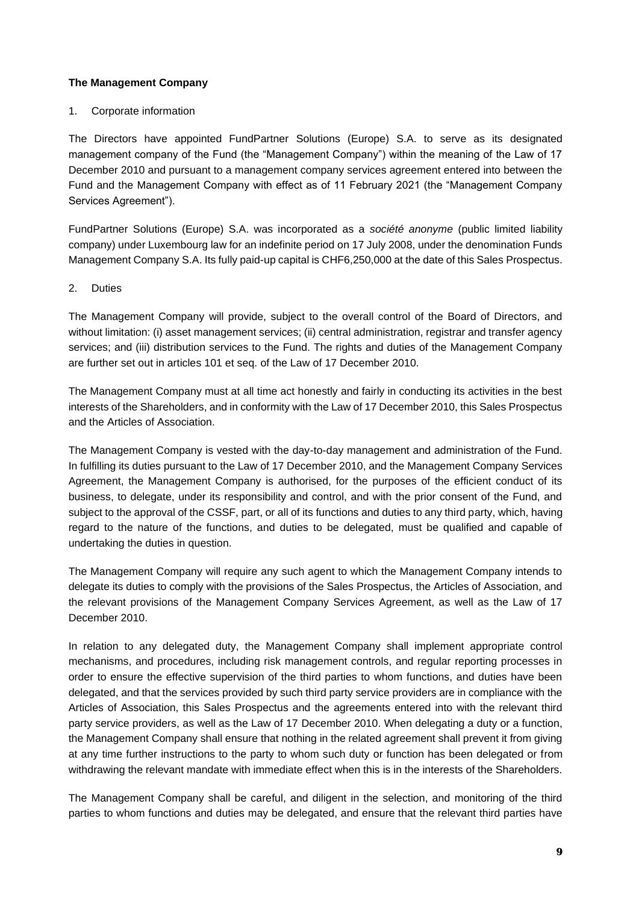### **The Management Company**

### 1. Corporate information

The Directors have appointed FundPartner Solutions (Europe) S.A. to serve as its designated management company of the Fund (the "Management Company") within the meaning of the Law of 17 December 2010 and pursuant to a management company services agreement entered into between the Fund and the Management Company with effect as of 11 February 2021 (the "Management Company Services Agreement").

FundPartner Solutions (Europe) S.A. was incorporated as a *société anonyme* (public limited liability company) under Luxembourg law for an indefinite period on 17 July 2008, under the denomination Funds Management Company S.A. Its fully paid-up capital is CHF6,250,000 at the date of this Sales Prospectus.

### 2. Duties

The Management Company will provide, subject to the overall control of the Board of Directors, and without limitation: (i) asset management services; (ii) central administration, registrar and transfer agency services; and (iii) distribution services to the Fund. The rights and duties of the Management Company are further set out in articles 101 et seq. of the Law of 17 December 2010.

The Management Company must at all time act honestly and fairly in conducting its activities in the best interests of the Shareholders, and in conformity with the Law of 17 December 2010, this Sales Prospectus and the Articles of Association.

The Management Company is vested with the day-to-day management and administration of the Fund. In fulfilling its duties pursuant to the Law of 17 December 2010, and the Management Company Services Agreement, the Management Company is authorised, for the purposes of the efficient conduct of its business, to delegate, under its responsibility and control, and with the prior consent of the Fund, and subject to the approval of the CSSF, part, or all of its functions and duties to any third party, which, having regard to the nature of the functions, and duties to be delegated, must be qualified and capable of undertaking the duties in question.

The Management Company will require any such agent to which the Management Company intends to delegate its duties to comply with the provisions of the Sales Prospectus, the Articles of Association, and the relevant provisions of the Management Company Services Agreement, as well as the Law of 17 December 2010.

In relation to any delegated duty, the Management Company shall implement appropriate control mechanisms, and procedures, including risk management controls, and regular reporting processes in order to ensure the effective supervision of the third parties to whom functions, and duties have been delegated, and that the services provided by such third party service providers are in compliance with the Articles of Association, this Sales Prospectus and the agreements entered into with the relevant third party service providers, as well as the Law of 17 December 2010. When delegating a duty or a function, the Management Company shall ensure that nothing in the related agreement shall prevent it from giving at any time further instructions to the party to whom such duty or function has been delegated or from withdrawing the relevant mandate with immediate effect when this is in the interests of the Shareholders.

The Management Company shall be careful, and diligent in the selection, and monitoring of the third parties to whom functions and duties may be delegated, and ensure that the relevant third parties have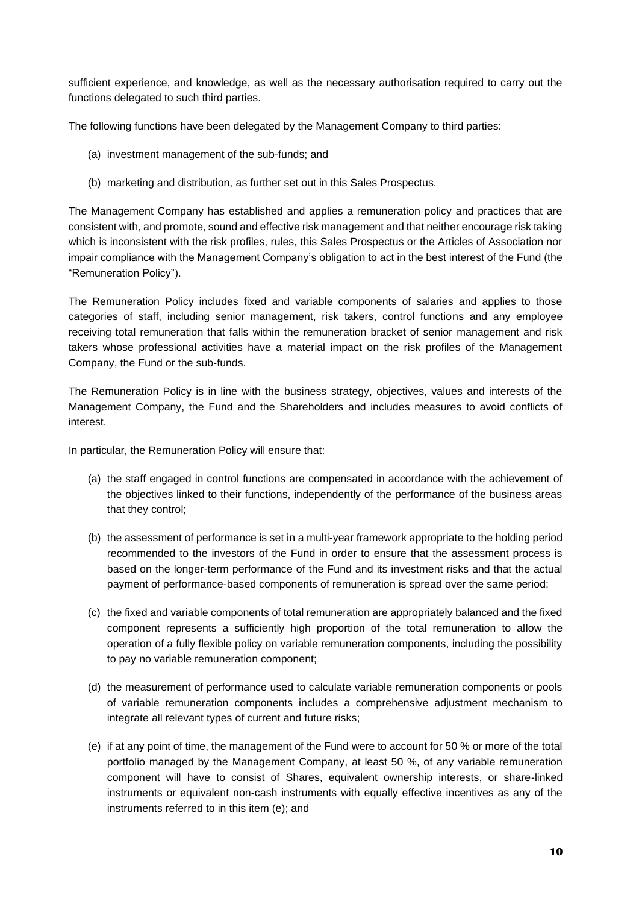sufficient experience, and knowledge, as well as the necessary authorisation required to carry out the functions delegated to such third parties.

The following functions have been delegated by the Management Company to third parties:

- (a) investment management of the sub-funds; and
- (b) marketing and distribution, as further set out in this Sales Prospectus.

The Management Company has established and applies a remuneration policy and practices that are consistent with, and promote, sound and effective risk management and that neither encourage risk taking which is inconsistent with the risk profiles, rules, this Sales Prospectus or the Articles of Association nor impair compliance with the Management Company's obligation to act in the best interest of the Fund (the "Remuneration Policy").

The Remuneration Policy includes fixed and variable components of salaries and applies to those categories of staff, including senior management, risk takers, control functions and any employee receiving total remuneration that falls within the remuneration bracket of senior management and risk takers whose professional activities have a material impact on the risk profiles of the Management Company, the Fund or the sub-funds.

The Remuneration Policy is in line with the business strategy, objectives, values and interests of the Management Company, the Fund and the Shareholders and includes measures to avoid conflicts of interest.

In particular, the Remuneration Policy will ensure that:

- (a) the staff engaged in control functions are compensated in accordance with the achievement of the objectives linked to their functions, independently of the performance of the business areas that they control;
- (b) the assessment of performance is set in a multi-year framework appropriate to the holding period recommended to the investors of the Fund in order to ensure that the assessment process is based on the longer-term performance of the Fund and its investment risks and that the actual payment of performance-based components of remuneration is spread over the same period;
- (c) the fixed and variable components of total remuneration are appropriately balanced and the fixed component represents a sufficiently high proportion of the total remuneration to allow the operation of a fully flexible policy on variable remuneration components, including the possibility to pay no variable remuneration component;
- (d) the measurement of performance used to calculate variable remuneration components or pools of variable remuneration components includes a comprehensive adjustment mechanism to integrate all relevant types of current and future risks;
- (e) if at any point of time, the management of the Fund were to account for 50 % or more of the total portfolio managed by the Management Company, at least 50 %, of any variable remuneration component will have to consist of Shares, equivalent ownership interests, or share-linked instruments or equivalent non-cash instruments with equally effective incentives as any of the instruments referred to in this item (e); and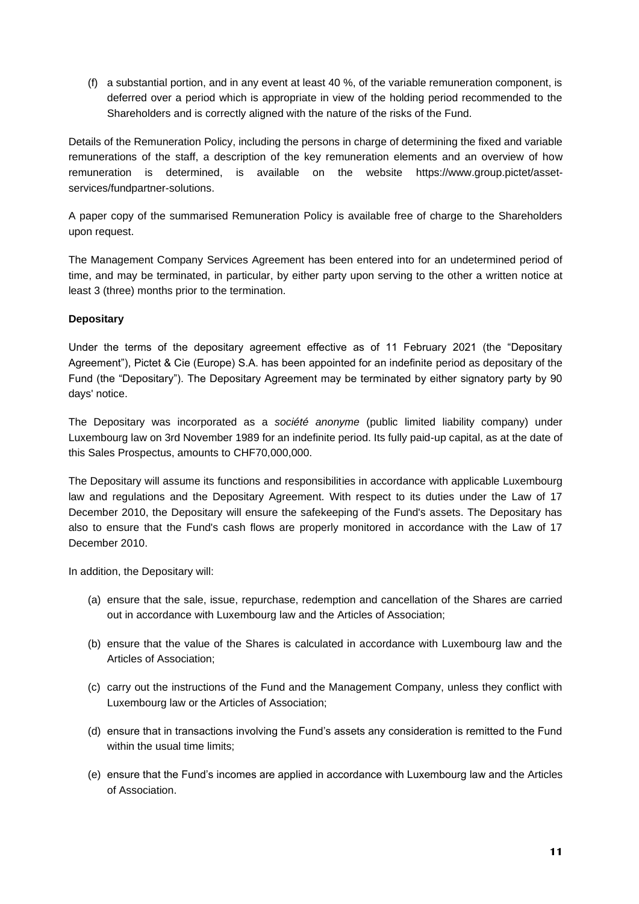(f) a substantial portion, and in any event at least 40 %, of the variable remuneration component, is deferred over a period which is appropriate in view of the holding period recommended to the Shareholders and is correctly aligned with the nature of the risks of the Fund.

Details of the Remuneration Policy, including the persons in charge of determining the fixed and variable remunerations of the staff, a description of the key remuneration elements and an overview of how remuneration is determined, is available on the website [https://www.group.pictet/asset](https://gbr01.safelinks.protection.outlook.com/?url=https%3A%2F%2Fwww.group.pictet%2Fasset-services%2Ffundpartner-solutions&data=02%7C01%7CMatthieu.Chambon%40simmons-simmons.com%7Cf51558d7b03648bc6b9008d82739e440%7C9c0035ef4799443f8b14c5d60303e8cd%7C0%7C0%7C637302476898830058&sdata=FHTNcSAEbbf8qugCoePmuUVFV4VfP4cOqBKZQqYJU1U%3D&reserved=0)[services/fundpartner-solutions.](https://gbr01.safelinks.protection.outlook.com/?url=https%3A%2F%2Fwww.group.pictet%2Fasset-services%2Ffundpartner-solutions&data=02%7C01%7CMatthieu.Chambon%40simmons-simmons.com%7Cf51558d7b03648bc6b9008d82739e440%7C9c0035ef4799443f8b14c5d60303e8cd%7C0%7C0%7C637302476898830058&sdata=FHTNcSAEbbf8qugCoePmuUVFV4VfP4cOqBKZQqYJU1U%3D&reserved=0)

A paper copy of the summarised Remuneration Policy is available free of charge to the Shareholders upon request.

The Management Company Services Agreement has been entered into for an undetermined period of time, and may be terminated, in particular, by either party upon serving to the other a written notice at least 3 (three) months prior to the termination.

# **Depositary**

Under the terms of the depositary agreement effective as of 11 February 2021 (the "Depositary Agreement"), Pictet & Cie (Europe) S.A. has been appointed for an indefinite period as depositary of the Fund (the "Depositary"). The Depositary Agreement may be terminated by either signatory party by 90 days' notice.

The Depositary was incorporated as a *société anonyme* (public limited liability company) under Luxembourg law on 3rd November 1989 for an indefinite period. Its fully paid-up capital, as at the date of this Sales Prospectus, amounts to CHF70,000,000.

The Depositary will assume its functions and responsibilities in accordance with applicable Luxembourg law and regulations and the Depositary Agreement. With respect to its duties under the Law of 17 December 2010, the Depositary will ensure the safekeeping of the Fund's assets. The Depositary has also to ensure that the Fund's cash flows are properly monitored in accordance with the Law of 17 December 2010.

In addition, the Depositary will:

- (a) ensure that the sale, issue, repurchase, redemption and cancellation of the Shares are carried out in accordance with Luxembourg law and the Articles of Association;
- (b) ensure that the value of the Shares is calculated in accordance with Luxembourg law and the Articles of Association;
- (c) carry out the instructions of the Fund and the Management Company, unless they conflict with Luxembourg law or the Articles of Association;
- (d) ensure that in transactions involving the Fund's assets any consideration is remitted to the Fund within the usual time limits;
- (e) ensure that the Fund's incomes are applied in accordance with Luxembourg law and the Articles of Association.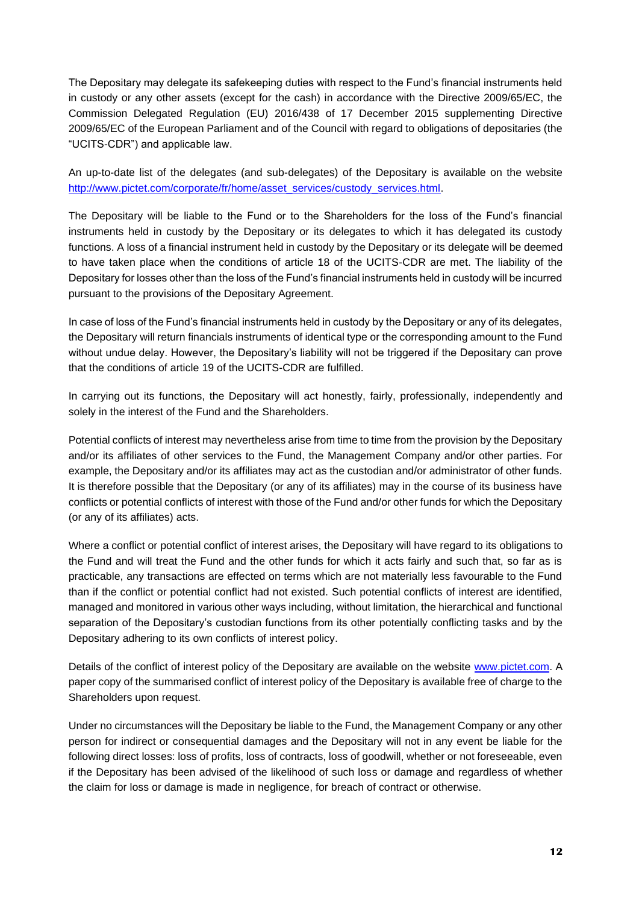The Depositary may delegate its safekeeping duties with respect to the Fund's financial instruments held in custody or any other assets (except for the cash) in accordance with the Directive 2009/65/EC, the Commission Delegated Regulation (EU) 2016/438 of 17 December 2015 supplementing Directive 2009/65/EC of the European Parliament and of the Council with regard to obligations of depositaries (the "UCITS-CDR") and applicable law.

An up-to-date list of the delegates (and sub-delegates) of the Depositary is available on the website [http://www.pictet.com/corporate/fr/home/asset\\_services/custody\\_services.html.](http://www.pictet.com/corporate/fr/home/asset_services/custody_services.html)

The Depositary will be liable to the Fund or to the Shareholders for the loss of the Fund's financial instruments held in custody by the Depositary or its delegates to which it has delegated its custody functions. A loss of a financial instrument held in custody by the Depositary or its delegate will be deemed to have taken place when the conditions of article 18 of the UCITS-CDR are met. The liability of the Depositary for losses other than the loss of the Fund's financial instruments held in custody will be incurred pursuant to the provisions of the Depositary Agreement.

In case of loss of the Fund's financial instruments held in custody by the Depositary or any of its delegates, the Depositary will return financials instruments of identical type or the corresponding amount to the Fund without undue delay. However, the Depositary's liability will not be triggered if the Depositary can prove that the conditions of article 19 of the UCITS-CDR are fulfilled.

In carrying out its functions, the Depositary will act honestly, fairly, professionally, independently and solely in the interest of the Fund and the Shareholders.

Potential conflicts of interest may nevertheless arise from time to time from the provision by the Depositary and/or its affiliates of other services to the Fund, the Management Company and/or other parties. For example, the Depositary and/or its affiliates may act as the custodian and/or administrator of other funds. It is therefore possible that the Depositary (or any of its affiliates) may in the course of its business have conflicts or potential conflicts of interest with those of the Fund and/or other funds for which the Depositary (or any of its affiliates) acts.

Where a conflict or potential conflict of interest arises, the Depositary will have regard to its obligations to the Fund and will treat the Fund and the other funds for which it acts fairly and such that, so far as is practicable, any transactions are effected on terms which are not materially less favourable to the Fund than if the conflict or potential conflict had not existed. Such potential conflicts of interest are identified, managed and monitored in various other ways including, without limitation, the hierarchical and functional separation of the Depositary's custodian functions from its other potentially conflicting tasks and by the Depositary adhering to its own conflicts of interest policy.

Details of the conflict of interest policy of the Depositary are available on the website [www.pictet.com.](http://www.pictet.com/) A paper copy of the summarised conflict of interest policy of the Depositary is available free of charge to the Shareholders upon request.

Under no circumstances will the Depositary be liable to the Fund, the Management Company or any other person for indirect or consequential damages and the Depositary will not in any event be liable for the following direct losses: loss of profits, loss of contracts, loss of goodwill, whether or not foreseeable, even if the Depositary has been advised of the likelihood of such loss or damage and regardless of whether the claim for loss or damage is made in negligence, for breach of contract or otherwise.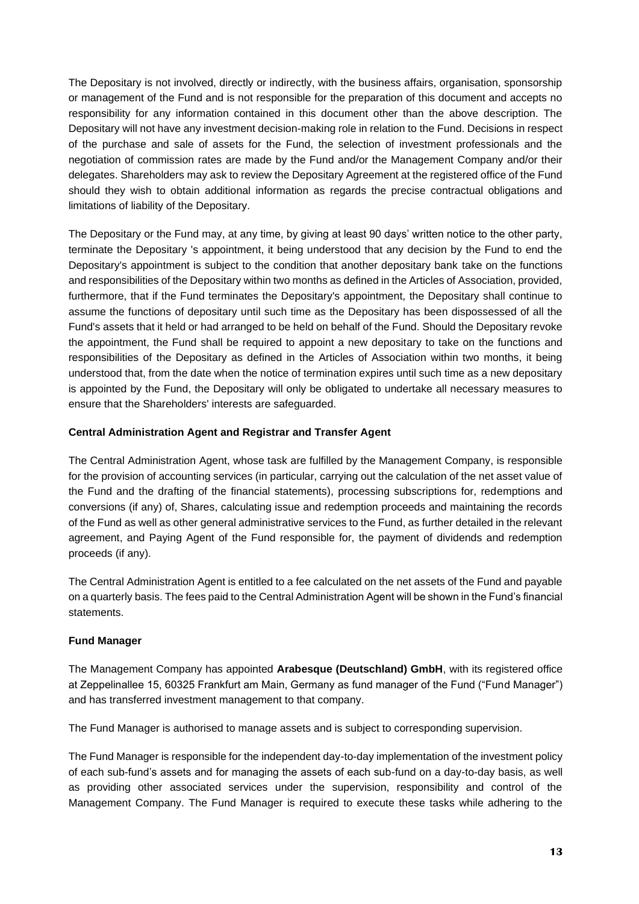The Depositary is not involved, directly or indirectly, with the business affairs, organisation, sponsorship or management of the Fund and is not responsible for the preparation of this document and accepts no responsibility for any information contained in this document other than the above description. The Depositary will not have any investment decision-making role in relation to the Fund. Decisions in respect of the purchase and sale of assets for the Fund, the selection of investment professionals and the negotiation of commission rates are made by the Fund and/or the Management Company and/or their delegates. Shareholders may ask to review the Depositary Agreement at the registered office of the Fund should they wish to obtain additional information as regards the precise contractual obligations and limitations of liability of the Depositary.

The Depositary or the Fund may, at any time, by giving at least 90 days' written notice to the other party, terminate the Depositary 's appointment, it being understood that any decision by the Fund to end the Depositary's appointment is subject to the condition that another depositary bank take on the functions and responsibilities of the Depositary within two months as defined in the Articles of Association, provided, furthermore, that if the Fund terminates the Depositary's appointment, the Depositary shall continue to assume the functions of depositary until such time as the Depositary has been dispossessed of all the Fund's assets that it held or had arranged to be held on behalf of the Fund. Should the Depositary revoke the appointment, the Fund shall be required to appoint a new depositary to take on the functions and responsibilities of the Depositary as defined in the Articles of Association within two months, it being understood that, from the date when the notice of termination expires until such time as a new depositary is appointed by the Fund, the Depositary will only be obligated to undertake all necessary measures to ensure that the Shareholders' interests are safeguarded.

# **Central Administration Agent and Registrar and Transfer Agent**

The Central Administration Agent, whose task are fulfilled by the Management Company, is responsible for the provision of accounting services (in particular, carrying out the calculation of the net asset value of the Fund and the drafting of the financial statements), processing subscriptions for, redemptions and conversions (if any) of, Shares, calculating issue and redemption proceeds and maintaining the records of the Fund as well as other general administrative services to the Fund, as further detailed in the relevant agreement, and Paying Agent of the Fund responsible for, the payment of dividends and redemption proceeds (if any).

The Central Administration Agent is entitled to a fee calculated on the net assets of the Fund and payable on a quarterly basis. The fees paid to the Central Administration Agent will be shown in the Fund's financial statements.

# **Fund Manager**

The Management Company has appointed **Arabesque (Deutschland) GmbH**, with its registered office at Zeppelinallee 15, 60325 Frankfurt am Main, Germany as fund manager of the Fund ("Fund Manager") and has transferred investment management to that company.

The Fund Manager is authorised to manage assets and is subject to corresponding supervision.

The Fund Manager is responsible for the independent day-to-day implementation of the investment policy of each sub-fund's assets and for managing the assets of each sub-fund on a day-to-day basis, as well as providing other associated services under the supervision, responsibility and control of the Management Company. The Fund Manager is required to execute these tasks while adhering to the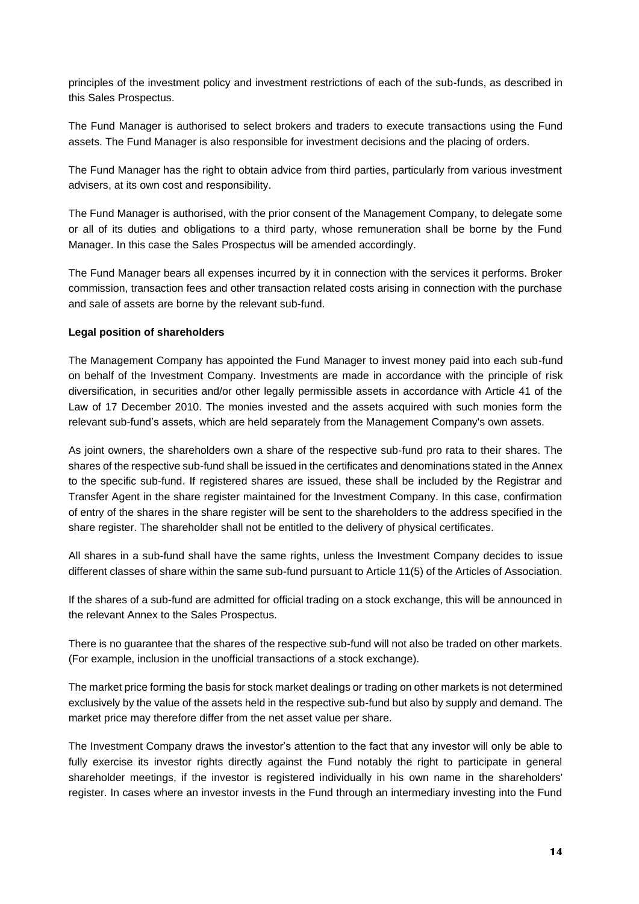principles of the investment policy and investment restrictions of each of the sub-funds, as described in this Sales Prospectus.

The Fund Manager is authorised to select brokers and traders to execute transactions using the Fund assets. The Fund Manager is also responsible for investment decisions and the placing of orders.

The Fund Manager has the right to obtain advice from third parties, particularly from various investment advisers, at its own cost and responsibility.

The Fund Manager is authorised, with the prior consent of the Management Company, to delegate some or all of its duties and obligations to a third party, whose remuneration shall be borne by the Fund Manager. In this case the Sales Prospectus will be amended accordingly.

The Fund Manager bears all expenses incurred by it in connection with the services it performs. Broker commission, transaction fees and other transaction related costs arising in connection with the purchase and sale of assets are borne by the relevant sub-fund.

### **Legal position of shareholders**

The Management Company has appointed the Fund Manager to invest money paid into each sub-fund on behalf of the Investment Company. Investments are made in accordance with the principle of risk diversification, in securities and/or other legally permissible assets in accordance with Article 41 of the Law of 17 December 2010. The monies invested and the assets acquired with such monies form the relevant sub-fund's assets, which are held separately from the Management Company's own assets.

As joint owners, the shareholders own a share of the respective sub-fund pro rata to their shares. The shares of the respective sub-fund shall be issued in the certificates and denominations stated in the Annex to the specific sub-fund. If registered shares are issued, these shall be included by the Registrar and Transfer Agent in the share register maintained for the Investment Company. In this case, confirmation of entry of the shares in the share register will be sent to the shareholders to the address specified in the share register. The shareholder shall not be entitled to the delivery of physical certificates.

All shares in a sub-fund shall have the same rights, unless the Investment Company decides to issue different classes of share within the same sub-fund pursuant to Article 11(5) of the Articles of Association.

If the shares of a sub-fund are admitted for official trading on a stock exchange, this will be announced in the relevant Annex to the Sales Prospectus.

There is no guarantee that the shares of the respective sub-fund will not also be traded on other markets. (For example, inclusion in the unofficial transactions of a stock exchange).

The market price forming the basis for stock market dealings or trading on other markets is not determined exclusively by the value of the assets held in the respective sub-fund but also by supply and demand. The market price may therefore differ from the net asset value per share.

The Investment Company draws the investor's attention to the fact that any investor will only be able to fully exercise its investor rights directly against the Fund notably the right to participate in general shareholder meetings, if the investor is registered individually in his own name in the shareholders' register. In cases where an investor invests in the Fund through an intermediary investing into the Fund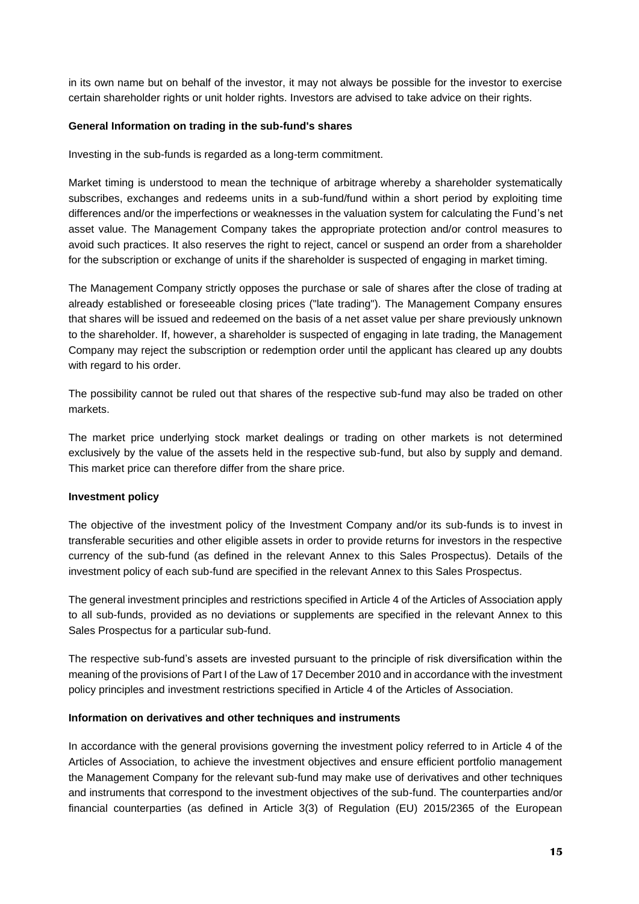in its own name but on behalf of the investor, it may not always be possible for the investor to exercise certain shareholder rights or unit holder rights. Investors are advised to take advice on their rights.

### **General Information on trading in the sub-fund's shares**

Investing in the sub-funds is regarded as a long-term commitment.

Market timing is understood to mean the technique of arbitrage whereby a shareholder systematically subscribes, exchanges and redeems units in a sub-fund/fund within a short period by exploiting time differences and/or the imperfections or weaknesses in the valuation system for calculating the Fund's net asset value. The Management Company takes the appropriate protection and/or control measures to avoid such practices. It also reserves the right to reject, cancel or suspend an order from a shareholder for the subscription or exchange of units if the shareholder is suspected of engaging in market timing.

The Management Company strictly opposes the purchase or sale of shares after the close of trading at already established or foreseeable closing prices ("late trading"). The Management Company ensures that shares will be issued and redeemed on the basis of a net asset value per share previously unknown to the shareholder. If, however, a shareholder is suspected of engaging in late trading, the Management Company may reject the subscription or redemption order until the applicant has cleared up any doubts with regard to his order.

The possibility cannot be ruled out that shares of the respective sub-fund may also be traded on other markets.

The market price underlying stock market dealings or trading on other markets is not determined exclusively by the value of the assets held in the respective sub-fund, but also by supply and demand. This market price can therefore differ from the share price.

### **Investment policy**

The objective of the investment policy of the Investment Company and/or its sub-funds is to invest in transferable securities and other eligible assets in order to provide returns for investors in the respective currency of the sub-fund (as defined in the relevant Annex to this Sales Prospectus). Details of the investment policy of each sub-fund are specified in the relevant Annex to this Sales Prospectus.

The general investment principles and restrictions specified in Article 4 of the Articles of Association apply to all sub-funds, provided as no deviations or supplements are specified in the relevant Annex to this Sales Prospectus for a particular sub-fund.

The respective sub-fund's assets are invested pursuant to the principle of risk diversification within the meaning of the provisions of Part I of the Law of 17 December 2010 and in accordance with the investment policy principles and investment restrictions specified in Article 4 of the Articles of Association.

### **Information on derivatives and other techniques and instruments**

In accordance with the general provisions governing the investment policy referred to in Article 4 of the Articles of Association, to achieve the investment objectives and ensure efficient portfolio management the Management Company for the relevant sub-fund may make use of derivatives and other techniques and instruments that correspond to the investment objectives of the sub-fund. The counterparties and/or financial counterparties (as defined in Article 3(3) of Regulation (EU) 2015/2365 of the European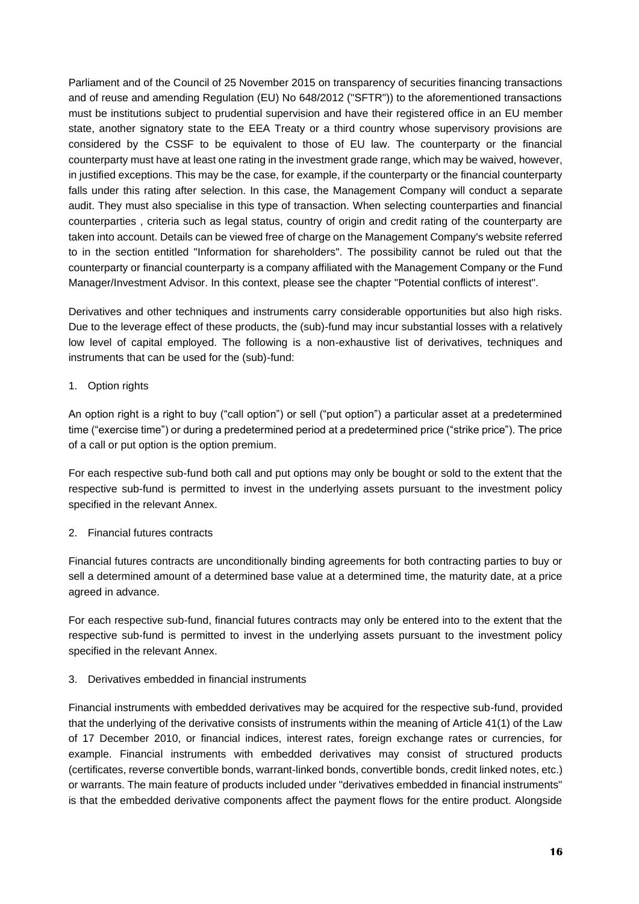Parliament and of the Council of 25 November 2015 on transparency of securities financing transactions and of reuse and amending Regulation (EU) No 648/2012 ("SFTR")) to the aforementioned transactions must be institutions subject to prudential supervision and have their registered office in an EU member state, another signatory state to the EEA Treaty or a third country whose supervisory provisions are considered by the CSSF to be equivalent to those of EU law. The counterparty or the financial counterparty must have at least one rating in the investment grade range, which may be waived, however, in justified exceptions. This may be the case, for example, if the counterparty or the financial counterparty falls under this rating after selection. In this case, the Management Company will conduct a separate audit. They must also specialise in this type of transaction. When selecting counterparties and financial counterparties , criteria such as legal status, country of origin and credit rating of the counterparty are taken into account. Details can be viewed free of charge on the Management Company's website referred to in the section entitled "Information for shareholders". The possibility cannot be ruled out that the counterparty or financial counterparty is a company affiliated with the Management Company or the Fund Manager/Investment Advisor. In this context, please see the chapter "Potential conflicts of interest".

Derivatives and other techniques and instruments carry considerable opportunities but also high risks. Due to the leverage effect of these products, the (sub)-fund may incur substantial losses with a relatively low level of capital employed. The following is a non-exhaustive list of derivatives, techniques and instruments that can be used for the (sub)-fund:

### 1. Option rights

An option right is a right to buy ("call option") or sell ("put option") a particular asset at a predetermined time ("exercise time") or during a predetermined period at a predetermined price ("strike price"). The price of a call or put option is the option premium.

For each respective sub-fund both call and put options may only be bought or sold to the extent that the respective sub-fund is permitted to invest in the underlying assets pursuant to the investment policy specified in the relevant Annex.

### 2. Financial futures contracts

Financial futures contracts are unconditionally binding agreements for both contracting parties to buy or sell a determined amount of a determined base value at a determined time, the maturity date, at a price agreed in advance.

For each respective sub-fund, financial futures contracts may only be entered into to the extent that the respective sub-fund is permitted to invest in the underlying assets pursuant to the investment policy specified in the relevant Annex.

### 3. Derivatives embedded in financial instruments

Financial instruments with embedded derivatives may be acquired for the respective sub-fund, provided that the underlying of the derivative consists of instruments within the meaning of Article 41(1) of the Law of 17 December 2010, or financial indices, interest rates, foreign exchange rates or currencies, for example. Financial instruments with embedded derivatives may consist of structured products (certificates, reverse convertible bonds, warrant-linked bonds, convertible bonds, credit linked notes, etc.) or warrants. The main feature of products included under "derivatives embedded in financial instruments" is that the embedded derivative components affect the payment flows for the entire product. Alongside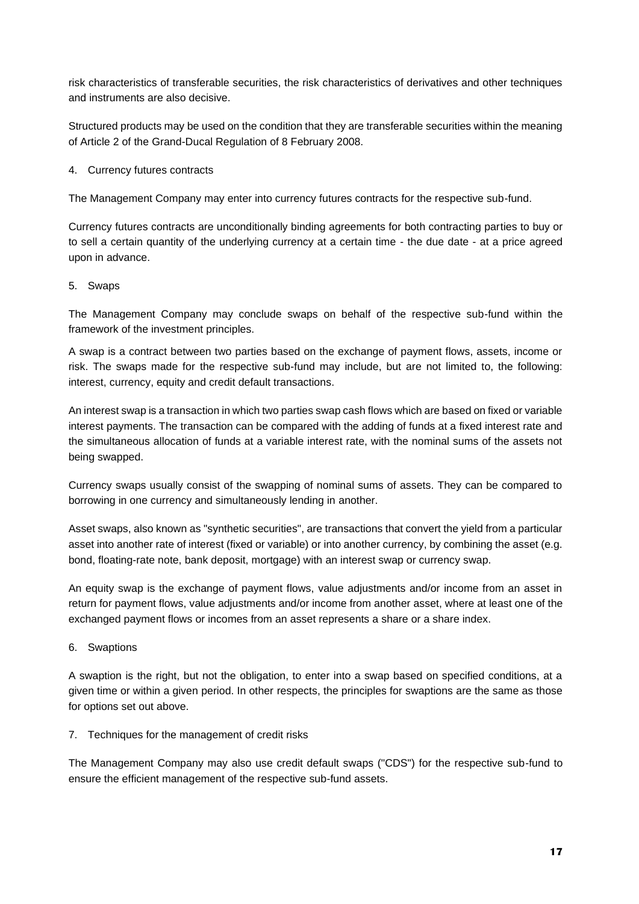risk characteristics of transferable securities, the risk characteristics of derivatives and other techniques and instruments are also decisive.

Structured products may be used on the condition that they are transferable securities within the meaning of Article 2 of the Grand-Ducal Regulation of 8 February 2008.

4. Currency futures contracts

The Management Company may enter into currency futures contracts for the respective sub-fund.

Currency futures contracts are unconditionally binding agreements for both contracting parties to buy or to sell a certain quantity of the underlying currency at a certain time - the due date - at a price agreed upon in advance.

5. Swaps

The Management Company may conclude swaps on behalf of the respective sub-fund within the framework of the investment principles.

A swap is a contract between two parties based on the exchange of payment flows, assets, income or risk. The swaps made for the respective sub-fund may include, but are not limited to, the following: interest, currency, equity and credit default transactions.

An interest swap is a transaction in which two parties swap cash flows which are based on fixed or variable interest payments. The transaction can be compared with the adding of funds at a fixed interest rate and the simultaneous allocation of funds at a variable interest rate, with the nominal sums of the assets not being swapped.

Currency swaps usually consist of the swapping of nominal sums of assets. They can be compared to borrowing in one currency and simultaneously lending in another.

Asset swaps, also known as "synthetic securities", are transactions that convert the yield from a particular asset into another rate of interest (fixed or variable) or into another currency, by combining the asset (e.g. bond, floating-rate note, bank deposit, mortgage) with an interest swap or currency swap.

An equity swap is the exchange of payment flows, value adjustments and/or income from an asset in return for payment flows, value adjustments and/or income from another asset, where at least one of the exchanged payment flows or incomes from an asset represents a share or a share index.

6. Swaptions

A swaption is the right, but not the obligation, to enter into a swap based on specified conditions, at a given time or within a given period. In other respects, the principles for swaptions are the same as those for options set out above.

### 7. Techniques for the management of credit risks

The Management Company may also use credit default swaps ("CDS") for the respective sub-fund to ensure the efficient management of the respective sub-fund assets.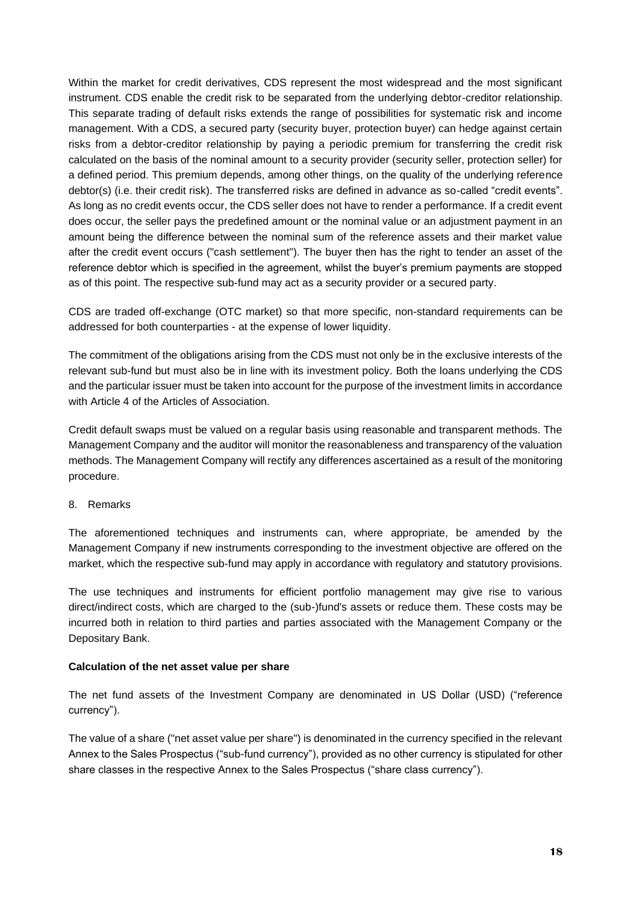Within the market for credit derivatives, CDS represent the most widespread and the most significant instrument. CDS enable the credit risk to be separated from the underlying debtor-creditor relationship. This separate trading of default risks extends the range of possibilities for systematic risk and income management. With a CDS, a secured party (security buyer, protection buyer) can hedge against certain risks from a debtor-creditor relationship by paying a periodic premium for transferring the credit risk calculated on the basis of the nominal amount to a security provider (security seller, protection seller) for a defined period. This premium depends, among other things, on the quality of the underlying reference debtor(s) (i.e. their credit risk). The transferred risks are defined in advance as so-called "credit events". As long as no credit events occur, the CDS seller does not have to render a performance. If a credit event does occur, the seller pays the predefined amount or the nominal value or an adjustment payment in an amount being the difference between the nominal sum of the reference assets and their market value after the credit event occurs ("cash settlement"). The buyer then has the right to tender an asset of the reference debtor which is specified in the agreement, whilst the buyer's premium payments are stopped as of this point. The respective sub-fund may act as a security provider or a secured party.

CDS are traded off-exchange (OTC market) so that more specific, non-standard requirements can be addressed for both counterparties - at the expense of lower liquidity.

The commitment of the obligations arising from the CDS must not only be in the exclusive interests of the relevant sub-fund but must also be in line with its investment policy. Both the loans underlying the CDS and the particular issuer must be taken into account for the purpose of the investment limits in accordance with Article 4 of the Articles of Association.

Credit default swaps must be valued on a regular basis using reasonable and transparent methods. The Management Company and the auditor will monitor the reasonableness and transparency of the valuation methods. The Management Company will rectify any differences ascertained as a result of the monitoring procedure.

8. Remarks

The aforementioned techniques and instruments can, where appropriate, be amended by the Management Company if new instruments corresponding to the investment objective are offered on the market, which the respective sub-fund may apply in accordance with regulatory and statutory provisions.

The use techniques and instruments for efficient portfolio management may give rise to various direct/indirect costs, which are charged to the (sub-)fund's assets or reduce them. These costs may be incurred both in relation to third parties and parties associated with the Management Company or the Depositary Bank.

### **Calculation of the net asset value per share**

The net fund assets of the Investment Company are denominated in US Dollar (USD) ("reference currency").

The value of a share ("net asset value per share") is denominated in the currency specified in the relevant Annex to the Sales Prospectus ("sub-fund currency"), provided as no other currency is stipulated for other share classes in the respective Annex to the Sales Prospectus ("share class currency").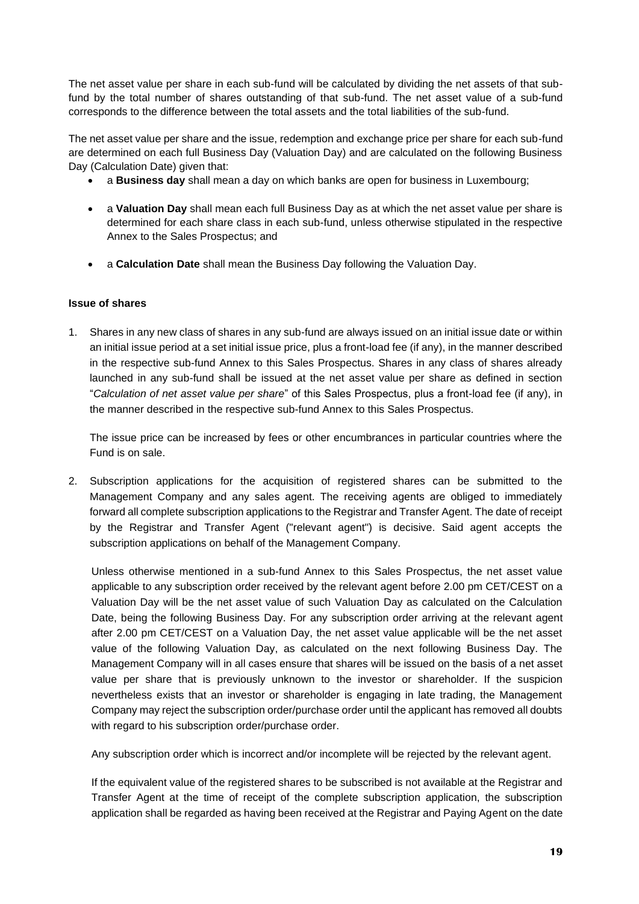The net asset value per share in each sub-fund will be calculated by dividing the net assets of that subfund by the total number of shares outstanding of that sub-fund. The net asset value of a sub-fund corresponds to the difference between the total assets and the total liabilities of the sub-fund.

The net asset value per share and the issue, redemption and exchange price per share for each sub-fund are determined on each full Business Day (Valuation Day) and are calculated on the following Business Day (Calculation Date) given that:

- a **Business day** shall mean a day on which banks are open for business in Luxembourg;
- a **Valuation Day** shall mean each full Business Day as at which the net asset value per share is determined for each share class in each sub-fund, unless otherwise stipulated in the respective Annex to the Sales Prospectus; and
- a **Calculation Date** shall mean the Business Day following the Valuation Day.

### **Issue of shares**

1. Shares in any new class of shares in any sub-fund are always issued on an initial issue date or within an initial issue period at a set initial issue price, plus a front-load fee (if any), in the manner described in the respective sub-fund Annex to this Sales Prospectus. Shares in any class of shares already launched in any sub-fund shall be issued at the net asset value per share as defined in section "*Calculation of net asset value per share*" of this Sales Prospectus, plus a front-load fee (if any), in the manner described in the respective sub-fund Annex to this Sales Prospectus.

The issue price can be increased by fees or other encumbrances in particular countries where the Fund is on sale.

2. Subscription applications for the acquisition of registered shares can be submitted to the Management Company and any sales agent. The receiving agents are obliged to immediately forward all complete subscription applications to the Registrar and Transfer Agent. The date of receipt by the Registrar and Transfer Agent ("relevant agent") is decisive. Said agent accepts the subscription applications on behalf of the Management Company.

Unless otherwise mentioned in a sub-fund Annex to this Sales Prospectus, the net asset value applicable to any subscription order received by the relevant agent before 2.00 pm CET/CEST on a Valuation Day will be the net asset value of such Valuation Day as calculated on the Calculation Date, being the following Business Day. For any subscription order arriving at the relevant agent after 2.00 pm CET/CEST on a Valuation Day, the net asset value applicable will be the net asset value of the following Valuation Day, as calculated on the next following Business Day. The Management Company will in all cases ensure that shares will be issued on the basis of a net asset value per share that is previously unknown to the investor or shareholder. If the suspicion nevertheless exists that an investor or shareholder is engaging in late trading, the Management Company may reject the subscription order/purchase order until the applicant has removed all doubts with regard to his subscription order/purchase order.

Any subscription order which is incorrect and/or incomplete will be rejected by the relevant agent.

If the equivalent value of the registered shares to be subscribed is not available at the Registrar and Transfer Agent at the time of receipt of the complete subscription application, the subscription application shall be regarded as having been received at the Registrar and Paying Agent on the date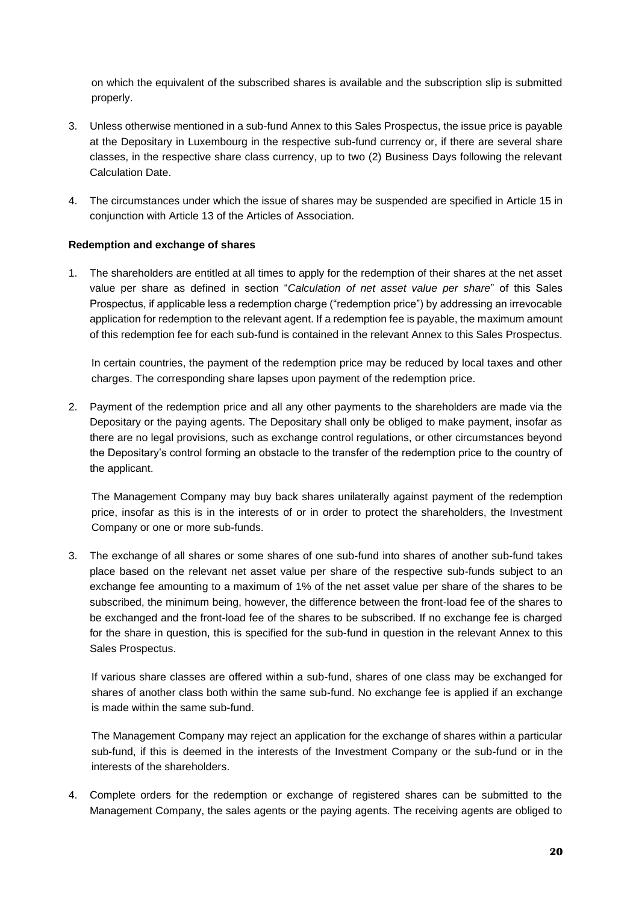on which the equivalent of the subscribed shares is available and the subscription slip is submitted properly.

- 3. Unless otherwise mentioned in a sub-fund Annex to this Sales Prospectus, the issue price is payable at the Depositary in Luxembourg in the respective sub-fund currency or, if there are several share classes, in the respective share class currency, up to two (2) Business Days following the relevant Calculation Date.
- 4. The circumstances under which the issue of shares may be suspended are specified in Article 15 in conjunction with Article 13 of the Articles of Association.

### **Redemption and exchange of shares**

1. The shareholders are entitled at all times to apply for the redemption of their shares at the net asset value per share as defined in section "*Calculation of net asset value per share*" of this Sales Prospectus, if applicable less a redemption charge ("redemption price") by addressing an irrevocable application for redemption to the relevant agent. If a redemption fee is payable, the maximum amount of this redemption fee for each sub-fund is contained in the relevant Annex to this Sales Prospectus.

In certain countries, the payment of the redemption price may be reduced by local taxes and other charges. The corresponding share lapses upon payment of the redemption price.

2. Payment of the redemption price and all any other payments to the shareholders are made via the Depositary or the paying agents. The Depositary shall only be obliged to make payment, insofar as there are no legal provisions, such as exchange control regulations, or other circumstances beyond the Depositary's control forming an obstacle to the transfer of the redemption price to the country of the applicant.

The Management Company may buy back shares unilaterally against payment of the redemption price, insofar as this is in the interests of or in order to protect the shareholders, the Investment Company or one or more sub-funds.

3. The exchange of all shares or some shares of one sub-fund into shares of another sub-fund takes place based on the relevant net asset value per share of the respective sub-funds subject to an exchange fee amounting to a maximum of 1% of the net asset value per share of the shares to be subscribed, the minimum being, however, the difference between the front-load fee of the shares to be exchanged and the front-load fee of the shares to be subscribed. If no exchange fee is charged for the share in question, this is specified for the sub-fund in question in the relevant Annex to this Sales Prospectus.

If various share classes are offered within a sub-fund, shares of one class may be exchanged for shares of another class both within the same sub-fund. No exchange fee is applied if an exchange is made within the same sub-fund.

The Management Company may reject an application for the exchange of shares within a particular sub-fund, if this is deemed in the interests of the Investment Company or the sub-fund or in the interests of the shareholders.

4. Complete orders for the redemption or exchange of registered shares can be submitted to the Management Company, the sales agents or the paying agents. The receiving agents are obliged to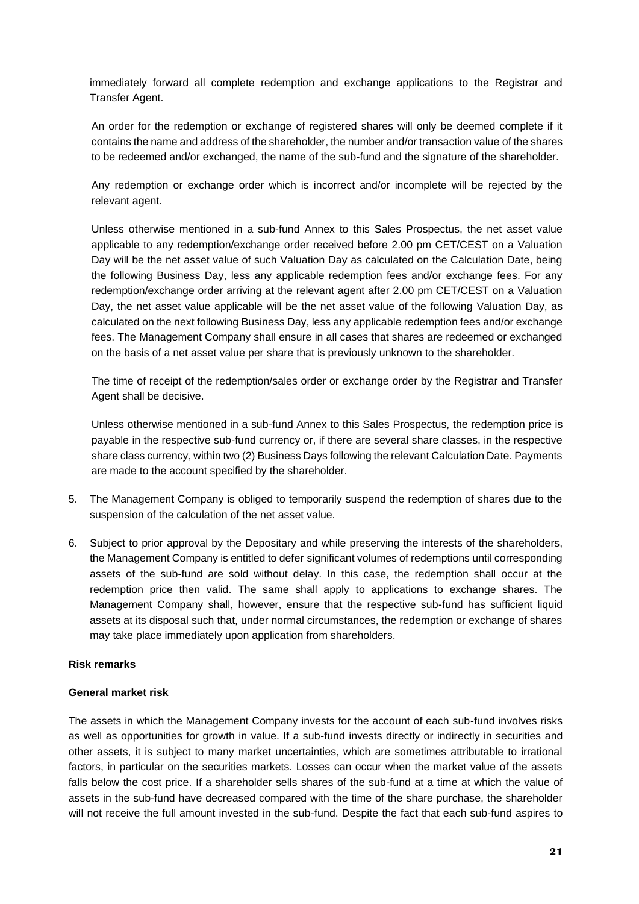immediately forward all complete redemption and exchange applications to the Registrar and Transfer Agent.

An order for the redemption or exchange of registered shares will only be deemed complete if it contains the name and address of the shareholder, the number and/or transaction value of the shares to be redeemed and/or exchanged, the name of the sub-fund and the signature of the shareholder.

Any redemption or exchange order which is incorrect and/or incomplete will be rejected by the relevant agent.

Unless otherwise mentioned in a sub-fund Annex to this Sales Prospectus, the net asset value applicable to any redemption/exchange order received before 2.00 pm CET/CEST on a Valuation Day will be the net asset value of such Valuation Day as calculated on the Calculation Date, being the following Business Day, less any applicable redemption fees and/or exchange fees. For any redemption/exchange order arriving at the relevant agent after 2.00 pm CET/CEST on a Valuation Day, the net asset value applicable will be the net asset value of the following Valuation Day, as calculated on the next following Business Day, less any applicable redemption fees and/or exchange fees. The Management Company shall ensure in all cases that shares are redeemed or exchanged on the basis of a net asset value per share that is previously unknown to the shareholder.

The time of receipt of the redemption/sales order or exchange order by the Registrar and Transfer Agent shall be decisive.

Unless otherwise mentioned in a sub-fund Annex to this Sales Prospectus, the redemption price is payable in the respective sub-fund currency or, if there are several share classes, in the respective share class currency, within two (2) Business Days following the relevant Calculation Date. Payments are made to the account specified by the shareholder.

- 5. The Management Company is obliged to temporarily suspend the redemption of shares due to the suspension of the calculation of the net asset value.
- 6. Subject to prior approval by the Depositary and while preserving the interests of the shareholders, the Management Company is entitled to defer significant volumes of redemptions until corresponding assets of the sub-fund are sold without delay. In this case, the redemption shall occur at the redemption price then valid. The same shall apply to applications to exchange shares. The Management Company shall, however, ensure that the respective sub-fund has sufficient liquid assets at its disposal such that, under normal circumstances, the redemption or exchange of shares may take place immediately upon application from shareholders.

# **Risk remarks**

#### **General market risk**

The assets in which the Management Company invests for the account of each sub-fund involves risks as well as opportunities for growth in value. If a sub-fund invests directly or indirectly in securities and other assets, it is subject to many market uncertainties, which are sometimes attributable to irrational factors, in particular on the securities markets. Losses can occur when the market value of the assets falls below the cost price. If a shareholder sells shares of the sub-fund at a time at which the value of assets in the sub-fund have decreased compared with the time of the share purchase, the shareholder will not receive the full amount invested in the sub-fund. Despite the fact that each sub-fund aspires to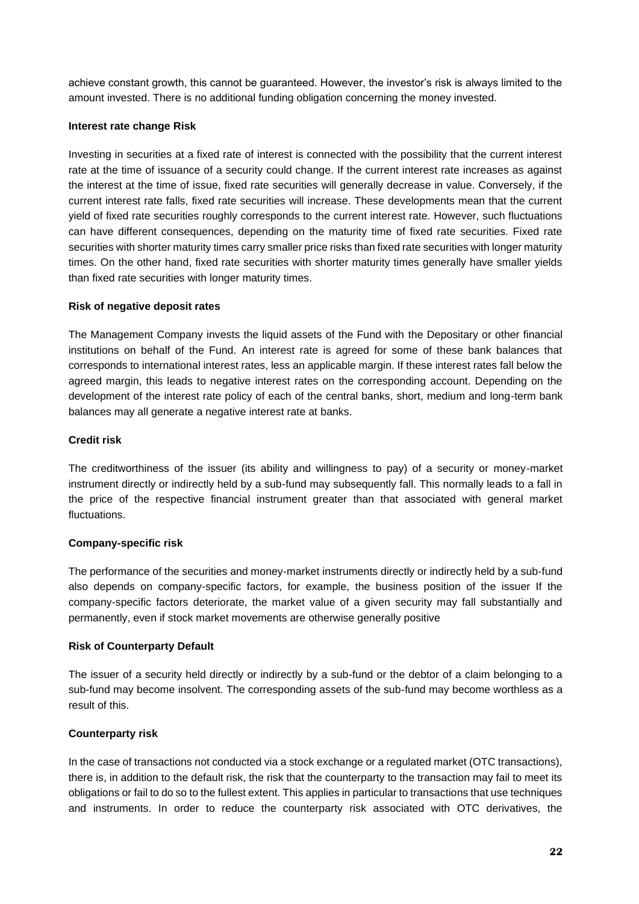achieve constant growth, this cannot be guaranteed. However, the investor's risk is always limited to the amount invested. There is no additional funding obligation concerning the money invested.

### **Interest rate change Risk**

Investing in securities at a fixed rate of interest is connected with the possibility that the current interest rate at the time of issuance of a security could change. If the current interest rate increases as against the interest at the time of issue, fixed rate securities will generally decrease in value. Conversely, if the current interest rate falls, fixed rate securities will increase. These developments mean that the current yield of fixed rate securities roughly corresponds to the current interest rate. However, such fluctuations can have different consequences, depending on the maturity time of fixed rate securities. Fixed rate securities with shorter maturity times carry smaller price risks than fixed rate securities with longer maturity times. On the other hand, fixed rate securities with shorter maturity times generally have smaller yields than fixed rate securities with longer maturity times.

### **Risk of negative deposit rates**

The Management Company invests the liquid assets of the Fund with the Depositary or other financial institutions on behalf of the Fund. An interest rate is agreed for some of these bank balances that corresponds to international interest rates, less an applicable margin. If these interest rates fall below the agreed margin, this leads to negative interest rates on the corresponding account. Depending on the development of the interest rate policy of each of the central banks, short, medium and long-term bank balances may all generate a negative interest rate at banks.

### **Credit risk**

The creditworthiness of the issuer (its ability and willingness to pay) of a security or money-market instrument directly or indirectly held by a sub-fund may subsequently fall. This normally leads to a fall in the price of the respective financial instrument greater than that associated with general market fluctuations.

# **Company-specific risk**

The performance of the securities and money-market instruments directly or indirectly held by a sub-fund also depends on company-specific factors, for example, the business position of the issuer If the company-specific factors deteriorate, the market value of a given security may fall substantially and permanently, even if stock market movements are otherwise generally positive

### **Risk of Counterparty Default**

The issuer of a security held directly or indirectly by a sub-fund or the debtor of a claim belonging to a sub-fund may become insolvent. The corresponding assets of the sub-fund may become worthless as a result of this.

# **Counterparty risk**

In the case of transactions not conducted via a stock exchange or a regulated market (OTC transactions), there is, in addition to the default risk, the risk that the counterparty to the transaction may fail to meet its obligations or fail to do so to the fullest extent. This applies in particular to transactions that use techniques and instruments. In order to reduce the counterparty risk associated with OTC derivatives, the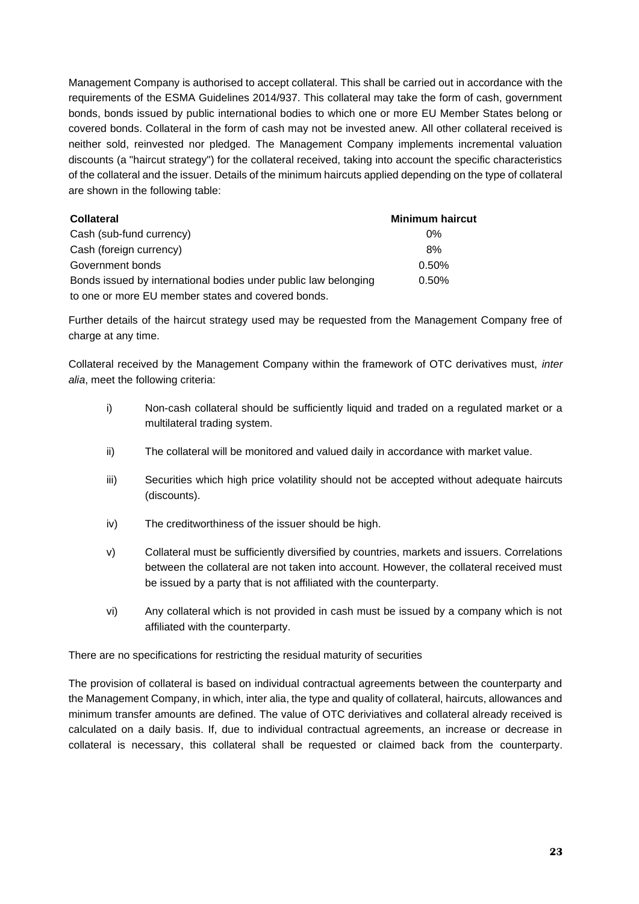Management Company is authorised to accept collateral. This shall be carried out in accordance with the requirements of the ESMA Guidelines 2014/937. This collateral may take the form of cash, government bonds, bonds issued by public international bodies to which one or more EU Member States belong or covered bonds. Collateral in the form of cash may not be invested anew. All other collateral received is neither sold, reinvested nor pledged. The Management Company implements incremental valuation discounts (a "haircut strategy") for the collateral received, taking into account the specific characteristics of the collateral and the issuer. Details of the minimum haircuts applied depending on the type of collateral are shown in the following table:

| <b>Collateral</b>                                               | <b>Minimum haircut</b> |
|-----------------------------------------------------------------|------------------------|
| Cash (sub-fund currency)                                        | $0\%$                  |
| Cash (foreign currency)                                         | 8%                     |
| Government bonds                                                | 0.50%                  |
| Bonds issued by international bodies under public law belonging | 0.50%                  |
| to one or more EU member states and covered bonds.              |                        |

Further details of the haircut strategy used may be requested from the Management Company free of charge at any time.

Collateral received by the Management Company within the framework of OTC derivatives must, *inter alia*, meet the following criteria:

- i) Non-cash collateral should be sufficiently liquid and traded on a regulated market or a multilateral trading system.
- ii) The collateral will be monitored and valued daily in accordance with market value.
- iii) Securities which high price volatility should not be accepted without adequate haircuts (discounts).
- iv) The creditworthiness of the issuer should be high.
- v) Collateral must be sufficiently diversified by countries, markets and issuers. Correlations between the collateral are not taken into account. However, the collateral received must be issued by a party that is not affiliated with the counterparty.
- vi) Any collateral which is not provided in cash must be issued by a company which is not affiliated with the counterparty.

There are no specifications for restricting the residual maturity of securities

The provision of collateral is based on individual contractual agreements between the counterparty and the Management Company, in which, inter alia, the type and quality of collateral, haircuts, allowances and minimum transfer amounts are defined. The value of OTC deriviatives and collateral already received is calculated on a daily basis. If, due to individual contractual agreements, an increase or decrease in collateral is necessary, this collateral shall be requested or claimed back from the counterparty.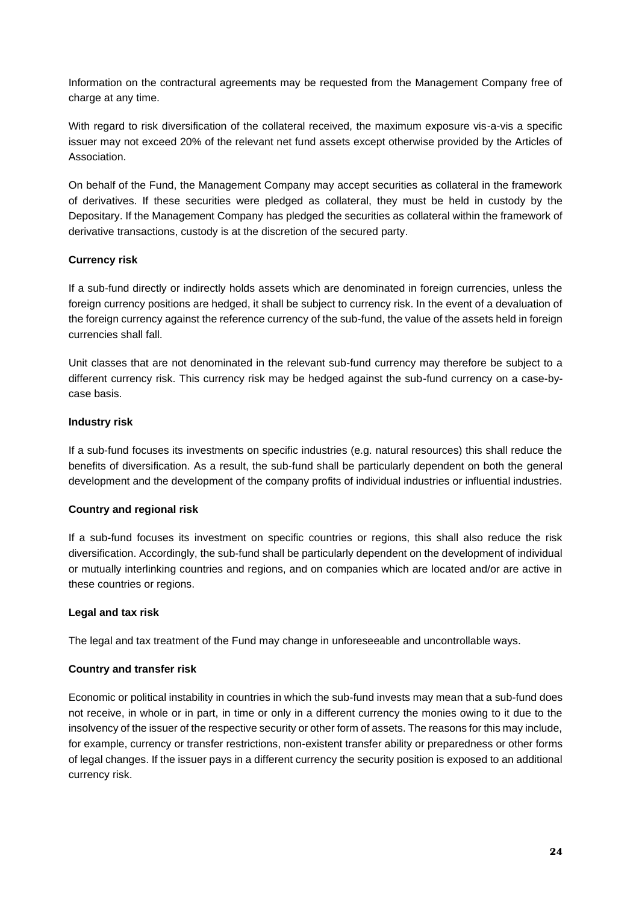Information on the contractural agreements may be requested from the Management Company free of charge at any time.

With regard to risk diversification of the collateral received, the maximum exposure vis-a-vis a specific issuer may not exceed 20% of the relevant net fund assets except otherwise provided by the Articles of Association.

On behalf of the Fund, the Management Company may accept securities as collateral in the framework of derivatives. If these securities were pledged as collateral, they must be held in custody by the Depositary. If the Management Company has pledged the securities as collateral within the framework of derivative transactions, custody is at the discretion of the secured party.

### **Currency risk**

If a sub-fund directly or indirectly holds assets which are denominated in foreign currencies, unless the foreign currency positions are hedged, it shall be subject to currency risk. In the event of a devaluation of the foreign currency against the reference currency of the sub-fund, the value of the assets held in foreign currencies shall fall.

Unit classes that are not denominated in the relevant sub-fund currency may therefore be subject to a different currency risk. This currency risk may be hedged against the sub-fund currency on a case-bycase basis.

### **Industry risk**

If a sub-fund focuses its investments on specific industries (e.g. natural resources) this shall reduce the benefits of diversification. As a result, the sub-fund shall be particularly dependent on both the general development and the development of the company profits of individual industries or influential industries.

### **Country and regional risk**

If a sub-fund focuses its investment on specific countries or regions, this shall also reduce the risk diversification. Accordingly, the sub-fund shall be particularly dependent on the development of individual or mutually interlinking countries and regions, and on companies which are located and/or are active in these countries or regions.

### **Legal and tax risk**

The legal and tax treatment of the Fund may change in unforeseeable and uncontrollable ways.

### **Country and transfer risk**

Economic or political instability in countries in which the sub-fund invests may mean that a sub-fund does not receive, in whole or in part, in time or only in a different currency the monies owing to it due to the insolvency of the issuer of the respective security or other form of assets. The reasons for this may include, for example, currency or transfer restrictions, non-existent transfer ability or preparedness or other forms of legal changes. If the issuer pays in a different currency the security position is exposed to an additional currency risk.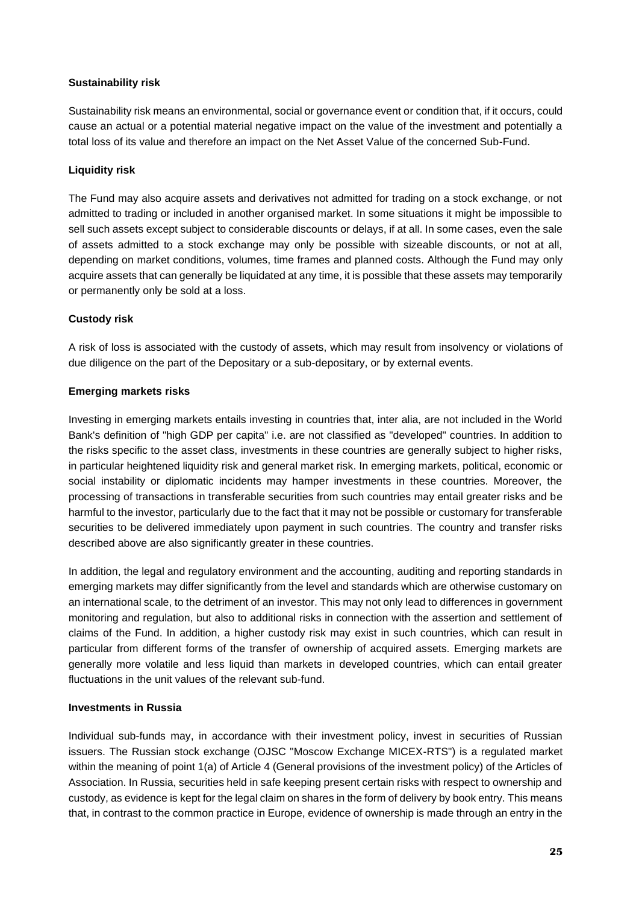### **Sustainability risk**

Sustainability risk means an environmental, social or governance event or condition that, if it occurs, could cause an actual or a potential material negative impact on the value of the investment and potentially a total loss of its value and therefore an impact on the Net Asset Value of the concerned Sub-Fund.

### **Liquidity risk**

The Fund may also acquire assets and derivatives not admitted for trading on a stock exchange, or not admitted to trading or included in another organised market. In some situations it might be impossible to sell such assets except subject to considerable discounts or delays, if at all. In some cases, even the sale of assets admitted to a stock exchange may only be possible with sizeable discounts, or not at all, depending on market conditions, volumes, time frames and planned costs. Although the Fund may only acquire assets that can generally be liquidated at any time, it is possible that these assets may temporarily or permanently only be sold at a loss.

# **Custody risk**

A risk of loss is associated with the custody of assets, which may result from insolvency or violations of due diligence on the part of the Depositary or a sub-depositary, or by external events.

### **Emerging markets risks**

Investing in emerging markets entails investing in countries that, inter alia, are not included in the World Bank's definition of "high GDP per capita" i.e. are not classified as "developed" countries. In addition to the risks specific to the asset class, investments in these countries are generally subject to higher risks, in particular heightened liquidity risk and general market risk. In emerging markets, political, economic or social instability or diplomatic incidents may hamper investments in these countries. Moreover, the processing of transactions in transferable securities from such countries may entail greater risks and be harmful to the investor, particularly due to the fact that it may not be possible or customary for transferable securities to be delivered immediately upon payment in such countries. The country and transfer risks described above are also significantly greater in these countries.

In addition, the legal and regulatory environment and the accounting, auditing and reporting standards in emerging markets may differ significantly from the level and standards which are otherwise customary on an international scale, to the detriment of an investor. This may not only lead to differences in government monitoring and regulation, but also to additional risks in connection with the assertion and settlement of claims of the Fund. In addition, a higher custody risk may exist in such countries, which can result in particular from different forms of the transfer of ownership of acquired assets. Emerging markets are generally more volatile and less liquid than markets in developed countries, which can entail greater fluctuations in the unit values of the relevant sub-fund.

### **Investments in Russia**

Individual sub-funds may, in accordance with their investment policy, invest in securities of Russian issuers. The Russian stock exchange (OJSC "Moscow Exchange MICEX-RTS") is a regulated market within the meaning of point 1(a) of Article 4 (General provisions of the investment policy) of the Articles of Association. In Russia, securities held in safe keeping present certain risks with respect to ownership and custody, as evidence is kept for the legal claim on shares in the form of delivery by book entry. This means that, in contrast to the common practice in Europe, evidence of ownership is made through an entry in the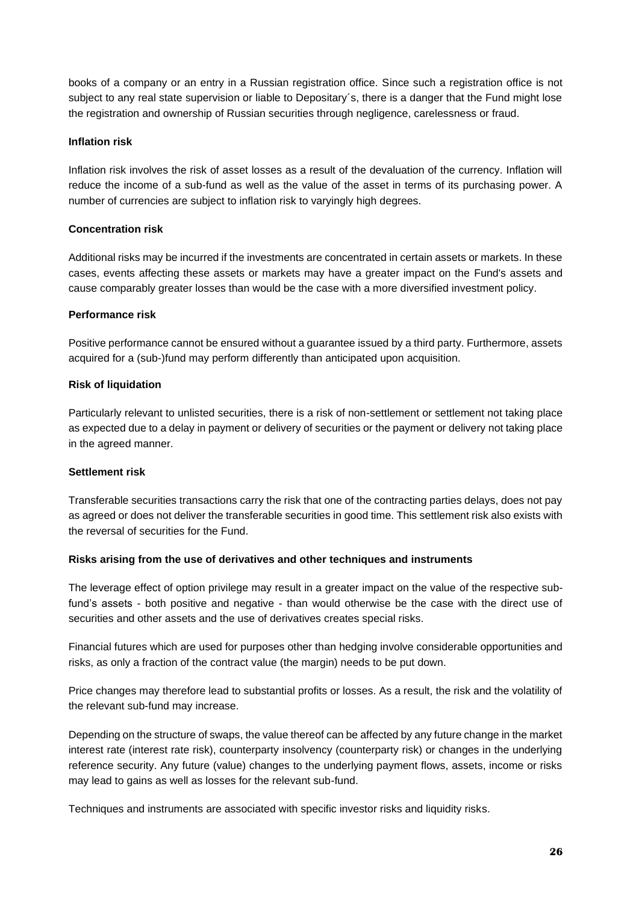books of a company or an entry in a Russian registration office. Since such a registration office is not subject to any real state supervision or liable to Depositary's, there is a danger that the Fund might lose the registration and ownership of Russian securities through negligence, carelessness or fraud.

### **Inflation risk**

Inflation risk involves the risk of asset losses as a result of the devaluation of the currency. Inflation will reduce the income of a sub-fund as well as the value of the asset in terms of its purchasing power. A number of currencies are subject to inflation risk to varyingly high degrees.

### **Concentration risk**

Additional risks may be incurred if the investments are concentrated in certain assets or markets. In these cases, events affecting these assets or markets may have a greater impact on the Fund's assets and cause comparably greater losses than would be the case with a more diversified investment policy.

### **Performance risk**

Positive performance cannot be ensured without a guarantee issued by a third party. Furthermore, assets acquired for a (sub-)fund may perform differently than anticipated upon acquisition.

### **Risk of liquidation**

Particularly relevant to unlisted securities, there is a risk of non-settlement or settlement not taking place as expected due to a delay in payment or delivery of securities or the payment or delivery not taking place in the agreed manner.

### **Settlement risk**

Transferable securities transactions carry the risk that one of the contracting parties delays, does not pay as agreed or does not deliver the transferable securities in good time. This settlement risk also exists with the reversal of securities for the Fund.

# **Risks arising from the use of derivatives and other techniques and instruments**

The leverage effect of option privilege may result in a greater impact on the value of the respective subfund's assets - both positive and negative - than would otherwise be the case with the direct use of securities and other assets and the use of derivatives creates special risks.

Financial futures which are used for purposes other than hedging involve considerable opportunities and risks, as only a fraction of the contract value (the margin) needs to be put down.

Price changes may therefore lead to substantial profits or losses. As a result, the risk and the volatility of the relevant sub-fund may increase.

Depending on the structure of swaps, the value thereof can be affected by any future change in the market interest rate (interest rate risk), counterparty insolvency (counterparty risk) or changes in the underlying reference security. Any future (value) changes to the underlying payment flows, assets, income or risks may lead to gains as well as losses for the relevant sub-fund.

Techniques and instruments are associated with specific investor risks and liquidity risks.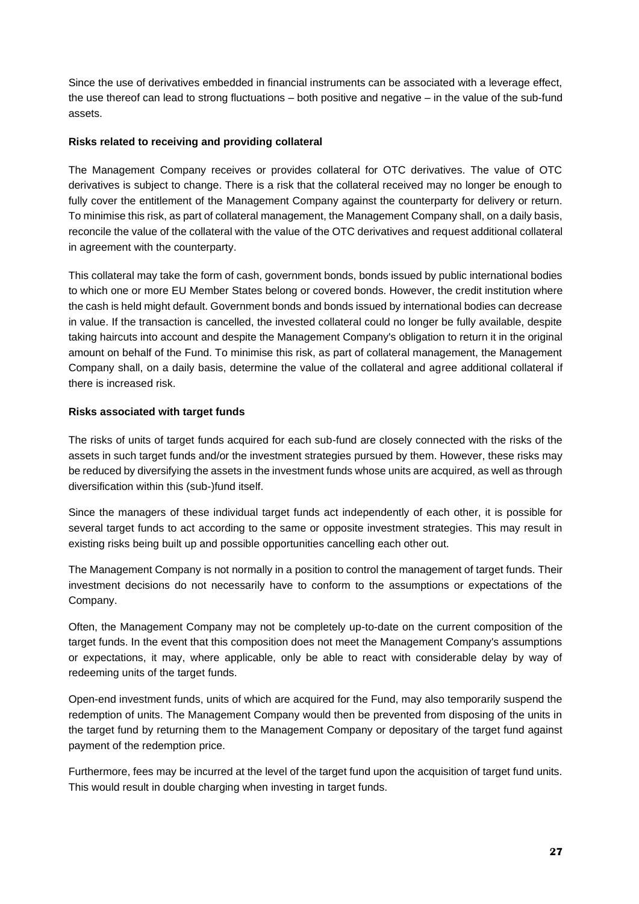Since the use of derivatives embedded in financial instruments can be associated with a leverage effect, the use thereof can lead to strong fluctuations – both positive and negative – in the value of the sub-fund assets.

### **Risks related to receiving and providing collateral**

The Management Company receives or provides collateral for OTC derivatives. The value of OTC derivatives is subject to change. There is a risk that the collateral received may no longer be enough to fully cover the entitlement of the Management Company against the counterparty for delivery or return. To minimise this risk, as part of collateral management, the Management Company shall, on a daily basis, reconcile the value of the collateral with the value of the OTC derivatives and request additional collateral in agreement with the counterparty.

This collateral may take the form of cash, government bonds, bonds issued by public international bodies to which one or more EU Member States belong or covered bonds. However, the credit institution where the cash is held might default. Government bonds and bonds issued by international bodies can decrease in value. If the transaction is cancelled, the invested collateral could no longer be fully available, despite taking haircuts into account and despite the Management Company's obligation to return it in the original amount on behalf of the Fund. To minimise this risk, as part of collateral management, the Management Company shall, on a daily basis, determine the value of the collateral and agree additional collateral if there is increased risk.

### **Risks associated with target funds**

The risks of units of target funds acquired for each sub-fund are closely connected with the risks of the assets in such target funds and/or the investment strategies pursued by them. However, these risks may be reduced by diversifying the assets in the investment funds whose units are acquired, as well as through diversification within this (sub-)fund itself.

Since the managers of these individual target funds act independently of each other, it is possible for several target funds to act according to the same or opposite investment strategies. This may result in existing risks being built up and possible opportunities cancelling each other out.

The Management Company is not normally in a position to control the management of target funds. Their investment decisions do not necessarily have to conform to the assumptions or expectations of the Company.

Often, the Management Company may not be completely up-to-date on the current composition of the target funds. In the event that this composition does not meet the Management Company's assumptions or expectations, it may, where applicable, only be able to react with considerable delay by way of redeeming units of the target funds.

Open-end investment funds, units of which are acquired for the Fund, may also temporarily suspend the redemption of units. The Management Company would then be prevented from disposing of the units in the target fund by returning them to the Management Company or depositary of the target fund against payment of the redemption price.

Furthermore, fees may be incurred at the level of the target fund upon the acquisition of target fund units. This would result in double charging when investing in target funds.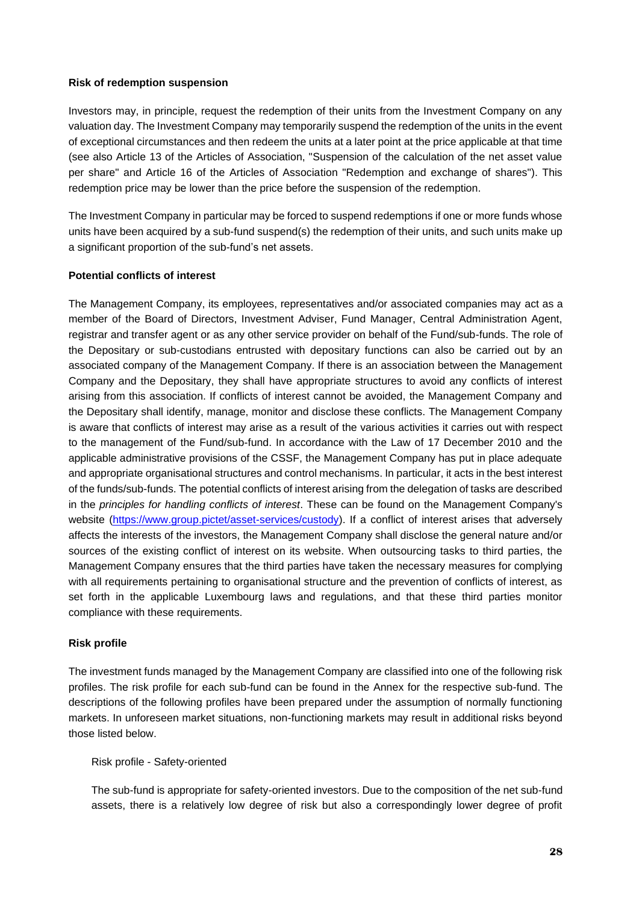#### **Risk of redemption suspension**

Investors may, in principle, request the redemption of their units from the Investment Company on any valuation day. The Investment Company may temporarily suspend the redemption of the units in the event of exceptional circumstances and then redeem the units at a later point at the price applicable at that time (see also Article 13 of the Articles of Association, "Suspension of the calculation of the net asset value per share" and Article 16 of the Articles of Association "Redemption and exchange of shares"). This redemption price may be lower than the price before the suspension of the redemption.

The Investment Company in particular may be forced to suspend redemptions if one or more funds whose units have been acquired by a sub-fund suspend(s) the redemption of their units, and such units make up a significant proportion of the sub-fund's net assets.

#### **Potential conflicts of interest**

The Management Company, its employees, representatives and/or associated companies may act as a member of the Board of Directors, Investment Adviser, Fund Manager, Central Administration Agent, registrar and transfer agent or as any other service provider on behalf of the Fund/sub-funds. The role of the Depositary or sub-custodians entrusted with depositary functions can also be carried out by an associated company of the Management Company. If there is an association between the Management Company and the Depositary, they shall have appropriate structures to avoid any conflicts of interest arising from this association. If conflicts of interest cannot be avoided, the Management Company and the Depositary shall identify, manage, monitor and disclose these conflicts. The Management Company is aware that conflicts of interest may arise as a result of the various activities it carries out with respect to the management of the Fund/sub-fund. In accordance with the Law of 17 December 2010 and the applicable administrative provisions of the CSSF, the Management Company has put in place adequate and appropriate organisational structures and control mechanisms. In particular, it acts in the best interest of the funds/sub-funds. The potential conflicts of interest arising from the delegation of tasks are described in the *principles for handling conflicts of interest*. These can be found on the Management Company's website [\(https://www.group.pictet/asset-services/custody\)](https://www.group.pictet/asset-services/custody). If a conflict of interest arises that adversely affects the interests of the investors, the Management Company shall disclose the general nature and/or sources of the existing conflict of interest on its website. When outsourcing tasks to third parties, the Management Company ensures that the third parties have taken the necessary measures for complying with all requirements pertaining to organisational structure and the prevention of conflicts of interest, as set forth in the applicable Luxembourg laws and regulations, and that these third parties monitor compliance with these requirements.

### **Risk profile**

The investment funds managed by the Management Company are classified into one of the following risk profiles. The risk profile for each sub-fund can be found in the Annex for the respective sub-fund. The descriptions of the following profiles have been prepared under the assumption of normally functioning markets. In unforeseen market situations, non-functioning markets may result in additional risks beyond those listed below.

### Risk profile - Safety-oriented

The sub-fund is appropriate for safety-oriented investors. Due to the composition of the net sub-fund assets, there is a relatively low degree of risk but also a correspondingly lower degree of profit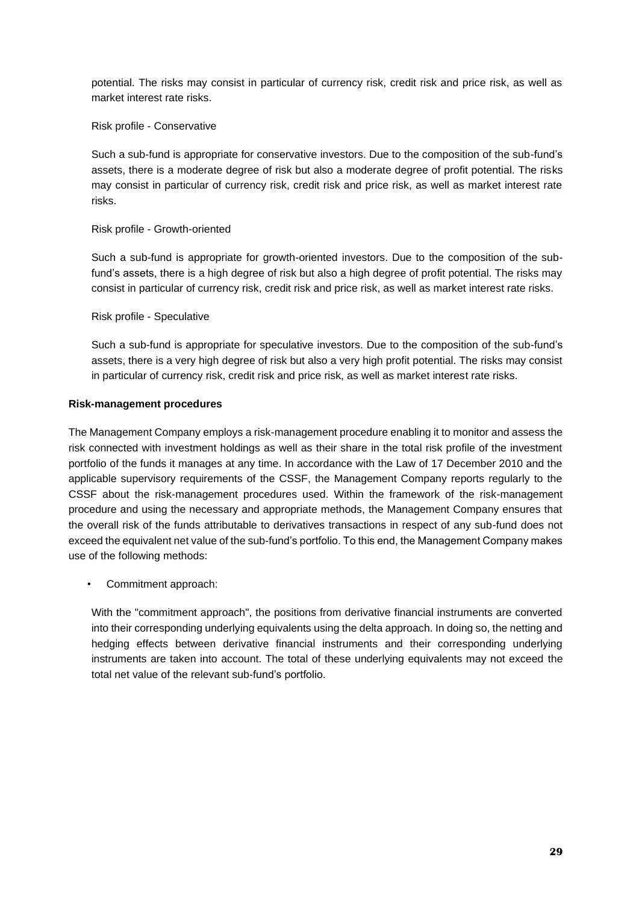potential. The risks may consist in particular of currency risk, credit risk and price risk, as well as market interest rate risks.

Risk profile - Conservative

Such a sub-fund is appropriate for conservative investors. Due to the composition of the sub-fund's assets, there is a moderate degree of risk but also a moderate degree of profit potential. The risks may consist in particular of currency risk, credit risk and price risk, as well as market interest rate risks.

#### Risk profile - Growth-oriented

Such a sub-fund is appropriate for growth-oriented investors. Due to the composition of the subfund's assets, there is a high degree of risk but also a high degree of profit potential. The risks may consist in particular of currency risk, credit risk and price risk, as well as market interest rate risks.

Risk profile - Speculative

Such a sub-fund is appropriate for speculative investors. Due to the composition of the sub-fund's assets, there is a very high degree of risk but also a very high profit potential. The risks may consist in particular of currency risk, credit risk and price risk, as well as market interest rate risks.

#### **Risk-management procedures**

The Management Company employs a risk-management procedure enabling it to monitor and assess the risk connected with investment holdings as well as their share in the total risk profile of the investment portfolio of the funds it manages at any time. In accordance with the Law of 17 December 2010 and the applicable supervisory requirements of the CSSF, the Management Company reports regularly to the CSSF about the risk-management procedures used. Within the framework of the risk-management procedure and using the necessary and appropriate methods, the Management Company ensures that the overall risk of the funds attributable to derivatives transactions in respect of any sub-fund does not exceed the equivalent net value of the sub-fund's portfolio. To this end, the Management Company makes use of the following methods:

• Commitment approach:

With the "commitment approach", the positions from derivative financial instruments are converted into their corresponding underlying equivalents using the delta approach. In doing so, the netting and hedging effects between derivative financial instruments and their corresponding underlying instruments are taken into account. The total of these underlying equivalents may not exceed the total net value of the relevant sub-fund's portfolio.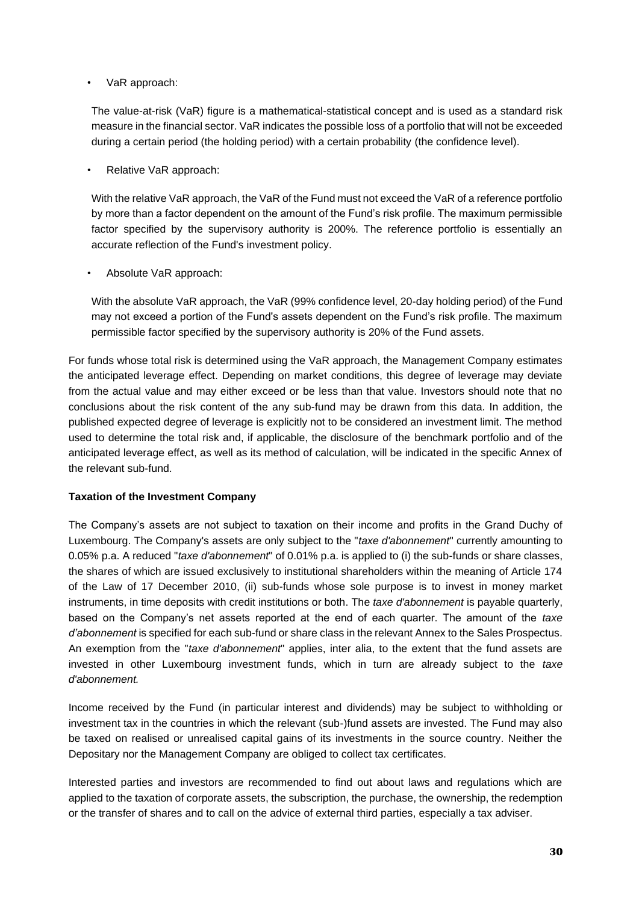• VaR approach:

The value-at-risk (VaR) figure is a mathematical-statistical concept and is used as a standard risk measure in the financial sector. VaR indicates the possible loss of a portfolio that will not be exceeded during a certain period (the holding period) with a certain probability (the confidence level).

• Relative VaR approach:

With the relative VaR approach, the VaR of the Fund must not exceed the VaR of a reference portfolio by more than a factor dependent on the amount of the Fund's risk profile. The maximum permissible factor specified by the supervisory authority is 200%. The reference portfolio is essentially an accurate reflection of the Fund's investment policy.

• Absolute VaR approach:

With the absolute VaR approach, the VaR (99% confidence level, 20-day holding period) of the Fund may not exceed a portion of the Fund's assets dependent on the Fund's risk profile. The maximum permissible factor specified by the supervisory authority is 20% of the Fund assets.

For funds whose total risk is determined using the VaR approach, the Management Company estimates the anticipated leverage effect. Depending on market conditions, this degree of leverage may deviate from the actual value and may either exceed or be less than that value. Investors should note that no conclusions about the risk content of the any sub-fund may be drawn from this data. In addition, the published expected degree of leverage is explicitly not to be considered an investment limit. The method used to determine the total risk and, if applicable, the disclosure of the benchmark portfolio and of the anticipated leverage effect, as well as its method of calculation, will be indicated in the specific Annex of the relevant sub-fund.

### **Taxation of the Investment Company**

The Company's assets are not subject to taxation on their income and profits in the Grand Duchy of Luxembourg. The Company's assets are only subject to the "*taxe d'abonnement*" currently amounting to 0.05% p.a. A reduced "*taxe d'abonnement*" of 0.01% p.a. is applied to (i) the sub-funds or share classes, the shares of which are issued exclusively to institutional shareholders within the meaning of Article 174 of the Law of 17 December 2010, (ii) sub-funds whose sole purpose is to invest in money market instruments, in time deposits with credit institutions or both. The *taxe d'abonnement* is payable quarterly, based on the Company's net assets reported at the end of each quarter. The amount of the *taxe d'abonnement* is specified for each sub-fund or share class in the relevant Annex to the Sales Prospectus. An exemption from the "*taxe d'abonnement*" applies, inter alia, to the extent that the fund assets are invested in other Luxembourg investment funds, which in turn are already subject to the *taxe d'abonnement.* 

Income received by the Fund (in particular interest and dividends) may be subject to withholding or investment tax in the countries in which the relevant (sub-)fund assets are invested. The Fund may also be taxed on realised or unrealised capital gains of its investments in the source country. Neither the Depositary nor the Management Company are obliged to collect tax certificates.

Interested parties and investors are recommended to find out about laws and regulations which are applied to the taxation of corporate assets, the subscription, the purchase, the ownership, the redemption or the transfer of shares and to call on the advice of external third parties, especially a tax adviser.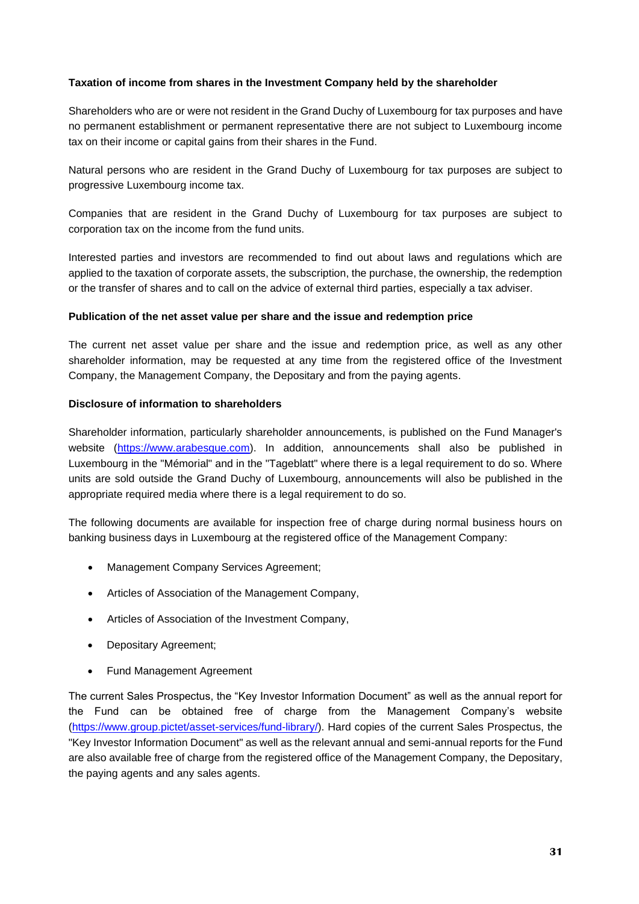### **Taxation of income from shares in the Investment Company held by the shareholder**

Shareholders who are or were not resident in the Grand Duchy of Luxembourg for tax purposes and have no permanent establishment or permanent representative there are not subject to Luxembourg income tax on their income or capital gains from their shares in the Fund.

Natural persons who are resident in the Grand Duchy of Luxembourg for tax purposes are subject to progressive Luxembourg income tax.

Companies that are resident in the Grand Duchy of Luxembourg for tax purposes are subject to corporation tax on the income from the fund units.

Interested parties and investors are recommended to find out about laws and regulations which are applied to the taxation of corporate assets, the subscription, the purchase, the ownership, the redemption or the transfer of shares and to call on the advice of external third parties, especially a tax adviser.

### **Publication of the net asset value per share and the issue and redemption price**

The current net asset value per share and the issue and redemption price, as well as any other shareholder information, may be requested at any time from the registered office of the Investment Company, the Management Company, the Depositary and from the paying agents.

#### **Disclosure of information to shareholders**

Shareholder information, particularly shareholder announcements, is published on the Fund Manager's website [\(https://www.arabesque.com\)](https://www.arabesque.com/). In addition, announcements shall also be published in Luxembourg in the "Mémorial" and in the "Tageblatt" where there is a legal requirement to do so. Where units are sold outside the Grand Duchy of Luxembourg, announcements will also be published in the appropriate required media where there is a legal requirement to do so.

The following documents are available for inspection free of charge during normal business hours on banking business days in Luxembourg at the registered office of the Management Company:

- Management Company Services Agreement;
- Articles of Association of the Management Company,
- Articles of Association of the Investment Company,
- Depositary Agreement;
- Fund Management Agreement

The current Sales Prospectus, the "Key Investor Information Document" as well as the annual report for the Fund can be obtained free of charge from the Management Company's website [\(https://www.group.pictet/asset-services/fund-library/\)](https://gbr01.safelinks.protection.outlook.com/?url=https%3A%2F%2Fwww.group.pictet%2Fasset-services%2Ffund-library%2F&data=02%7C01%7CMatthieu.Chambon%40simmons-simmons.com%7Cf51558d7b03648bc6b9008d82739e440%7C9c0035ef4799443f8b14c5d60303e8cd%7C0%7C0%7C637302476898840042&sdata=JyrD%2FMz3IHKegN6v7Wf2%2BnSdCotd2zgowbbkVGI2pl0%3D&reserved=0). Hard copies of the current Sales Prospectus, the "Key Investor Information Document" as well as the relevant annual and semi-annual reports for the Fund are also available free of charge from the registered office of the Management Company, the Depositary, the paying agents and any sales agents.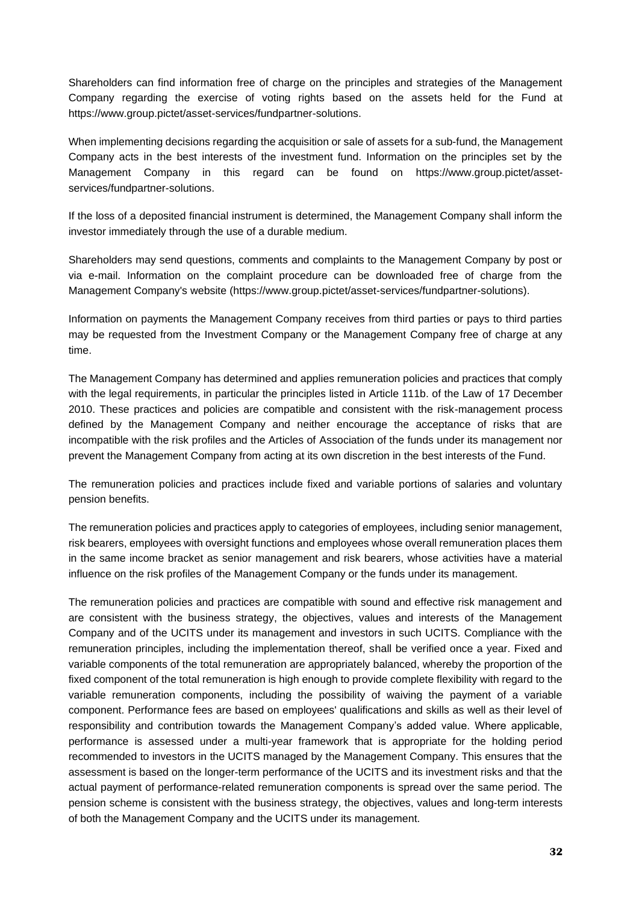Shareholders can find information free of charge on the principles and strategies of the Management Company regarding the exercise of voting rights based on the assets held for the Fund at [https://www.group.pictet/asset-services/fundpartner-solutions.](https://gbr01.safelinks.protection.outlook.com/?url=https%3A%2F%2Fwww.group.pictet%2Fasset-services%2Ffundpartner-solutions&data=02%7C01%7CMatthieu.Chambon%40simmons-simmons.com%7C197b0013f7be4242e79508d827343f82%7C9c0035ef4799443f8b14c5d60303e8cd%7C0%7C0%7C637302452649927103&sdata=mn59jWrDBIpjfYi4Mr1D2c00L1njw6fGlMEh94WlQLc%3D&reserved=0)

When implementing decisions regarding the acquisition or sale of assets for a sub-fund, the Management Company acts in the best interests of the investment fund. Information on the principles set by the Management Company in this regard can be found on [https://www.group.pictet/asset](https://gbr01.safelinks.protection.outlook.com/?url=https%3A%2F%2Fwww.group.pictet%2Fasset-services%2Ffundpartner-solutions&data=02%7C01%7CMatthieu.Chambon%40simmons-simmons.com%7C197b0013f7be4242e79508d827343f82%7C9c0035ef4799443f8b14c5d60303e8cd%7C0%7C0%7C637302452649927103&sdata=mn59jWrDBIpjfYi4Mr1D2c00L1njw6fGlMEh94WlQLc%3D&reserved=0)[services/fundpartner-solutions.](https://gbr01.safelinks.protection.outlook.com/?url=https%3A%2F%2Fwww.group.pictet%2Fasset-services%2Ffundpartner-solutions&data=02%7C01%7CMatthieu.Chambon%40simmons-simmons.com%7C197b0013f7be4242e79508d827343f82%7C9c0035ef4799443f8b14c5d60303e8cd%7C0%7C0%7C637302452649927103&sdata=mn59jWrDBIpjfYi4Mr1D2c00L1njw6fGlMEh94WlQLc%3D&reserved=0)

If the loss of a deposited financial instrument is determined, the Management Company shall inform the investor immediately through the use of a durable medium.

Shareholders may send questions, comments and complaints to the Management Company by post or via e-mail. Information on the complaint procedure can be downloaded free of charge from the Management Company's website [\(https://www.group.pictet/asset-services/fundpartner-solutions\)](https://gbr01.safelinks.protection.outlook.com/?url=https%3A%2F%2Fwww.group.pictet%2Fasset-services%2Ffundpartner-solutions&data=02%7C01%7CMatthieu.Chambon%40simmons-simmons.com%7C197b0013f7be4242e79508d827343f82%7C9c0035ef4799443f8b14c5d60303e8cd%7C0%7C0%7C637302452649927103&sdata=mn59jWrDBIpjfYi4Mr1D2c00L1njw6fGlMEh94WlQLc%3D&reserved=0).

Information on payments the Management Company receives from third parties or pays to third parties may be requested from the Investment Company or the Management Company free of charge at any time.

The Management Company has determined and applies remuneration policies and practices that comply with the legal requirements, in particular the principles listed in Article 111b. of the Law of 17 December 2010. These practices and policies are compatible and consistent with the risk-management process defined by the Management Company and neither encourage the acceptance of risks that are incompatible with the risk profiles and the Articles of Association of the funds under its management nor prevent the Management Company from acting at its own discretion in the best interests of the Fund.

The remuneration policies and practices include fixed and variable portions of salaries and voluntary pension benefits.

The remuneration policies and practices apply to categories of employees, including senior management, risk bearers, employees with oversight functions and employees whose overall remuneration places them in the same income bracket as senior management and risk bearers, whose activities have a material influence on the risk profiles of the Management Company or the funds under its management.

The remuneration policies and practices are compatible with sound and effective risk management and are consistent with the business strategy, the objectives, values and interests of the Management Company and of the UCITS under its management and investors in such UCITS. Compliance with the remuneration principles, including the implementation thereof, shall be verified once a year. Fixed and variable components of the total remuneration are appropriately balanced, whereby the proportion of the fixed component of the total remuneration is high enough to provide complete flexibility with regard to the variable remuneration components, including the possibility of waiving the payment of a variable component. Performance fees are based on employees' qualifications and skills as well as their level of responsibility and contribution towards the Management Company's added value. Where applicable, performance is assessed under a multi-year framework that is appropriate for the holding period recommended to investors in the UCITS managed by the Management Company. This ensures that the assessment is based on the longer-term performance of the UCITS and its investment risks and that the actual payment of performance-related remuneration components is spread over the same period. The pension scheme is consistent with the business strategy, the objectives, values and long-term interests of both the Management Company and the UCITS under its management.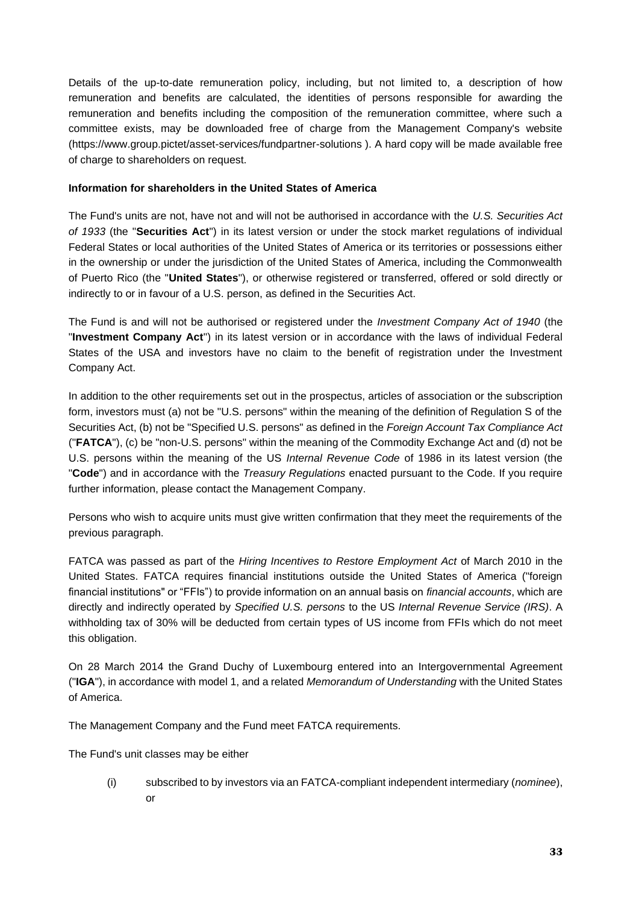Details of the up-to-date remuneration policy, including, but not limited to, a description of how remuneration and benefits are calculated, the identities of persons responsible for awarding the remuneration and benefits including the composition of the remuneration committee, where such a committee exists, may be downloaded free of charge from the Management Company's website [\(https://www.group.pictet/asset-services/fundpartner-solutions](https://gbr01.safelinks.protection.outlook.com/?url=https%3A%2F%2Fwww.group.pictet%2Fasset-services%2Ffundpartner-solutions&data=02%7C01%7CMatthieu.Chambon%40simmons-simmons.com%7C197b0013f7be4242e79508d827343f82%7C9c0035ef4799443f8b14c5d60303e8cd%7C0%7C0%7C637302452649927103&sdata=mn59jWrDBIpjfYi4Mr1D2c00L1njw6fGlMEh94WlQLc%3D&reserved=0) ). A hard copy will be made available free of charge to shareholders on request.

### **Information for shareholders in the United States of America**

The Fund's units are not, have not and will not be authorised in accordance with the *U.S. Securities Act of 1933* (the "**Securities Act**") in its latest version or under the stock market regulations of individual Federal States or local authorities of the United States of America or its territories or possessions either in the ownership or under the jurisdiction of the United States of America, including the Commonwealth of Puerto Rico (the "**United States**"), or otherwise registered or transferred, offered or sold directly or indirectly to or in favour of a U.S. person, as defined in the Securities Act.

The Fund is and will not be authorised or registered under the *Investment Company Act of 1940* (the "**Investment Company Act**") in its latest version or in accordance with the laws of individual Federal States of the USA and investors have no claim to the benefit of registration under the Investment Company Act.

In addition to the other requirements set out in the prospectus, articles of association or the subscription form, investors must (a) not be "U.S. persons" within the meaning of the definition of Regulation S of the Securities Act, (b) not be "Specified U.S. persons" as defined in the *Foreign Account Tax Compliance Act* ("**FATCA**"), (c) be "non-U.S. persons" within the meaning of the Commodity Exchange Act and (d) not be U.S. persons within the meaning of the US *Internal Revenue Code* of 1986 in its latest version (the "**Code**") and in accordance with the *Treasury Regulations* enacted pursuant to the Code. If you require further information, please contact the Management Company.

Persons who wish to acquire units must give written confirmation that they meet the requirements of the previous paragraph.

FATCA was passed as part of the *Hiring Incentives to Restore Employment Act* of March 2010 in the United States. FATCA requires financial institutions outside the United States of America ("foreign financial institutions" or "FFIs") to provide information on an annual basis on *financial accounts*, which are directly and indirectly operated by *Specified U.S. persons* to the US *Internal Revenue Service (IRS)*. A withholding tax of 30% will be deducted from certain types of US income from FFIs which do not meet this obligation.

On 28 March 2014 the Grand Duchy of Luxembourg entered into an Intergovernmental Agreement ("**IGA**"), in accordance with model 1, and a related *Memorandum of Understanding* with the United States of America.

The Management Company and the Fund meet FATCA requirements.

The Fund's unit classes may be either

(i) subscribed to by investors via an FATCA-compliant independent intermediary (*nominee*), or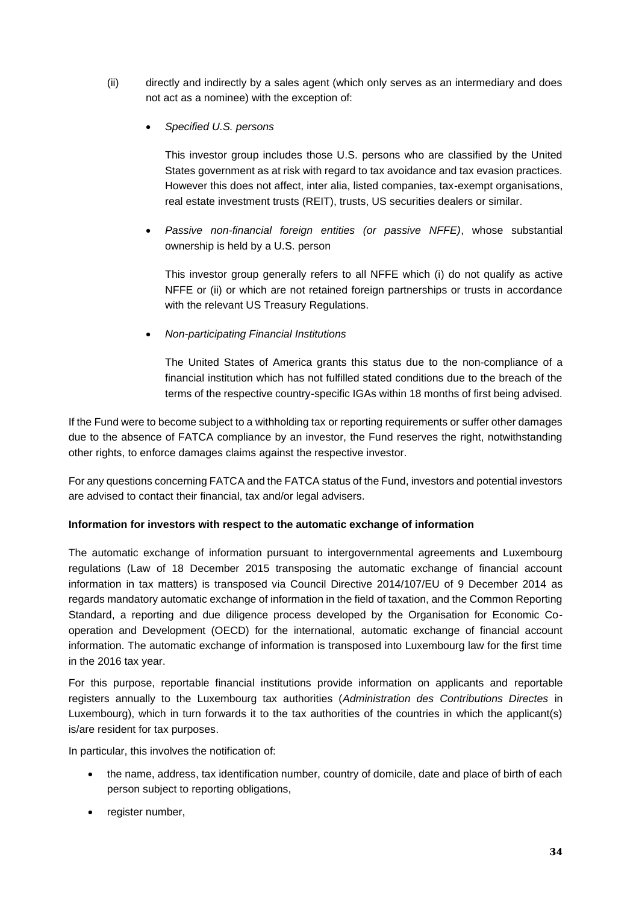- (ii) directly and indirectly by a sales agent (which only serves as an intermediary and does not act as a nominee) with the exception of:
	- *Specified U.S. persons*

This investor group includes those U.S. persons who are classified by the United States government as at risk with regard to tax avoidance and tax evasion practices. However this does not affect, inter alia, listed companies, tax-exempt organisations, real estate investment trusts (REIT), trusts, US securities dealers or similar.

• *Passive non-financial foreign entities (or passive NFFE)*, whose substantial ownership is held by a U.S. person

This investor group generally refers to all NFFE which (i) do not qualify as active NFFE or (ii) or which are not retained foreign partnerships or trusts in accordance with the relevant US Treasury Regulations.

• *Non-participating Financial Institutions* 

The United States of America grants this status due to the non-compliance of a financial institution which has not fulfilled stated conditions due to the breach of the terms of the respective country-specific IGAs within 18 months of first being advised.

If the Fund were to become subject to a withholding tax or reporting requirements or suffer other damages due to the absence of FATCA compliance by an investor, the Fund reserves the right, notwithstanding other rights, to enforce damages claims against the respective investor.

For any questions concerning FATCA and the FATCA status of the Fund, investors and potential investors are advised to contact their financial, tax and/or legal advisers.

### **Information for investors with respect to the automatic exchange of information**

The automatic exchange of information pursuant to intergovernmental agreements and Luxembourg regulations (Law of 18 December 2015 transposing the automatic exchange of financial account information in tax matters) is transposed via Council Directive 2014/107/EU of 9 December 2014 as regards mandatory automatic exchange of information in the field of taxation, and the Common Reporting Standard, a reporting and due diligence process developed by the Organisation for Economic Cooperation and Development (OECD) for the international, automatic exchange of financial account information. The automatic exchange of information is transposed into Luxembourg law for the first time in the 2016 tax year.

For this purpose, reportable financial institutions provide information on applicants and reportable registers annually to the Luxembourg tax authorities (*Administration des Contributions Directes* in Luxembourg), which in turn forwards it to the tax authorities of the countries in which the applicant(s) is/are [resident for tax purposes.](https://www.ing.lu/web/ING/TAX_RESIDENCE_DE)

In particular, this involves the notification of:

- the name, address, tax identification number, country of domicile, date and place of birth of each person subject to reporting obligations,
- register number,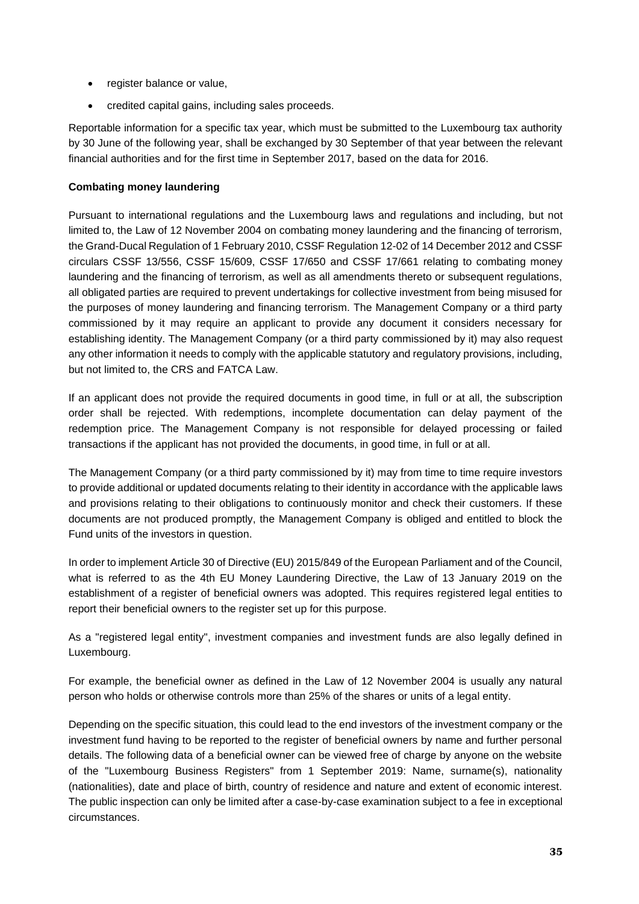- register balance or value,
- credited capital gains, including sales proceeds.

Reportable information for a specific tax year, which must be submitted to the Luxembourg tax authority by 30 June of the following year, shall be exchanged by 30 September of that year between the relevant financial authorities and for the first time in September 2017, based on the data for 2016.

### **Combating money laundering**

Pursuant to international regulations and the Luxembourg laws and regulations and including, but not limited to, the Law of 12 November 2004 on combating money laundering and the financing of terrorism, the Grand-Ducal Regulation of 1 February 2010, CSSF Regulation 12-02 of 14 December 2012 and CSSF circulars CSSF 13/556, CSSF 15/609, CSSF 17/650 and CSSF 17/661 relating to combating money laundering and the financing of terrorism, as well as all amendments thereto or subsequent regulations, all obligated parties are required to prevent undertakings for collective investment from being misused for the purposes of money laundering and financing terrorism. The Management Company or a third party commissioned by it may require an applicant to provide any document it considers necessary for establishing identity. The Management Company (or a third party commissioned by it) may also request any other information it needs to comply with the applicable statutory and regulatory provisions, including, but not limited to, the CRS and FATCA Law.

If an applicant does not provide the required documents in good time, in full or at all, the subscription order shall be rejected. With redemptions, incomplete documentation can delay payment of the redemption price. The Management Company is not responsible for delayed processing or failed transactions if the applicant has not provided the documents, in good time, in full or at all.

The Management Company (or a third party commissioned by it) may from time to time require investors to provide additional or updated documents relating to their identity in accordance with the applicable laws and provisions relating to their obligations to continuously monitor and check their customers. If these documents are not produced promptly, the Management Company is obliged and entitled to block the Fund units of the investors in question.

In order to implement Article 30 of Directive (EU) 2015/849 of the European Parliament and of the Council, what is referred to as the 4th EU Money Laundering Directive, the Law of 13 January 2019 on the establishment of a register of beneficial owners was adopted. This requires registered legal entities to report their beneficial owners to the register set up for this purpose.

As a "registered legal entity", investment companies and investment funds are also legally defined in Luxembourg.

For example, the beneficial owner as defined in the Law of 12 November 2004 is usually any natural person who holds or otherwise controls more than 25% of the shares or units of a legal entity.

Depending on the specific situation, this could lead to the end investors of the investment company or the investment fund having to be reported to the register of beneficial owners by name and further personal details. The following data of a beneficial owner can be viewed free of charge by anyone on the website of the "Luxembourg Business Registers" from 1 September 2019: Name, surname(s), nationality (nationalities), date and place of birth, country of residence and nature and extent of economic interest. The public inspection can only be limited after a case-by-case examination subject to a fee in exceptional circumstances.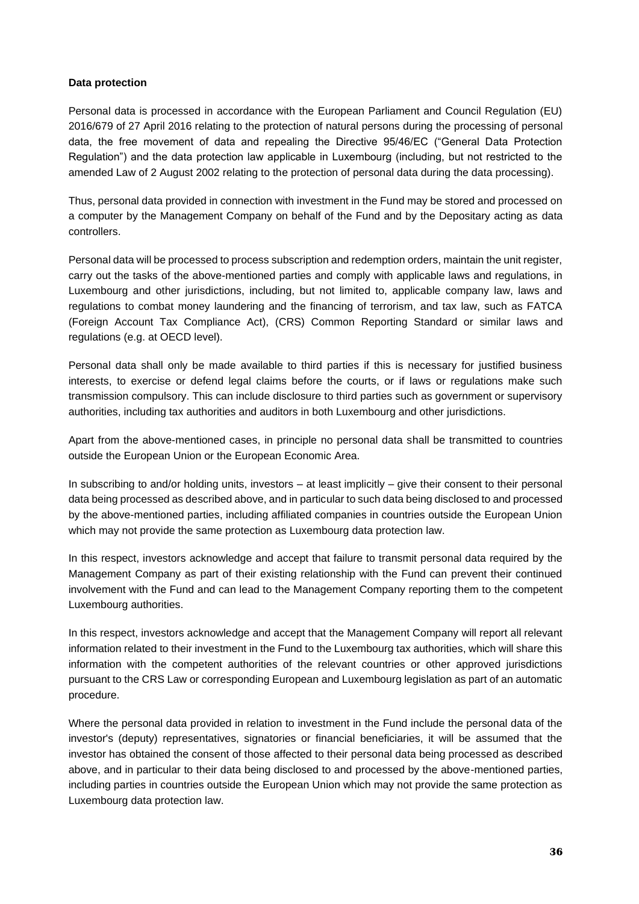### **Data protection**

Personal data is processed in accordance with the European Parliament and Council Regulation (EU) 2016/679 of 27 April 2016 relating to the protection of natural persons during the processing of personal data, the free movement of data and repealing the Directive 95/46/EC ("General Data Protection Regulation") and the data protection law applicable in Luxembourg (including, but not restricted to the amended Law of 2 August 2002 relating to the protection of personal data during the data processing).

Thus, personal data provided in connection with investment in the Fund may be stored and processed on a computer by the Management Company on behalf of the Fund and by the Depositary acting as data controllers.

Personal data will be processed to process subscription and redemption orders, maintain the unit register, carry out the tasks of the above-mentioned parties and comply with applicable laws and regulations, in Luxembourg and other jurisdictions, including, but not limited to, applicable company law, laws and regulations to combat money laundering and the financing of terrorism, and tax law, such as FATCA (Foreign Account Tax Compliance Act), (CRS) Common Reporting Standard or similar laws and regulations (e.g. at OECD level).

Personal data shall only be made available to third parties if this is necessary for justified business interests, to exercise or defend legal claims before the courts, or if laws or regulations make such transmission compulsory. This can include disclosure to third parties such as government or supervisory authorities, including tax authorities and auditors in both Luxembourg and other jurisdictions.

Apart from the above-mentioned cases, in principle no personal data shall be transmitted to countries outside the European Union or the European Economic Area.

In subscribing to and/or holding units, investors – at least implicitly – give their consent to their personal data being processed as described above, and in particular to such data being disclosed to and processed by the above-mentioned parties, including affiliated companies in countries outside the European Union which may not provide the same protection as Luxembourg data protection law.

In this respect, investors acknowledge and accept that failure to transmit personal data required by the Management Company as part of their existing relationship with the Fund can prevent their continued involvement with the Fund and can lead to the Management Company reporting them to the competent Luxembourg authorities.

In this respect, investors acknowledge and accept that the Management Company will report all relevant information related to their investment in the Fund to the Luxembourg tax authorities, which will share this information with the competent authorities of the relevant countries or other approved jurisdictions pursuant to the CRS Law or corresponding European and Luxembourg legislation as part of an automatic procedure.

Where the personal data provided in relation to investment in the Fund include the personal data of the investor's (deputy) representatives, signatories or financial beneficiaries, it will be assumed that the investor has obtained the consent of those affected to their personal data being processed as described above, and in particular to their data being disclosed to and processed by the above-mentioned parties, including parties in countries outside the European Union which may not provide the same protection as Luxembourg data protection law.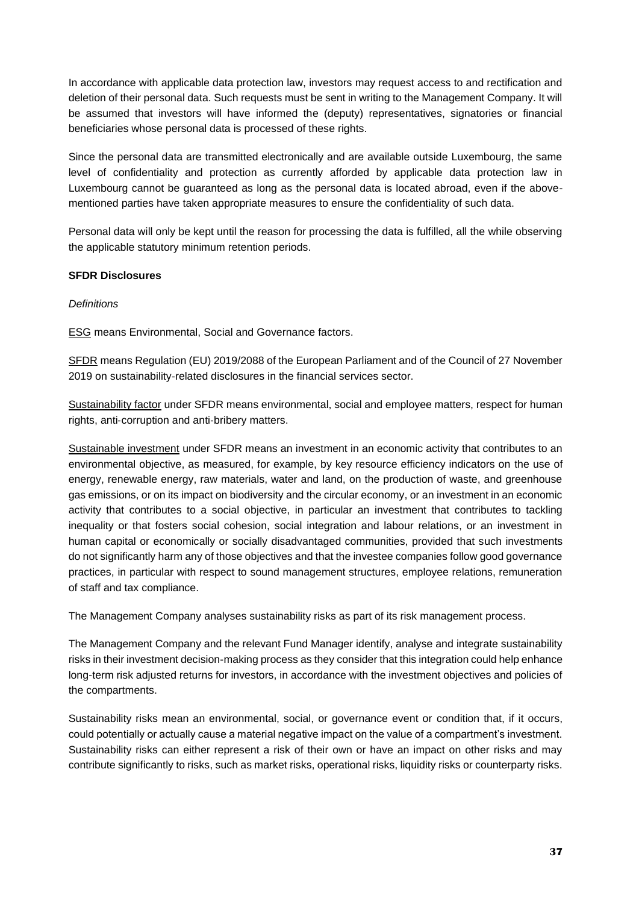In accordance with applicable data protection law, investors may request access to and rectification and deletion of their personal data. Such requests must be sent in writing to the Management Company. It will be assumed that investors will have informed the (deputy) representatives, signatories or financial beneficiaries whose personal data is processed of these rights.

Since the personal data are transmitted electronically and are available outside Luxembourg, the same level of confidentiality and protection as currently afforded by applicable data protection law in Luxembourg cannot be guaranteed as long as the personal data is located abroad, even if the abovementioned parties have taken appropriate measures to ensure the confidentiality of such data.

Personal data will only be kept until the reason for processing the data is fulfilled, all the while observing the applicable statutory minimum retention periods.

## **SFDR Disclosures**

## *Definitions*

ESG means Environmental, Social and Governance factors.

SFDR means Regulation (EU) 2019/2088 of the European Parliament and of the Council of 27 November 2019 on sustainability-related disclosures in the financial services sector.

Sustainability factor under SFDR means environmental, social and employee matters, respect for human rights, anti‐corruption and anti‐bribery matters.

Sustainable investment under SFDR means an investment in an economic activity that contributes to an environmental objective, as measured, for example, by key resource efficiency indicators on the use of energy, renewable energy, raw materials, water and land, on the production of waste, and greenhouse gas emissions, or on its impact on biodiversity and the circular economy, or an investment in an economic activity that contributes to a social objective, in particular an investment that contributes to tackling inequality or that fosters social cohesion, social integration and labour relations, or an investment in human capital or economically or socially disadvantaged communities, provided that such investments do not significantly harm any of those objectives and that the investee companies follow good governance practices, in particular with respect to sound management structures, employee relations, remuneration of staff and tax compliance.

The Management Company analyses sustainability risks as part of its risk management process.

The Management Company and the relevant Fund Manager identify, analyse and integrate sustainability risks in their investment decision-making process as they consider that this integration could help enhance long-term risk adjusted returns for investors, in accordance with the investment objectives and policies of the compartments.

Sustainability risks mean an environmental, social, or governance event or condition that, if it occurs, could potentially or actually cause a material negative impact on the value of a compartment's investment. Sustainability risks can either represent a risk of their own or have an impact on other risks and may contribute significantly to risks, such as market risks, operational risks, liquidity risks or counterparty risks.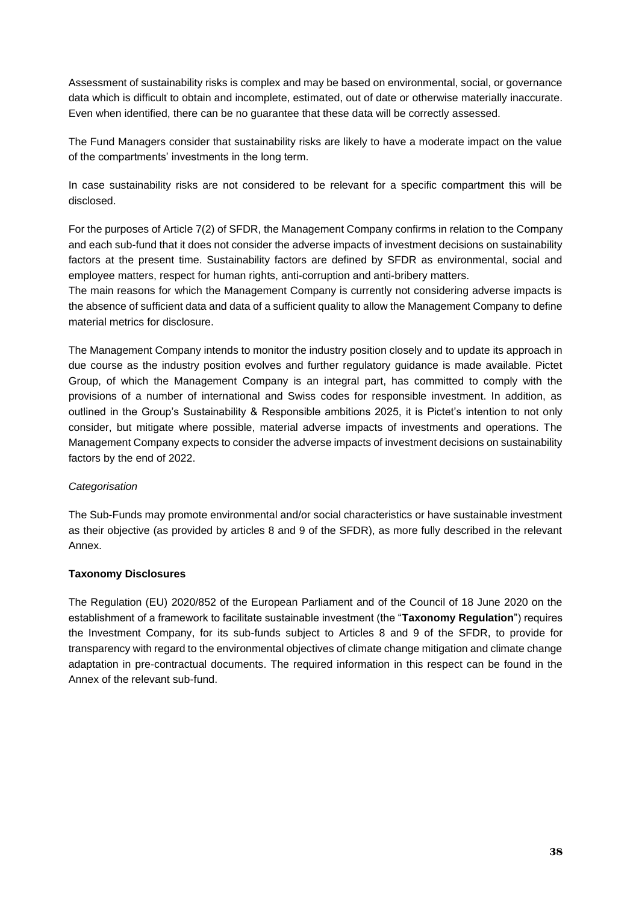Assessment of sustainability risks is complex and may be based on environmental, social, or governance data which is difficult to obtain and incomplete, estimated, out of date or otherwise materially inaccurate. Even when identified, there can be no guarantee that these data will be correctly assessed.

The Fund Managers consider that sustainability risks are likely to have a moderate impact on the value of the compartments' investments in the long term.

In case sustainability risks are not considered to be relevant for a specific compartment this will be disclosed.

For the purposes of Article 7(2) of SFDR, the Management Company confirms in relation to the Company and each sub-fund that it does not consider the adverse impacts of investment decisions on sustainability factors at the present time. Sustainability factors are defined by SFDR as environmental, social and employee matters, respect for human rights, anti-corruption and anti-bribery matters.

The main reasons for which the Management Company is currently not considering adverse impacts is the absence of sufficient data and data of a sufficient quality to allow the Management Company to define material metrics for disclosure.

The Management Company intends to monitor the industry position closely and to update its approach in due course as the industry position evolves and further regulatory guidance is made available. Pictet Group, of which the Management Company is an integral part, has committed to comply with the provisions of a number of international and Swiss codes for responsible investment. In addition, as outlined in the Group's Sustainability & Responsible ambitions 2025, it is Pictet's intention to not only consider, but mitigate where possible, material adverse impacts of investments and operations. The Management Company expects to consider the adverse impacts of investment decisions on sustainability factors by the end of 2022.

#### *Categorisation*

The Sub-Funds may promote environmental and/or social characteristics or have sustainable investment as their objective (as provided by articles 8 and 9 of the SFDR), as more fully described in the relevant Annex.

#### **Taxonomy Disclosures**

The Regulation (EU) 2020/852 of the European Parliament and of the Council of 18 June 2020 on the establishment of a framework to facilitate sustainable investment (the "**Taxonomy Regulation**") requires the Investment Company, for its sub-funds subject to Articles 8 and 9 of the SFDR, to provide for transparency with regard to the environmental objectives of climate change mitigation and climate change adaptation in pre-contractual documents. The required information in this respect can be found in the Annex of the relevant sub-fund.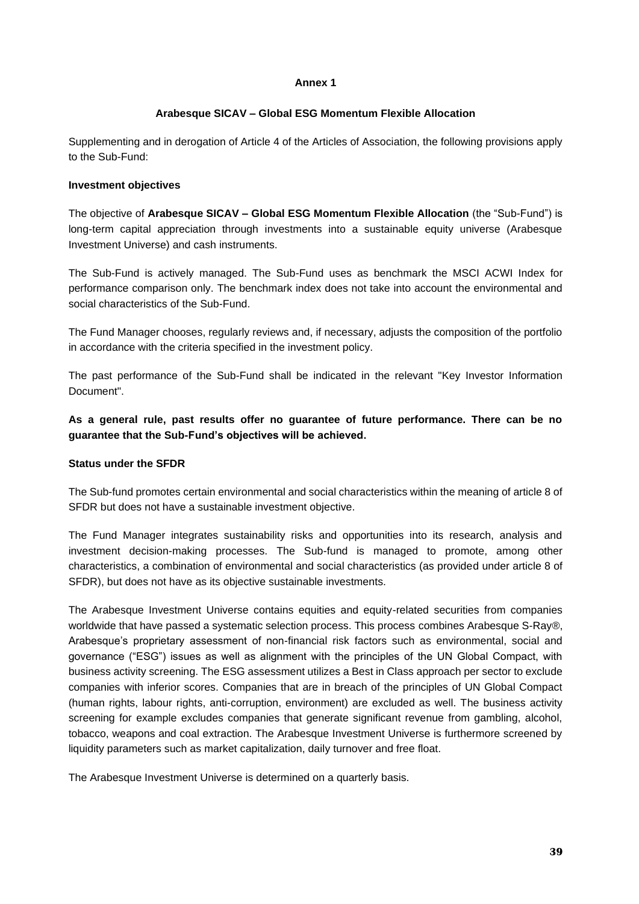#### **Annex 1**

### **Arabesque SICAV – Global ESG Momentum Flexible Allocation**

Supplementing and in derogation of Article 4 of the Articles of Association, the following provisions apply to the Sub-Fund:

### **Investment objectives**

The objective of **Arabesque SICAV – Global ESG Momentum Flexible Allocation** (the "Sub-Fund") is long-term capital appreciation through investments into a sustainable equity universe (Arabesque Investment Universe) and cash instruments.

The Sub-Fund is actively managed. The Sub-Fund uses as benchmark the MSCI ACWI Index for performance comparison only. The benchmark index does not take into account the environmental and social characteristics of the Sub-Fund.

The Fund Manager chooses, regularly reviews and, if necessary, adjusts the composition of the portfolio in accordance with the criteria specified in the investment policy.

The past performance of the Sub-Fund shall be indicated in the relevant "Key Investor Information Document".

**As a general rule, past results offer no guarantee of future performance. There can be no guarantee that the Sub-Fund's objectives will be achieved.** 

#### **Status under the SFDR**

The Sub-fund promotes certain environmental and social characteristics within the meaning of article 8 of SFDR but does not have a sustainable investment objective.

The Fund Manager integrates sustainability risks and opportunities into its research, analysis and investment decision-making processes. The Sub-fund is managed to promote, among other characteristics, a combination of environmental and social characteristics (as provided under article 8 of SFDR), but does not have as its objective sustainable investments.

The Arabesque Investment Universe contains equities and equity-related securities from companies worldwide that have passed a systematic selection process. This process combines Arabesque S-Ray®, Arabesque's proprietary assessment of non-financial risk factors such as environmental, social and governance ("ESG") issues as well as alignment with the principles of the UN Global Compact, with business activity screening. The ESG assessment utilizes a Best in Class approach per sector to exclude companies with inferior scores. Companies that are in breach of the principles of UN Global Compact (human rights, labour rights, anti-corruption, environment) are excluded as well. The business activity screening for example excludes companies that generate significant revenue from gambling, alcohol, tobacco, weapons and coal extraction. The Arabesque Investment Universe is furthermore screened by liquidity parameters such as market capitalization, daily turnover and free float.

The Arabesque Investment Universe is determined on a quarterly basis.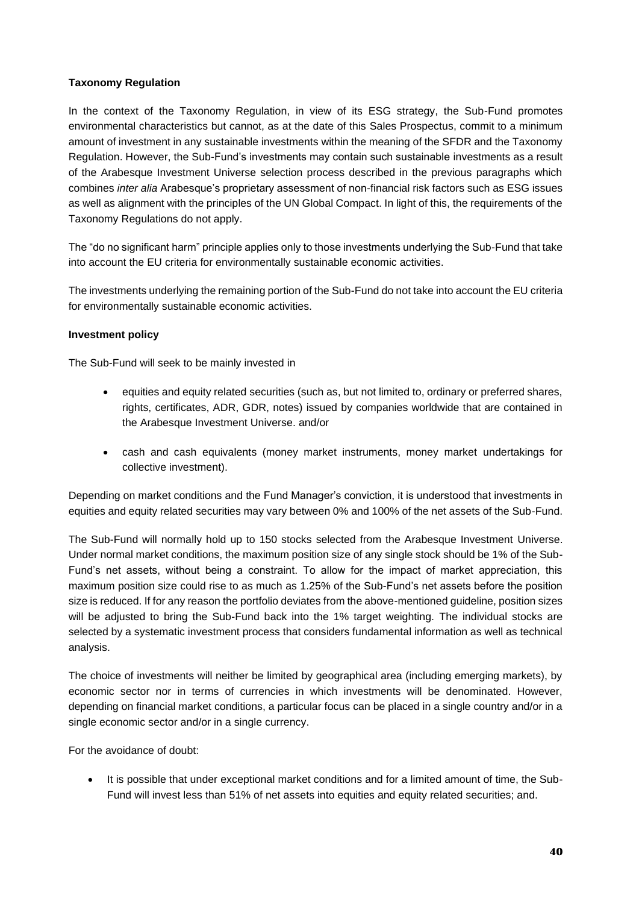## **Taxonomy Regulation**

In the context of the Taxonomy Regulation, in view of its ESG strategy, the Sub-Fund promotes environmental characteristics but cannot, as at the date of this Sales Prospectus, commit to a minimum amount of investment in any sustainable investments within the meaning of the SFDR and the Taxonomy Regulation. However, the Sub-Fund's investments may contain such sustainable investments as a result of the Arabesque Investment Universe selection process described in the previous paragraphs which combines *inter alia* Arabesque's proprietary assessment of non-financial risk factors such as ESG issues as well as alignment with the principles of the UN Global Compact. In light of this, the requirements of the Taxonomy Regulations do not apply.

The "do no significant harm" principle applies only to those investments underlying the Sub-Fund that take into account the EU criteria for environmentally sustainable economic activities.

The investments underlying the remaining portion of the Sub-Fund do not take into account the EU criteria for environmentally sustainable economic activities.

## **Investment policy**

The Sub-Fund will seek to be mainly invested in

- equities and equity related securities (such as, but not limited to, ordinary or preferred shares, rights, certificates, ADR, GDR, notes) issued by companies worldwide that are contained in the Arabesque Investment Universe. and/or
- cash and cash equivalents (money market instruments, money market undertakings for collective investment).

Depending on market conditions and the Fund Manager's conviction, it is understood that investments in equities and equity related securities may vary between 0% and 100% of the net assets of the Sub-Fund.

The Sub-Fund will normally hold up to 150 stocks selected from the Arabesque Investment Universe. Under normal market conditions, the maximum position size of any single stock should be 1% of the Sub-Fund's net assets, without being a constraint. To allow for the impact of market appreciation, this maximum position size could rise to as much as 1.25% of the Sub-Fund's net assets before the position size is reduced. If for any reason the portfolio deviates from the above-mentioned guideline, position sizes will be adjusted to bring the Sub-Fund back into the 1% target weighting. The individual stocks are selected by a systematic investment process that considers fundamental information as well as technical analysis.

The choice of investments will neither be limited by geographical area (including emerging markets), by economic sector nor in terms of currencies in which investments will be denominated. However, depending on financial market conditions, a particular focus can be placed in a single country and/or in a single economic sector and/or in a single currency.

For the avoidance of doubt:

• It is possible that under exceptional market conditions and for a limited amount of time, the Sub-Fund will invest less than 51% of net assets into equities and equity related securities; and.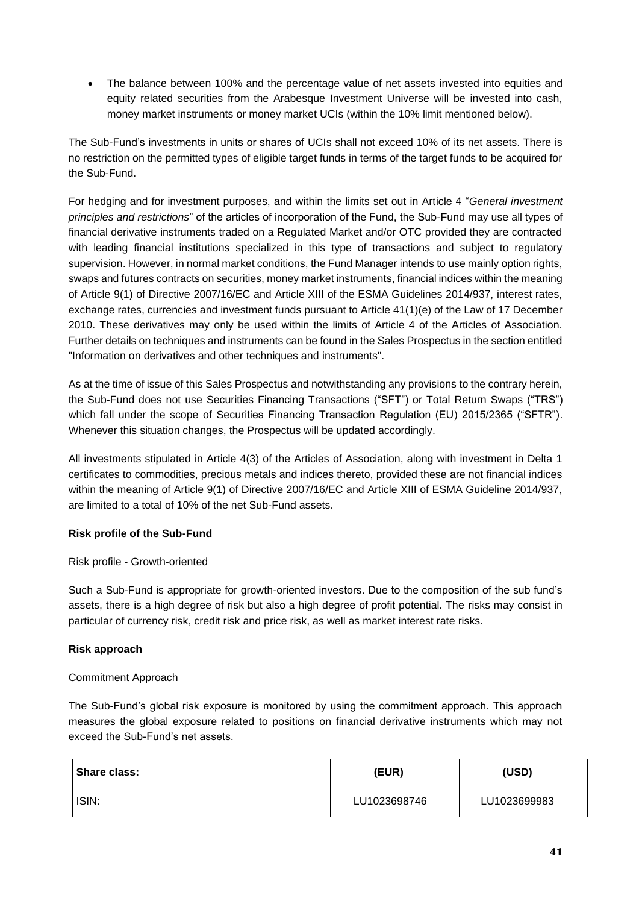• The balance between 100% and the percentage value of net assets invested into equities and equity related securities from the Arabesque Investment Universe will be invested into cash, money market instruments or money market UCIs (within the 10% limit mentioned below).

The Sub-Fund's investments in units or shares of UCIs shall not exceed 10% of its net assets. There is no restriction on the permitted types of eligible target funds in terms of the target funds to be acquired for the Sub-Fund.

For hedging and for investment purposes, and within the limits set out in Article 4 "*General investment principles and restrictions*" of the articles of incorporation of the Fund, the Sub-Fund may use all types of financial derivative instruments traded on a Regulated Market and/or OTC provided they are contracted with leading financial institutions specialized in this type of transactions and subject to regulatory supervision. However, in normal market conditions, the Fund Manager intends to use mainly option rights, swaps and futures contracts on securities, money market instruments, financial indices within the meaning of Article 9(1) of Directive 2007/16/EC and Article XIII of the ESMA Guidelines 2014/937, interest rates, exchange rates, currencies and investment funds pursuant to Article 41(1)(e) of the Law of 17 December 2010. These derivatives may only be used within the limits of Article 4 of the Articles of Association. Further details on techniques and instruments can be found in the Sales Prospectus in the section entitled "Information on derivatives and other techniques and instruments".

As at the time of issue of this Sales Prospectus and notwithstanding any provisions to the contrary herein, the Sub-Fund does not use Securities Financing Transactions ("SFT") or Total Return Swaps ("TRS") which fall under the scope of Securities Financing Transaction Regulation (EU) 2015/2365 ("SFTR"). Whenever this situation changes, the Prospectus will be updated accordingly.

All investments stipulated in Article 4(3) of the Articles of Association, along with investment in Delta 1 certificates to commodities, precious metals and indices thereto, provided these are not financial indices within the meaning of Article 9(1) of Directive 2007/16/EC and Article XIII of ESMA Guideline 2014/937, are limited to a total of 10% of the net Sub-Fund assets.

# **Risk profile of the Sub-Fund**

Risk profile - Growth-oriented

Such a Sub-Fund is appropriate for growth-oriented investors. Due to the composition of the sub fund's assets, there is a high degree of risk but also a high degree of profit potential. The risks may consist in particular of currency risk, credit risk and price risk, as well as market interest rate risks.

# **Risk approach**

# Commitment Approach

The Sub-Fund's global risk exposure is monitored by using the commitment approach. This approach measures the global exposure related to positions on financial derivative instruments which may not exceed the Sub-Fund's net assets.

| Share class: | (EUR)        | (USD)        |
|--------------|--------------|--------------|
| ISIN:        | LU1023698746 | LU1023699983 |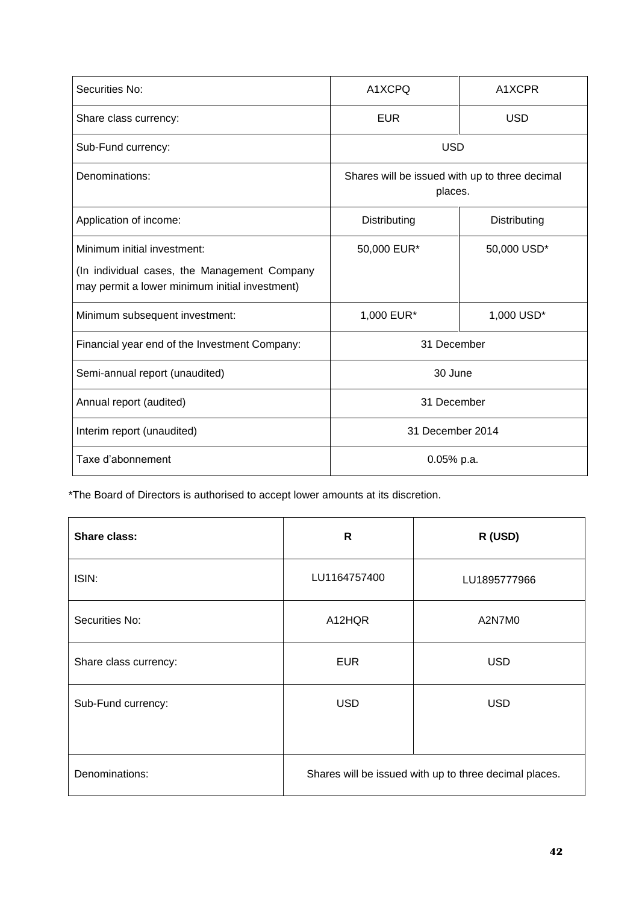| Securities No:                                                                                 | A1XCPQ                                                    | A1XCPR       |
|------------------------------------------------------------------------------------------------|-----------------------------------------------------------|--------------|
| Share class currency:                                                                          | <b>EUR</b>                                                | <b>USD</b>   |
| Sub-Fund currency:                                                                             | <b>USD</b>                                                |              |
| Denominations:                                                                                 | Shares will be issued with up to three decimal<br>places. |              |
| Application of income:                                                                         | Distributing                                              | Distributing |
| Minimum initial investment:                                                                    | 50,000 EUR*                                               | 50,000 USD*  |
| (In individual cases, the Management Company<br>may permit a lower minimum initial investment) |                                                           |              |
| Minimum subsequent investment:                                                                 | 1,000 EUR*                                                | 1,000 USD*   |
| Financial year end of the Investment Company:                                                  | 31 December                                               |              |
| Semi-annual report (unaudited)                                                                 | 30 June                                                   |              |
| Annual report (audited)                                                                        | 31 December                                               |              |
| Interim report (unaudited)                                                                     | 31 December 2014                                          |              |
| Taxe d'abonnement                                                                              | 0.05% p.a.                                                |              |

| <b>Share class:</b>   | R                                                      | R (USD)      |
|-----------------------|--------------------------------------------------------|--------------|
| ISIN:                 | LU1164757400                                           | LU1895777966 |
| Securities No:        | A12HQR                                                 | A2N7M0       |
| Share class currency: | <b>EUR</b>                                             | <b>USD</b>   |
| Sub-Fund currency:    | <b>USD</b>                                             | <b>USD</b>   |
| Denominations:        | Shares will be issued with up to three decimal places. |              |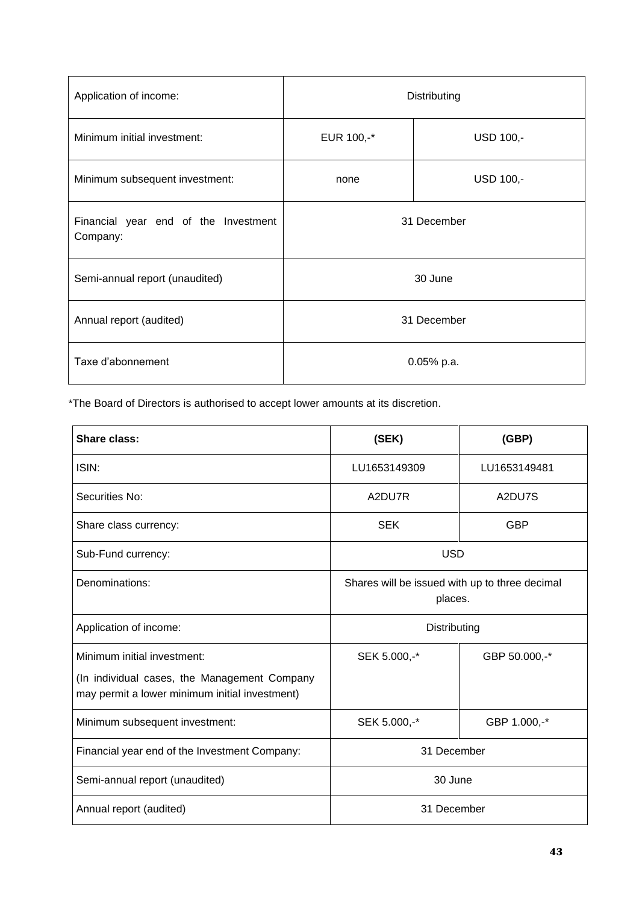| Application of income:                           | Distributing            |           |  |
|--------------------------------------------------|-------------------------|-----------|--|
| Minimum initial investment:                      | EUR 100,-*<br>USD 100,- |           |  |
| Minimum subsequent investment:                   | none                    | USD 100,- |  |
| Financial year end of the Investment<br>Company: | 31 December             |           |  |
| Semi-annual report (unaudited)                   | 30 June                 |           |  |
| Annual report (audited)                          | 31 December             |           |  |
| Taxe d'abonnement                                | $0.05%$ p.a.            |           |  |

| Share class:                                                                                                                  | (SEK)                                                     | (GBP)        |
|-------------------------------------------------------------------------------------------------------------------------------|-----------------------------------------------------------|--------------|
| ISIN:                                                                                                                         | LU1653149309                                              | LU1653149481 |
| Securities No:                                                                                                                | A2DU7R                                                    | A2DU7S       |
| Share class currency:                                                                                                         | <b>SEK</b>                                                | <b>GBP</b>   |
| Sub-Fund currency:                                                                                                            | <b>USD</b>                                                |              |
| Denominations:                                                                                                                | Shares will be issued with up to three decimal<br>places. |              |
| Application of income:                                                                                                        | Distributing                                              |              |
| Minimum initial investment:<br>(In individual cases, the Management Company<br>may permit a lower minimum initial investment) | SEK 5.000,-*<br>GBP 50.000,-*                             |              |
| Minimum subsequent investment:                                                                                                | SEK 5.000,-*                                              | GBP 1.000,-* |
| Financial year end of the Investment Company:                                                                                 | 31 December                                               |              |
| Semi-annual report (unaudited)                                                                                                | 30 June                                                   |              |
| Annual report (audited)                                                                                                       | 31 December                                               |              |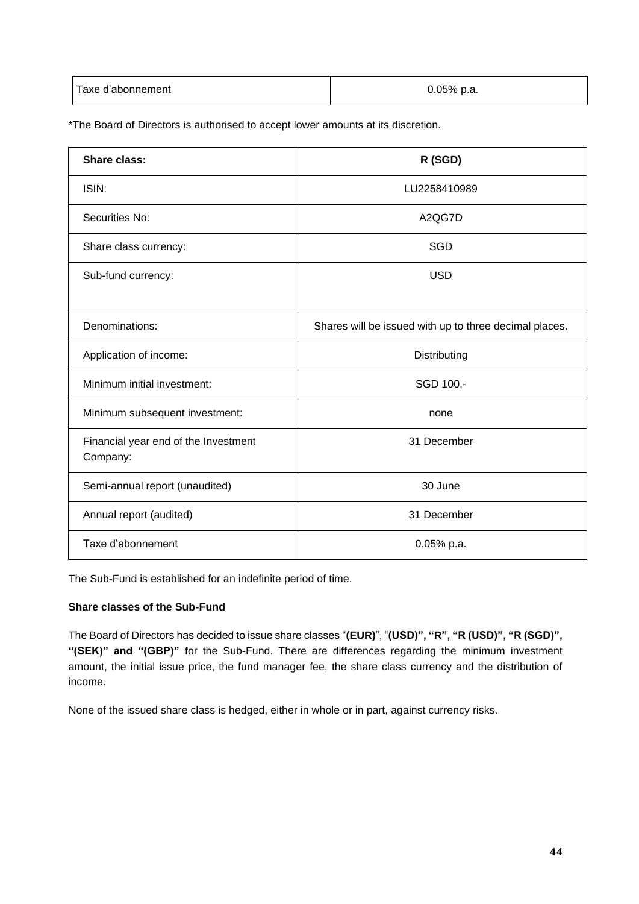| Taxe d'abonnement | $0.05%$ p.a. |
|-------------------|--------------|
|                   |              |

| <b>Share class:</b>                              | R (SGD)                                                |
|--------------------------------------------------|--------------------------------------------------------|
| ISIN:                                            | LU2258410989                                           |
| Securities No:                                   | A2QG7D                                                 |
| Share class currency:                            | SGD                                                    |
| Sub-fund currency:                               | <b>USD</b>                                             |
|                                                  |                                                        |
| Denominations:                                   | Shares will be issued with up to three decimal places. |
| Application of income:                           | Distributing                                           |
| Minimum initial investment:                      | SGD 100,-                                              |
| Minimum subsequent investment:                   | none                                                   |
| Financial year end of the Investment<br>Company: | 31 December                                            |
| Semi-annual report (unaudited)                   | 30 June                                                |
| Annual report (audited)                          | 31 December                                            |
| Taxe d'abonnement                                | $0.05%$ p.a.                                           |

The Sub-Fund is established for an indefinite period of time.

## **Share classes of the Sub-Fund**

The Board of Directors has decided to issue share classes "(EUR)", "(USD)", "R", "R (USD)", "R (SGD)", **"(SEK)" and "(GBP)"** for the Sub-Fund. There are differences regarding the minimum investment amount, the initial issue price, the fund manager fee, the share class currency and the distribution of income.

None of the issued share class is hedged, either in whole or in part, against currency risks.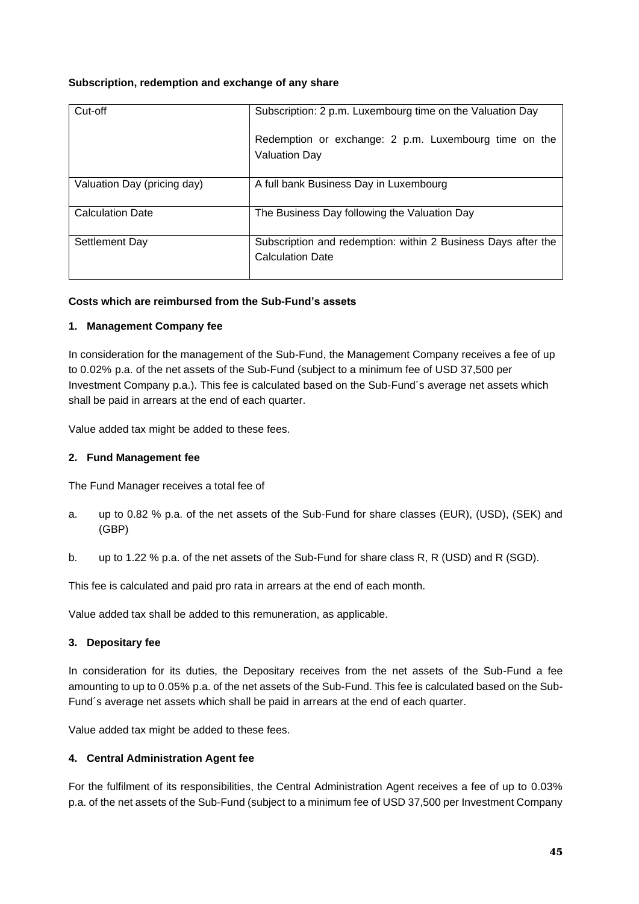## **Subscription, redemption and exchange of any share**

| Cut-off                     | Subscription: 2 p.m. Luxembourg time on the Valuation Day                                |
|-----------------------------|------------------------------------------------------------------------------------------|
|                             | Redemption or exchange: 2 p.m. Luxembourg time on the<br><b>Valuation Day</b>            |
| Valuation Day (pricing day) | A full bank Business Day in Luxembourg                                                   |
| <b>Calculation Date</b>     | The Business Day following the Valuation Day                                             |
| Settlement Day              | Subscription and redemption: within 2 Business Days after the<br><b>Calculation Date</b> |

## **Costs which are reimbursed from the Sub-Fund's assets**

#### **1. Management Company fee**

In consideration for the management of the Sub-Fund, the Management Company receives a fee of up to 0.02% p.a. of the net assets of the Sub-Fund (subject to a minimum fee of USD 37,500 per Investment Company p.a.). This fee is calculated based on the Sub-Fund´s average net assets which shall be paid in arrears at the end of each quarter.

Value added tax might be added to these fees.

#### **2. Fund Management fee**

The Fund Manager receives a total fee of

- a. up to 0.82 % p.a. of the net assets of the Sub-Fund for share classes (EUR), (USD), (SEK) and (GBP)
- b. up to 1.22 % p.a. of the net assets of the Sub-Fund for share class R, R (USD) and R (SGD).

This fee is calculated and paid pro rata in arrears at the end of each month.

Value added tax shall be added to this remuneration, as applicable.

#### **3. Depositary fee**

In consideration for its duties, the Depositary receives from the net assets of the Sub-Fund a fee amounting to up to 0.05% p.a. of the net assets of the Sub-Fund. This fee is calculated based on the Sub-Fund´s average net assets which shall be paid in arrears at the end of each quarter.

Value added tax might be added to these fees.

#### **4. Central Administration Agent fee**

For the fulfilment of its responsibilities, the Central Administration Agent receives a fee of up to 0.03% p.a. of the net assets of the Sub-Fund (subject to a minimum fee of USD 37,500 per Investment Company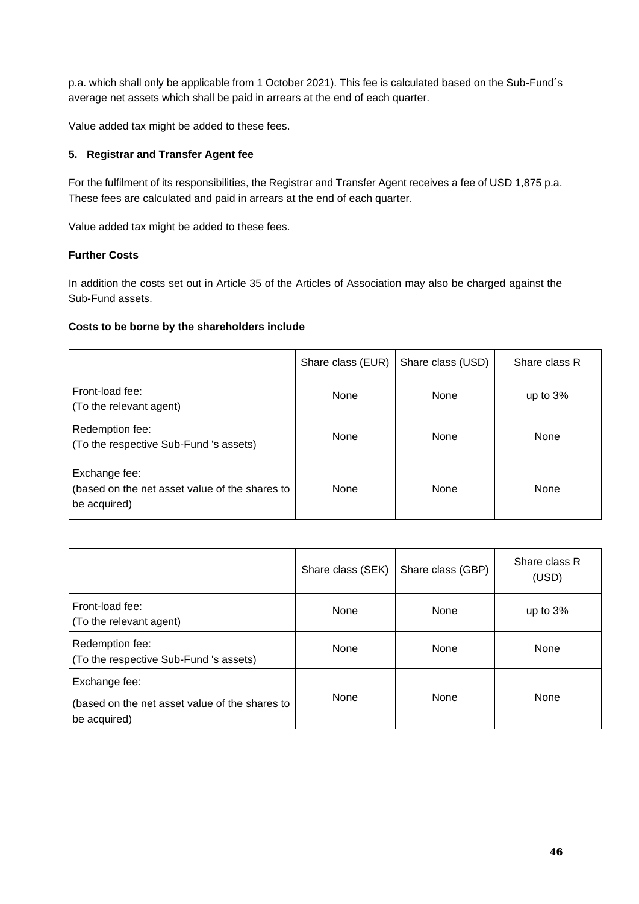p.a. which shall only be applicable from 1 October 2021). This fee is calculated based on the Sub-Fund´s average net assets which shall be paid in arrears at the end of each quarter.

Value added tax might be added to these fees.

## **5. Registrar and Transfer Agent fee**

For the fulfilment of its responsibilities, the Registrar and Transfer Agent receives a fee of USD 1,875 p.a. These fees are calculated and paid in arrears at the end of each quarter.

Value added tax might be added to these fees.

## **Further Costs**

In addition the costs set out in Article 35 of the Articles of Association may also be charged against the Sub-Fund assets.

## **Costs to be borne by the shareholders include**

|                                                                                 | Share class (EUR) | Share class (USD) | Share class R |
|---------------------------------------------------------------------------------|-------------------|-------------------|---------------|
| Front-load fee:<br>(To the relevant agent)                                      | None              | None              | up to $3%$    |
| Redemption fee:<br>(To the respective Sub-Fund 's assets)                       | None              | None              | None          |
| Exchange fee:<br>(based on the net asset value of the shares to<br>be acquired) | <b>None</b>       | <b>None</b>       | None          |

|                                                                                 | Share class (SEK) | Share class (GBP) | Share class R<br>(USD) |
|---------------------------------------------------------------------------------|-------------------|-------------------|------------------------|
| Front-load fee:<br>(To the relevant agent)                                      | None              | <b>None</b>       | up to $3%$             |
| Redemption fee:<br>(To the respective Sub-Fund 's assets)                       | None              | None              | None                   |
| Exchange fee:<br>(based on the net asset value of the shares to<br>be acquired) | None              | None              | None                   |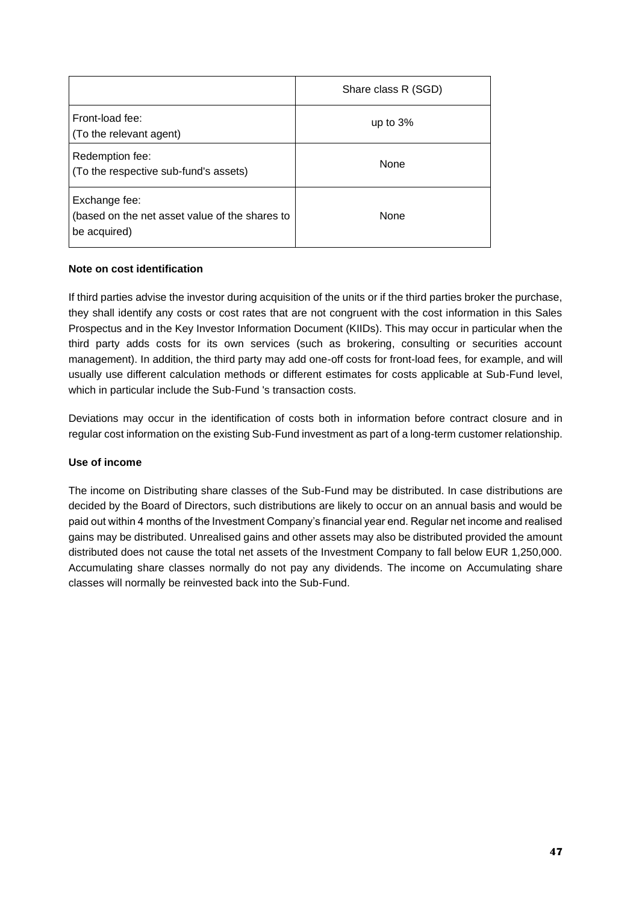|                                                                                 | Share class R (SGD) |
|---------------------------------------------------------------------------------|---------------------|
| Front-load fee:<br>(To the relevant agent)                                      | up to $3%$          |
| Redemption fee:<br>(To the respective sub-fund's assets)                        | <b>None</b>         |
| Exchange fee:<br>(based on the net asset value of the shares to<br>be acquired) | None                |

#### **Note on cost identification**

If third parties advise the investor during acquisition of the units or if the third parties broker the purchase, they shall identify any costs or cost rates that are not congruent with the cost information in this Sales Prospectus and in the Key Investor Information Document (KIIDs). This may occur in particular when the third party adds costs for its own services (such as brokering, consulting or securities account management). In addition, the third party may add one-off costs for front-load fees, for example, and will usually use different calculation methods or different estimates for costs applicable at Sub-Fund level, which in particular include the Sub-Fund 's transaction costs.

Deviations may occur in the identification of costs both in information before contract closure and in regular cost information on the existing Sub-Fund investment as part of a long-term customer relationship.

#### **Use of income**

The income on Distributing share classes of the Sub-Fund may be distributed. In case distributions are decided by the Board of Directors, such distributions are likely to occur on an annual basis and would be paid out within 4 months of the Investment Company's financial year end. Regular net income and realised gains may be distributed. Unrealised gains and other assets may also be distributed provided the amount distributed does not cause the total net assets of the Investment Company to fall below EUR 1,250,000. Accumulating share classes normally do not pay any dividends. The income on Accumulating share classes will normally be reinvested back into the Sub-Fund.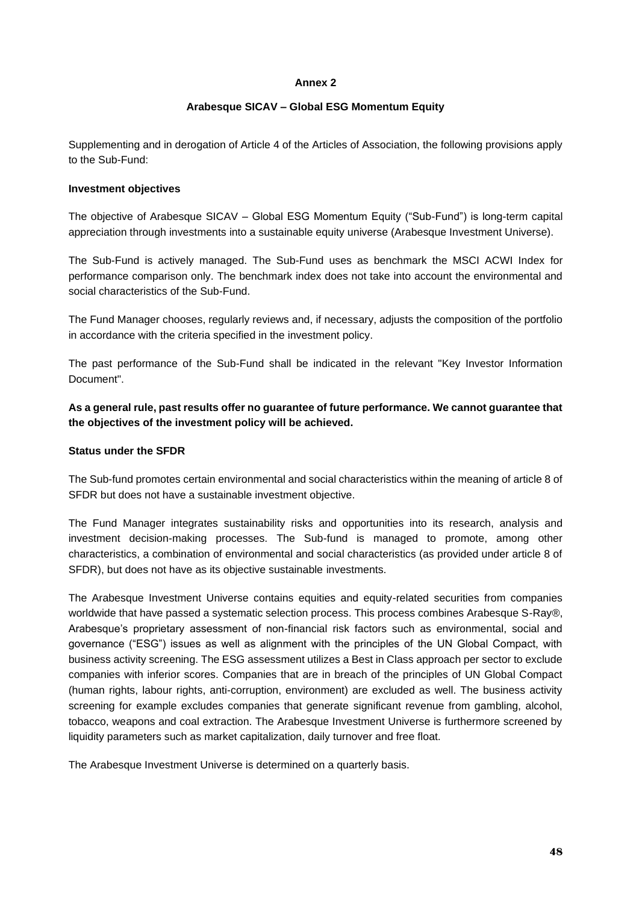#### **Annex 2**

#### **Arabesque SICAV – Global ESG Momentum Equity**

Supplementing and in derogation of Article 4 of the Articles of Association, the following provisions apply to the Sub-Fund:

#### **Investment objectives**

The objective of Arabesque SICAV – Global ESG Momentum Equity ("Sub-Fund") is long-term capital appreciation through investments into a sustainable equity universe (Arabesque Investment Universe).

The Sub-Fund is actively managed. The Sub-Fund uses as benchmark the MSCI ACWI Index for performance comparison only. The benchmark index does not take into account the environmental and social characteristics of the Sub-Fund.

The Fund Manager chooses, regularly reviews and, if necessary, adjusts the composition of the portfolio in accordance with the criteria specified in the investment policy.

The past performance of the Sub-Fund shall be indicated in the relevant "Key Investor Information Document".

**As a general rule, past results offer no guarantee of future performance. We cannot guarantee that the objectives of the investment policy will be achieved.** 

#### **Status under the SFDR**

The Sub-fund promotes certain environmental and social characteristics within the meaning of article 8 of SFDR but does not have a sustainable investment objective.

The Fund Manager integrates sustainability risks and opportunities into its research, analysis and investment decision-making processes. The Sub-fund is managed to promote, among other characteristics, a combination of environmental and social characteristics (as provided under article 8 of SFDR), but does not have as its objective sustainable investments.

The Arabesque Investment Universe contains equities and equity-related securities from companies worldwide that have passed a systematic selection process. This process combines Arabesque S-Ray®, Arabesque's proprietary assessment of non-financial risk factors such as environmental, social and governance ("ESG") issues as well as alignment with the principles of the UN Global Compact, with business activity screening. The ESG assessment utilizes a Best in Class approach per sector to exclude companies with inferior scores. Companies that are in breach of the principles of UN Global Compact (human rights, labour rights, anti-corruption, environment) are excluded as well. The business activity screening for example excludes companies that generate significant revenue from gambling, alcohol, tobacco, weapons and coal extraction. The Arabesque Investment Universe is furthermore screened by liquidity parameters such as market capitalization, daily turnover and free float.

The Arabesque Investment Universe is determined on a quarterly basis.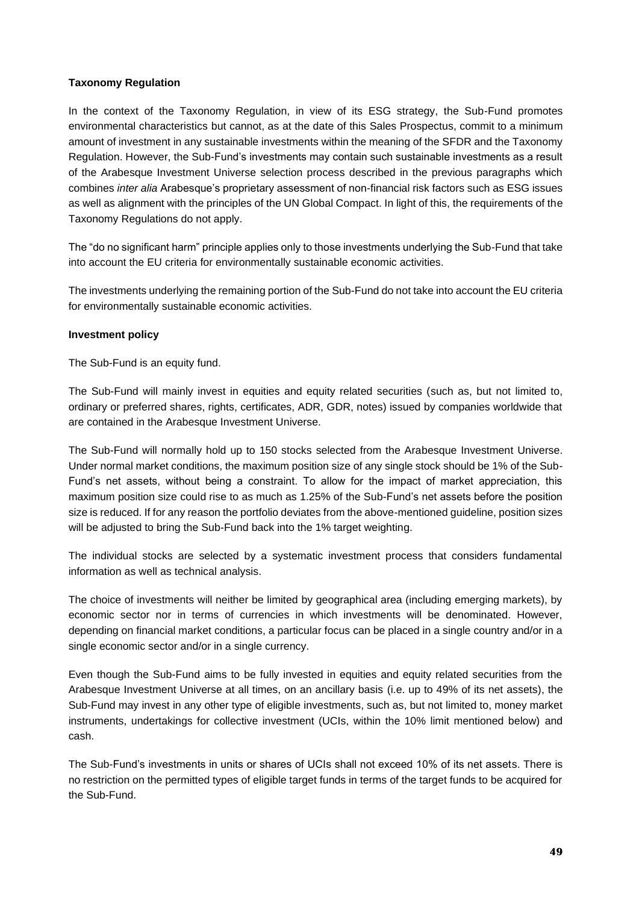#### **Taxonomy Regulation**

In the context of the Taxonomy Regulation, in view of its ESG strategy, the Sub-Fund promotes environmental characteristics but cannot, as at the date of this Sales Prospectus, commit to a minimum amount of investment in any sustainable investments within the meaning of the SFDR and the Taxonomy Regulation. However, the Sub-Fund's investments may contain such sustainable investments as a result of the Arabesque Investment Universe selection process described in the previous paragraphs which combines *inter alia* Arabesque's proprietary assessment of non-financial risk factors such as ESG issues as well as alignment with the principles of the UN Global Compact. In light of this, the requirements of the Taxonomy Regulations do not apply.

The "do no significant harm" principle applies only to those investments underlying the Sub-Fund that take into account the EU criteria for environmentally sustainable economic activities.

The investments underlying the remaining portion of the Sub-Fund do not take into account the EU criteria for environmentally sustainable economic activities.

#### **Investment policy**

The Sub-Fund is an equity fund.

The Sub-Fund will mainly invest in equities and equity related securities (such as, but not limited to, ordinary or preferred shares, rights, certificates, ADR, GDR, notes) issued by companies worldwide that are contained in the Arabesque Investment Universe.

The Sub-Fund will normally hold up to 150 stocks selected from the Arabesque Investment Universe. Under normal market conditions, the maximum position size of any single stock should be 1% of the Sub-Fund's net assets, without being a constraint. To allow for the impact of market appreciation, this maximum position size could rise to as much as 1.25% of the Sub-Fund's net assets before the position size is reduced. If for any reason the portfolio deviates from the above-mentioned guideline, position sizes will be adjusted to bring the Sub-Fund back into the 1% target weighting.

The individual stocks are selected by a systematic investment process that considers fundamental information as well as technical analysis.

The choice of investments will neither be limited by geographical area (including emerging markets), by economic sector nor in terms of currencies in which investments will be denominated. However, depending on financial market conditions, a particular focus can be placed in a single country and/or in a single economic sector and/or in a single currency.

Even though the Sub-Fund aims to be fully invested in equities and equity related securities from the Arabesque Investment Universe at all times, on an ancillary basis (i.e. up to 49% of its net assets), the Sub-Fund may invest in any other type of eligible investments, such as, but not limited to, money market instruments, undertakings for collective investment (UCIs, within the 10% limit mentioned below) and cash.

The Sub-Fund's investments in units or shares of UCIs shall not exceed 10% of its net assets. There is no restriction on the permitted types of eligible target funds in terms of the target funds to be acquired for the Sub-Fund.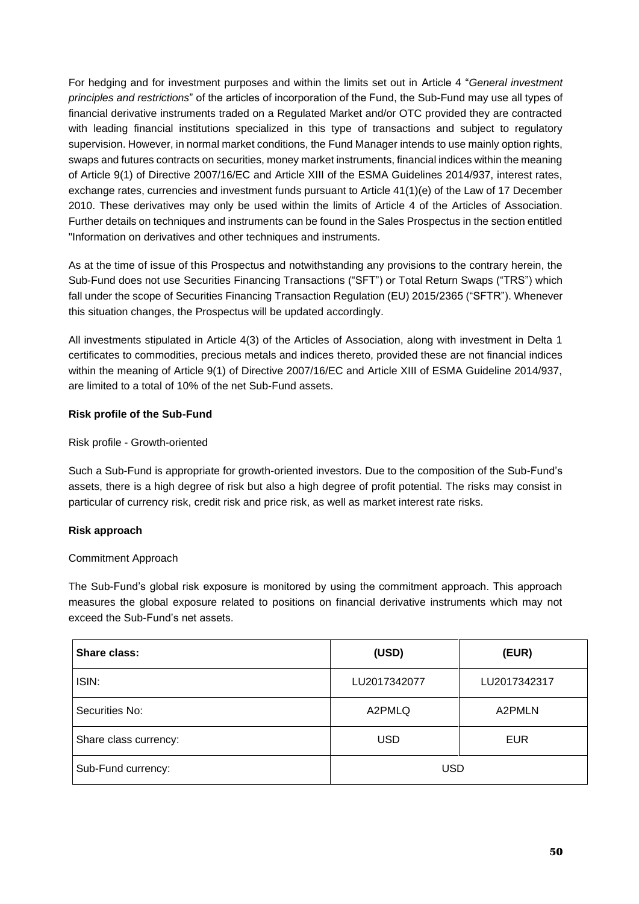For hedging and for investment purposes and within the limits set out in Article 4 "*General investment principles and restrictions*" of the articles of incorporation of the Fund, the Sub-Fund may use all types of financial derivative instruments traded on a Regulated Market and/or OTC provided they are contracted with leading financial institutions specialized in this type of transactions and subject to regulatory supervision. However, in normal market conditions, the Fund Manager intends to use mainly option rights, swaps and futures contracts on securities, money market instruments, financial indices within the meaning of Article 9(1) of Directive 2007/16/EC and Article XIII of the ESMA Guidelines 2014/937, interest rates, exchange rates, currencies and investment funds pursuant to Article 41(1)(e) of the Law of 17 December 2010. These derivatives may only be used within the limits of Article 4 of the Articles of Association. Further details on techniques and instruments can be found in the Sales Prospectus in the section entitled "Information on derivatives and other techniques and instruments.

As at the time of issue of this Prospectus and notwithstanding any provisions to the contrary herein, the Sub-Fund does not use Securities Financing Transactions ("SFT") or Total Return Swaps ("TRS") which fall under the scope of Securities Financing Transaction Regulation (EU) 2015/2365 ("SFTR"). Whenever this situation changes, the Prospectus will be updated accordingly.

All investments stipulated in Article 4(3) of the Articles of Association, along with investment in Delta 1 certificates to commodities, precious metals and indices thereto, provided these are not financial indices within the meaning of Article 9(1) of Directive 2007/16/EC and Article XIII of ESMA Guideline 2014/937, are limited to a total of 10% of the net Sub-Fund assets.

# **Risk profile of the Sub-Fund**

#### Risk profile - Growth-oriented

Such a Sub-Fund is appropriate for growth-oriented investors. Due to the composition of the Sub-Fund's assets, there is a high degree of risk but also a high degree of profit potential. The risks may consist in particular of currency risk, credit risk and price risk, as well as market interest rate risks.

#### **Risk approach**

# Commitment Approach

The Sub-Fund's global risk exposure is monitored by using the commitment approach. This approach measures the global exposure related to positions on financial derivative instruments which may not exceed the Sub-Fund's net assets.

| Share class:          | (USD)        | (EUR)        |
|-----------------------|--------------|--------------|
| ISIN:                 | LU2017342077 | LU2017342317 |
| Securities No:        | A2PMLQ       | A2PMLN       |
| Share class currency: | <b>USD</b>   | <b>EUR</b>   |
| Sub-Fund currency:    | <b>USD</b>   |              |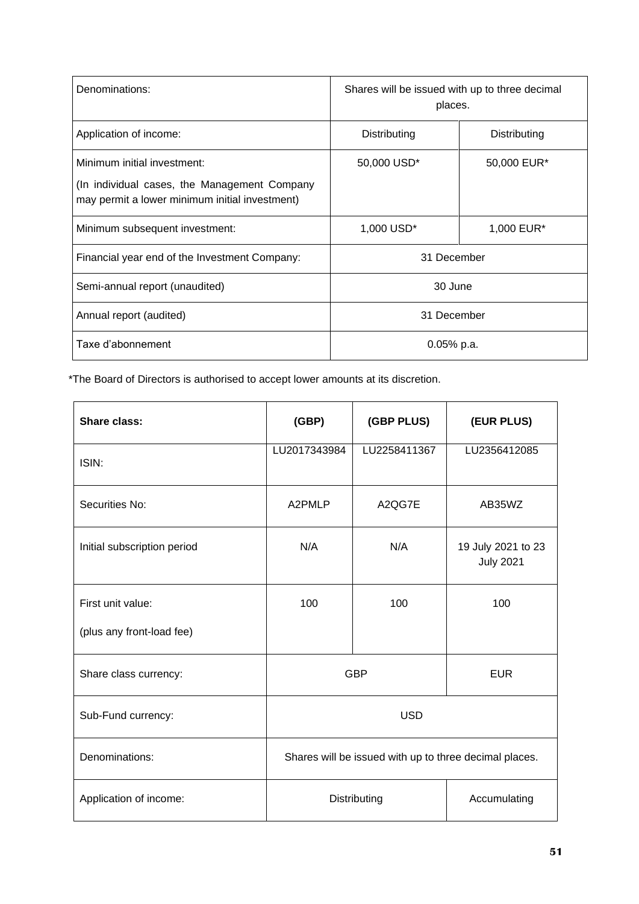| Denominations:                                                                                                                | Shares will be issued with up to three decimal<br>places. |              |  |
|-------------------------------------------------------------------------------------------------------------------------------|-----------------------------------------------------------|--------------|--|
| Application of income:                                                                                                        | Distributing                                              | Distributing |  |
| Minimum initial investment:<br>(In individual cases, the Management Company<br>may permit a lower minimum initial investment) | 50,000 USD*                                               | 50,000 EUR*  |  |
| Minimum subsequent investment:                                                                                                | 1,000 USD <sup>*</sup>                                    | 1,000 EUR*   |  |
| Financial year end of the Investment Company:                                                                                 | 31 December                                               |              |  |
| Semi-annual report (unaudited)                                                                                                | 30 June                                                   |              |  |
| Annual report (audited)                                                                                                       | 31 December                                               |              |  |
| Taxe d'abonnement                                                                                                             | 0.05% p.a.                                                |              |  |

| <b>Share class:</b>         | (GBP)<br>(GBP PLUS)                                    |              | (EUR PLUS)                             |  |
|-----------------------------|--------------------------------------------------------|--------------|----------------------------------------|--|
| ISIN:                       | LU2017343984<br>LU2258411367                           |              | LU2356412085                           |  |
| Securities No:              | A2PMLP<br>A2QG7E                                       |              | AB35WZ                                 |  |
| Initial subscription period | N/A                                                    | N/A          | 19 July 2021 to 23<br><b>July 2021</b> |  |
| First unit value:           | 100                                                    | 100          | 100                                    |  |
| (plus any front-load fee)   |                                                        |              |                                        |  |
| Share class currency:       | <b>GBP</b>                                             | <b>EUR</b>   |                                        |  |
| Sub-Fund currency:          | <b>USD</b>                                             |              |                                        |  |
| Denominations:              | Shares will be issued with up to three decimal places. |              |                                        |  |
| Application of income:      | Distributing                                           | Accumulating |                                        |  |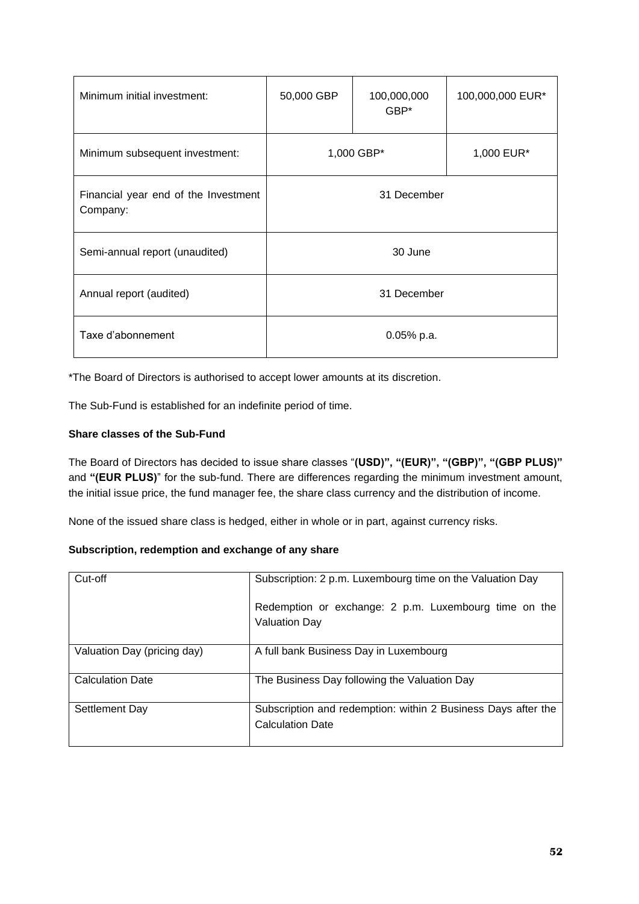| Minimum initial investment:                      | 50,000 GBP    | 100,000,000<br>GBP* | 100,000,000 EUR* |  |
|--------------------------------------------------|---------------|---------------------|------------------|--|
| Minimum subsequent investment:                   | 1,000 GBP*    |                     | 1,000 EUR*       |  |
| Financial year end of the Investment<br>Company: | 31 December   |                     |                  |  |
| Semi-annual report (unaudited)                   | 30 June       |                     |                  |  |
| Annual report (audited)                          | 31 December   |                     |                  |  |
| Taxe d'abonnement                                | $0.05\%$ p.a. |                     |                  |  |

The Sub-Fund is established for an indefinite period of time.

## **Share classes of the Sub-Fund**

The Board of Directors has decided to issue share classes "**(USD)", "(EUR)", "(GBP)", "(GBP PLUS)"** and **"(EUR PLUS)**" for the sub-fund. There are differences regarding the minimum investment amount, the initial issue price, the fund manager fee, the share class currency and the distribution of income.

None of the issued share class is hedged, either in whole or in part, against currency risks.

# **Subscription, redemption and exchange of any share**

| Cut-off                     | Subscription: 2 p.m. Luxembourg time on the Valuation Day                                |  |  |  |
|-----------------------------|------------------------------------------------------------------------------------------|--|--|--|
|                             | Redemption or exchange: 2 p.m. Luxembourg time on the<br><b>Valuation Day</b>            |  |  |  |
| Valuation Day (pricing day) | A full bank Business Day in Luxembourg                                                   |  |  |  |
| <b>Calculation Date</b>     | The Business Day following the Valuation Day                                             |  |  |  |
| Settlement Day              | Subscription and redemption: within 2 Business Days after the<br><b>Calculation Date</b> |  |  |  |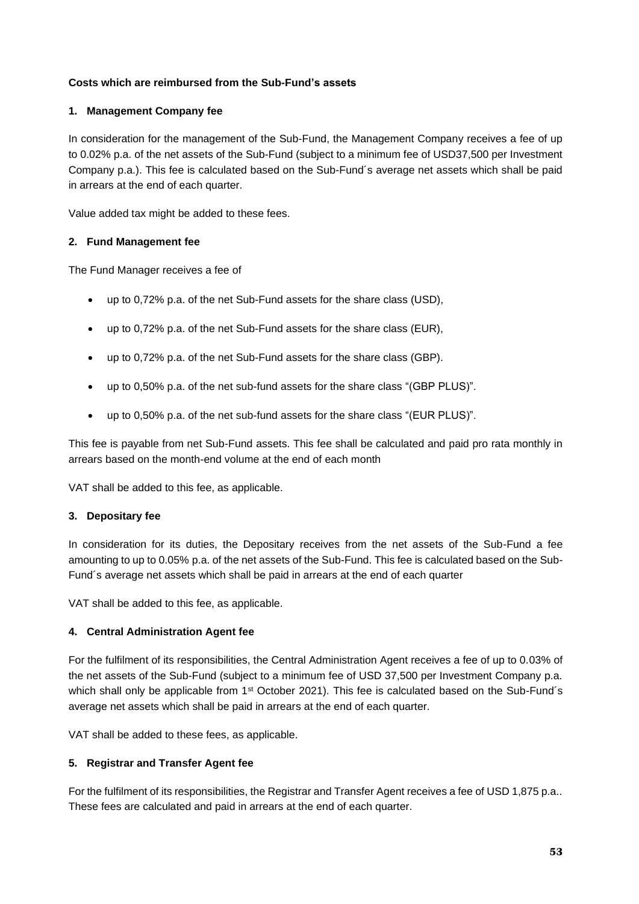## **Costs which are reimbursed from the Sub-Fund's assets**

### **1. Management Company fee**

In consideration for the management of the Sub-Fund, the Management Company receives a fee of up to 0.02% p.a. of the net assets of the Sub-Fund (subject to a minimum fee of USD37,500 per Investment Company p.a.). This fee is calculated based on the Sub-Fund´s average net assets which shall be paid in arrears at the end of each quarter.

Value added tax might be added to these fees.

#### **2. Fund Management fee**

The Fund Manager receives a fee of

- up to 0,72% p.a. of the net Sub-Fund assets for the share class (USD),
- up to 0,72% p.a. of the net Sub-Fund assets for the share class (EUR),
- up to 0,72% p.a. of the net Sub-Fund assets for the share class (GBP).
- up to 0,50% p.a. of the net sub-fund assets for the share class "(GBP PLUS)".
- up to 0,50% p.a. of the net sub-fund assets for the share class "(EUR PLUS)".

This fee is payable from net Sub-Fund assets. This fee shall be calculated and paid pro rata monthly in arrears based on the month-end volume at the end of each month

VAT shall be added to this fee, as applicable.

#### **3. Depositary fee**

In consideration for its duties, the Depositary receives from the net assets of the Sub-Fund a fee amounting to up to 0.05% p.a. of the net assets of the Sub-Fund. This fee is calculated based on the Sub-Fund´s average net assets which shall be paid in arrears at the end of each quarter

VAT shall be added to this fee, as applicable.

#### **4. Central Administration Agent fee**

For the fulfilment of its responsibilities, the Central Administration Agent receives a fee of up to 0.03% of the net assets of the Sub-Fund (subject to a minimum fee of USD 37,500 per Investment Company p.a. which shall only be applicable from 1<sup>st</sup> October 2021). This fee is calculated based on the Sub-Fund's average net assets which shall be paid in arrears at the end of each quarter.

VAT shall be added to these fees, as applicable.

#### **5. Registrar and Transfer Agent fee**

For the fulfilment of its responsibilities, the Registrar and Transfer Agent receives a fee of USD 1,875 p.a.. These fees are calculated and paid in arrears at the end of each quarter.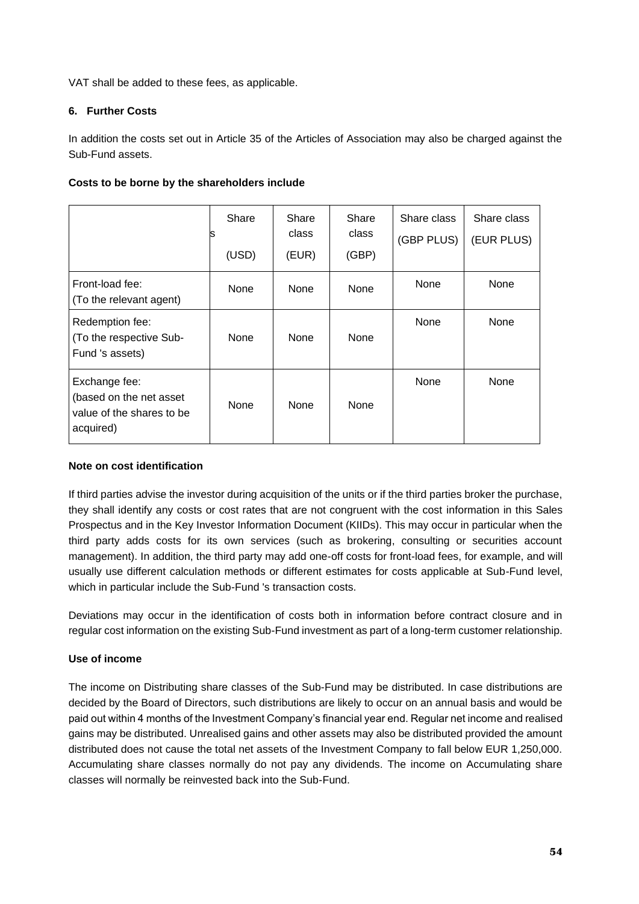VAT shall be added to these fees, as applicable.

# **6. Further Costs**

In addition the costs set out in Article 35 of the Articles of Association may also be charged against the Sub-Fund assets.

## **Costs to be borne by the shareholders include**

|                                                                                    | Share<br>s<br>(USD) | Share<br>class<br>(EUR) | Share<br>class<br>(GBP) | Share class<br>(GBP PLUS) | Share class<br>(EUR PLUS) |
|------------------------------------------------------------------------------------|---------------------|-------------------------|-------------------------|---------------------------|---------------------------|
| Front-load fee:<br>(To the relevant agent)                                         | <b>None</b>         | None                    | None                    | None                      | None                      |
| Redemption fee:<br>(To the respective Sub-<br>Fund 's assets)                      | <b>None</b>         | None                    | None                    | None                      | None                      |
| Exchange fee:<br>(based on the net asset<br>value of the shares to be<br>acquired) | <b>None</b>         | None                    | None                    | None                      | None                      |

## **Note on cost identification**

If third parties advise the investor during acquisition of the units or if the third parties broker the purchase, they shall identify any costs or cost rates that are not congruent with the cost information in this Sales Prospectus and in the Key Investor Information Document (KIIDs). This may occur in particular when the third party adds costs for its own services (such as brokering, consulting or securities account management). In addition, the third party may add one-off costs for front-load fees, for example, and will usually use different calculation methods or different estimates for costs applicable at Sub-Fund level, which in particular include the Sub-Fund 's transaction costs.

Deviations may occur in the identification of costs both in information before contract closure and in regular cost information on the existing Sub-Fund investment as part of a long-term customer relationship.

# **Use of income**

The income on Distributing share classes of the Sub-Fund may be distributed. In case distributions are decided by the Board of Directors, such distributions are likely to occur on an annual basis and would be paid out within 4 months of the Investment Company's financial year end. Regular net income and realised gains may be distributed. Unrealised gains and other assets may also be distributed provided the amount distributed does not cause the total net assets of the Investment Company to fall below EUR 1,250,000. Accumulating share classes normally do not pay any dividends. The income on Accumulating share classes will normally be reinvested back into the Sub-Fund.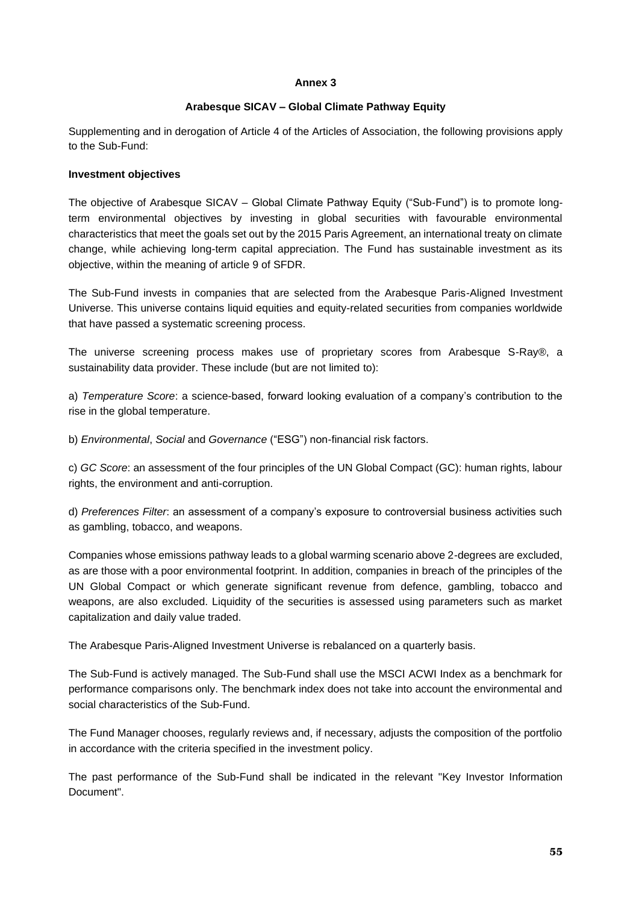#### **Annex 3**

### **Arabesque SICAV – Global Climate Pathway Equity**

Supplementing and in derogation of Article 4 of the Articles of Association, the following provisions apply to the Sub-Fund:

#### **Investment objectives**

The objective of Arabesque SICAV – Global Climate Pathway Equity ("Sub-Fund") is to promote longterm environmental objectives by investing in global securities with favourable environmental characteristics that meet the goals set out by the 2015 Paris Agreement, an international treaty on climate change, while achieving long-term capital appreciation. The Fund has sustainable investment as its objective, within the meaning of article 9 of SFDR.

The Sub-Fund invests in companies that are selected from the Arabesque Paris-Aligned Investment Universe. This universe contains liquid equities and equity-related securities from companies worldwide that have passed a systematic screening process.

The universe screening process makes use of proprietary scores from Arabesque S-Ray®, a sustainability data provider. These include (but are not limited to):

a) *Temperature Score*: a science-based, forward looking evaluation of a company's contribution to the rise in the global temperature.

b) *Environmental*, *Social* and *Governance* ("ESG") non-financial risk factors.

c) *GC Score*: an assessment of the four principles of the UN Global Compact (GC): human rights, labour rights, the environment and anti-corruption.

d) *Preferences Filter*: an assessment of a company's exposure to controversial business activities such as gambling, tobacco, and weapons.

Companies whose emissions pathway leads to a global warming scenario above 2-degrees are excluded, as are those with a poor environmental footprint. In addition, companies in breach of the principles of the UN Global Compact or which generate significant revenue from defence, gambling, tobacco and weapons, are also excluded. Liquidity of the securities is assessed using parameters such as market capitalization and daily value traded.

The Arabesque Paris-Aligned Investment Universe is rebalanced on a quarterly basis.

The Sub-Fund is actively managed. The Sub-Fund shall use the MSCI ACWI Index as a benchmark for performance comparisons only. The benchmark index does not take into account the environmental and social characteristics of the Sub-Fund.

The Fund Manager chooses, regularly reviews and, if necessary, adjusts the composition of the portfolio in accordance with the criteria specified in the investment policy.

The past performance of the Sub-Fund shall be indicated in the relevant "Key Investor Information Document".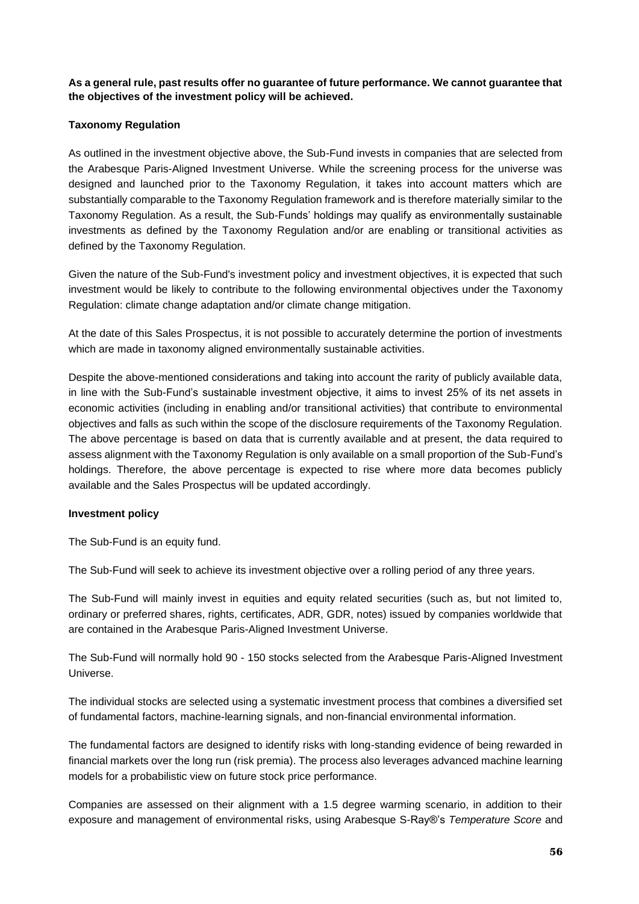**As a general rule, past results offer no guarantee of future performance. We cannot guarantee that the objectives of the investment policy will be achieved.** 

## **Taxonomy Regulation**

As outlined in the investment objective above, the Sub-Fund invests in companies that are selected from the Arabesque Paris-Aligned Investment Universe. While the screening process for the universe was designed and launched prior to the Taxonomy Regulation, it takes into account matters which are substantially comparable to the Taxonomy Regulation framework and is therefore materially similar to the Taxonomy Regulation. As a result, the Sub-Funds' holdings may qualify as environmentally sustainable investments as defined by the Taxonomy Regulation and/or are enabling or transitional activities as defined by the Taxonomy Regulation.

Given the nature of the Sub-Fund's investment policy and investment objectives, it is expected that such investment would be likely to contribute to the following environmental objectives under the Taxonomy Regulation: climate change adaptation and/or climate change mitigation.

At the date of this Sales Prospectus, it is not possible to accurately determine the portion of investments which are made in taxonomy aligned environmentally sustainable activities.

Despite the above-mentioned considerations and taking into account the rarity of publicly available data, in line with the Sub-Fund's sustainable investment objective, it aims to invest 25% of its net assets in economic activities (including in enabling and/or transitional activities) that contribute to environmental objectives and falls as such within the scope of the disclosure requirements of the Taxonomy Regulation. The above percentage is based on data that is currently available and at present, the data required to assess alignment with the Taxonomy Regulation is only available on a small proportion of the Sub-Fund's holdings. Therefore, the above percentage is expected to rise where more data becomes publicly available and the Sales Prospectus will be updated accordingly.

#### **Investment policy**

The Sub-Fund is an equity fund.

The Sub-Fund will seek to achieve its investment objective over a rolling period of any three years.

The Sub-Fund will mainly invest in equities and equity related securities (such as, but not limited to, ordinary or preferred shares, rights, certificates, ADR, GDR, notes) issued by companies worldwide that are contained in the Arabesque Paris-Aligned Investment Universe.

The Sub-Fund will normally hold 90 - 150 stocks selected from the Arabesque Paris-Aligned Investment Universe.

The individual stocks are selected using a systematic investment process that combines a diversified set of fundamental factors, machine-learning signals, and non-financial environmental information.

The fundamental factors are designed to identify risks with long-standing evidence of being rewarded in financial markets over the long run (risk premia). The process also leverages advanced machine learning models for a probabilistic view on future stock price performance.

Companies are assessed on their alignment with a 1.5 degree warming scenario, in addition to their exposure and management of environmental risks, using Arabesque S-Ray®'s *Temperature Score* and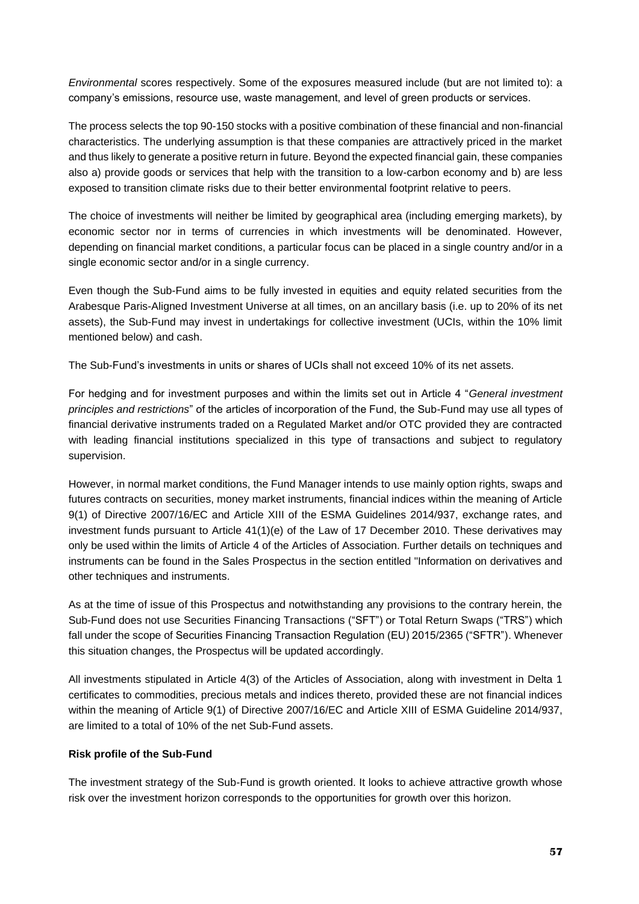*Environmental* scores respectively. Some of the exposures measured include (but are not limited to): a company's emissions, resource use, waste management, and level of green products or services.

The process selects the top 90-150 stocks with a positive combination of these financial and non-financial characteristics. The underlying assumption is that these companies are attractively priced in the market and thus likely to generate a positive return in future. Beyond the expected financial gain, these companies also a) provide goods or services that help with the transition to a low-carbon economy and b) are less exposed to transition climate risks due to their better environmental footprint relative to peers.

The choice of investments will neither be limited by geographical area (including emerging markets), by economic sector nor in terms of currencies in which investments will be denominated. However, depending on financial market conditions, a particular focus can be placed in a single country and/or in a single economic sector and/or in a single currency.

Even though the Sub-Fund aims to be fully invested in equities and equity related securities from the Arabesque Paris-Aligned Investment Universe at all times, on an ancillary basis (i.e. up to 20% of its net assets), the Sub-Fund may invest in undertakings for collective investment (UCIs, within the 10% limit mentioned below) and cash.

The Sub-Fund's investments in units or shares of UCIs shall not exceed 10% of its net assets.

For hedging and for investment purposes and within the limits set out in Article 4 "*General investment principles and restrictions*" of the articles of incorporation of the Fund, the Sub-Fund may use all types of financial derivative instruments traded on a Regulated Market and/or OTC provided they are contracted with leading financial institutions specialized in this type of transactions and subject to regulatory supervision.

However, in normal market conditions, the Fund Manager intends to use mainly option rights, swaps and futures contracts on securities, money market instruments, financial indices within the meaning of Article 9(1) of Directive 2007/16/EC and Article XIII of the ESMA Guidelines 2014/937, exchange rates, and investment funds pursuant to Article 41(1)(e) of the Law of 17 December 2010. These derivatives may only be used within the limits of Article 4 of the Articles of Association. Further details on techniques and instruments can be found in the Sales Prospectus in the section entitled "Information on derivatives and other techniques and instruments.

As at the time of issue of this Prospectus and notwithstanding any provisions to the contrary herein, the Sub-Fund does not use Securities Financing Transactions ("SFT") or Total Return Swaps ("TRS") which fall under the scope of Securities Financing Transaction Regulation (EU) 2015/2365 ("SFTR"). Whenever this situation changes, the Prospectus will be updated accordingly.

All investments stipulated in Article 4(3) of the Articles of Association, along with investment in Delta 1 certificates to commodities, precious metals and indices thereto, provided these are not financial indices within the meaning of Article 9(1) of Directive 2007/16/EC and Article XIII of ESMA Guideline 2014/937, are limited to a total of 10% of the net Sub-Fund assets.

#### **Risk profile of the Sub-Fund**

The investment strategy of the Sub-Fund is growth oriented. It looks to achieve attractive growth whose risk over the investment horizon corresponds to the opportunities for growth over this horizon.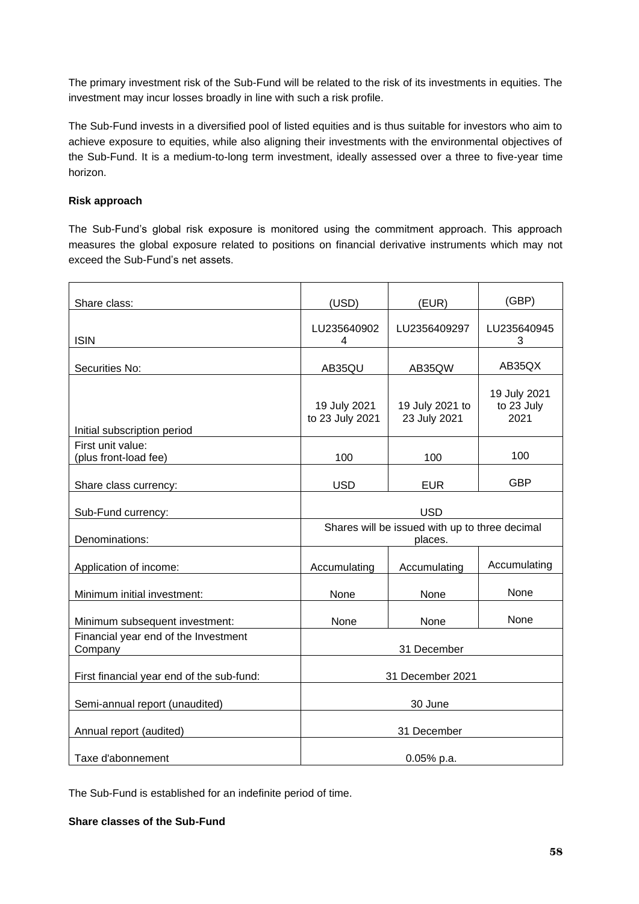The primary investment risk of the Sub-Fund will be related to the risk of its investments in equities. The investment may incur losses broadly in line with such a risk profile.

The Sub-Fund invests in a diversified pool of listed equities and is thus suitable for investors who aim to achieve exposure to equities, while also aligning their investments with the environmental objectives of the Sub-Fund. It is a medium-to-long term investment, ideally assessed over a three to five-year time horizon.

## **Risk approach**

The Sub-Fund's global risk exposure is monitored using the commitment approach. This approach measures the global exposure related to positions on financial derivative instruments which may not exceed the Sub-Fund's net assets.

| Share class:                                    | (USD)<br>(EUR)                                            |                                 | (GBP)                              |  |
|-------------------------------------------------|-----------------------------------------------------------|---------------------------------|------------------------------------|--|
| <b>ISIN</b>                                     | LU235640902<br>4                                          | LU2356409297                    | LU235640945<br>3                   |  |
| Securities No:                                  | AB35QU                                                    | AB35QW                          | AB35QX                             |  |
| Initial subscription period                     | 19 July 2021<br>to 23 July 2021                           | 19 July 2021 to<br>23 July 2021 | 19 July 2021<br>to 23 July<br>2021 |  |
| First unit value:<br>(plus front-load fee)      | 100                                                       | 100                             | 100                                |  |
| Share class currency:                           | <b>USD</b>                                                | <b>EUR</b>                      | <b>GBP</b>                         |  |
| Sub-Fund currency:                              | <b>USD</b>                                                |                                 |                                    |  |
| Denominations:                                  | Shares will be issued with up to three decimal<br>places. |                                 |                                    |  |
| Application of income:                          | Accumulating                                              | Accumulating                    | Accumulating                       |  |
| Minimum initial investment:                     | None                                                      | None                            | None                               |  |
| Minimum subsequent investment:                  | None                                                      | None                            | None                               |  |
| Financial year end of the Investment<br>Company | 31 December                                               |                                 |                                    |  |
| First financial year end of the sub-fund:       | 31 December 2021                                          |                                 |                                    |  |
| Semi-annual report (unaudited)                  | 30 June                                                   |                                 |                                    |  |
| Annual report (audited)                         | 31 December                                               |                                 |                                    |  |
| Taxe d'abonnement                               | 0.05% p.a.                                                |                                 |                                    |  |

The Sub-Fund is established for an indefinite period of time.

## **Share classes of the Sub-Fund**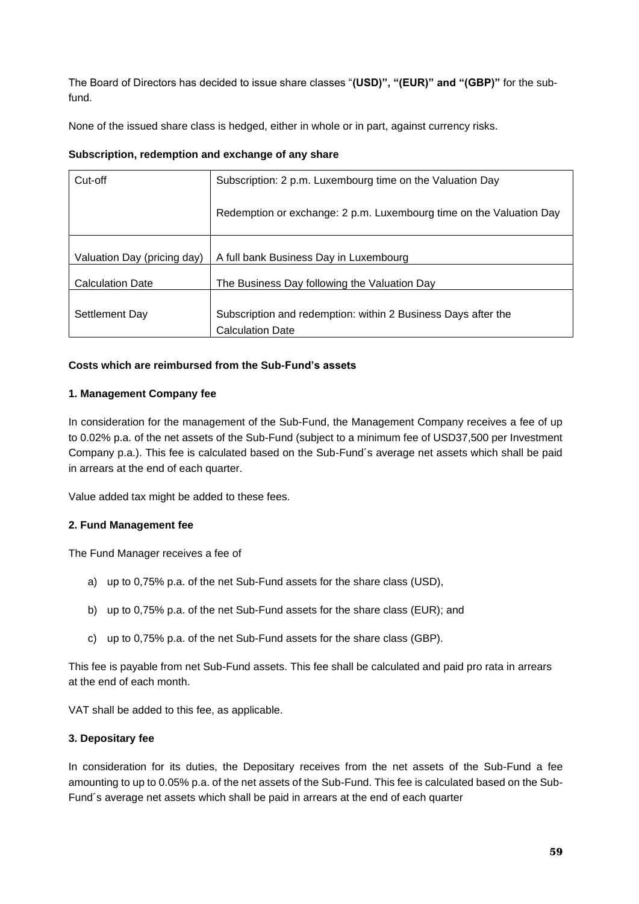The Board of Directors has decided to issue share classes "**(USD)", "(EUR)" and "(GBP)"** for the subfund.

None of the issued share class is hedged, either in whole or in part, against currency risks.

## **Subscription, redemption and exchange of any share**

| Cut-off                     | Subscription: 2 p.m. Luxembourg time on the Valuation Day           |
|-----------------------------|---------------------------------------------------------------------|
|                             | Redemption or exchange: 2 p.m. Luxembourg time on the Valuation Day |
|                             |                                                                     |
| Valuation Day (pricing day) | A full bank Business Day in Luxembourg                              |
| <b>Calculation Date</b>     | The Business Day following the Valuation Day                        |
|                             |                                                                     |
| Settlement Day              | Subscription and redemption: within 2 Business Days after the       |
|                             | <b>Calculation Date</b>                                             |

## **Costs which are reimbursed from the Sub-Fund's assets**

## **1. Management Company fee**

In consideration for the management of the Sub-Fund, the Management Company receives a fee of up to 0.02% p.a. of the net assets of the Sub-Fund (subject to a minimum fee of USD37,500 per Investment Company p.a.). This fee is calculated based on the Sub-Fund´s average net assets which shall be paid in arrears at the end of each quarter.

Value added tax might be added to these fees.

# **2. Fund Management fee**

The Fund Manager receives a fee of

- a) up to 0,75% p.a. of the net Sub-Fund assets for the share class (USD),
- b) up to 0,75% p.a. of the net Sub-Fund assets for the share class (EUR); and
- c) up to 0,75% p.a. of the net Sub-Fund assets for the share class (GBP).

This fee is payable from net Sub-Fund assets. This fee shall be calculated and paid pro rata in arrears at the end of each month.

VAT shall be added to this fee, as applicable.

#### **3. Depositary fee**

In consideration for its duties, the Depositary receives from the net assets of the Sub-Fund a fee amounting to up to 0.05% p.a. of the net assets of the Sub-Fund. This fee is calculated based on the Sub-Fund´s average net assets which shall be paid in arrears at the end of each quarter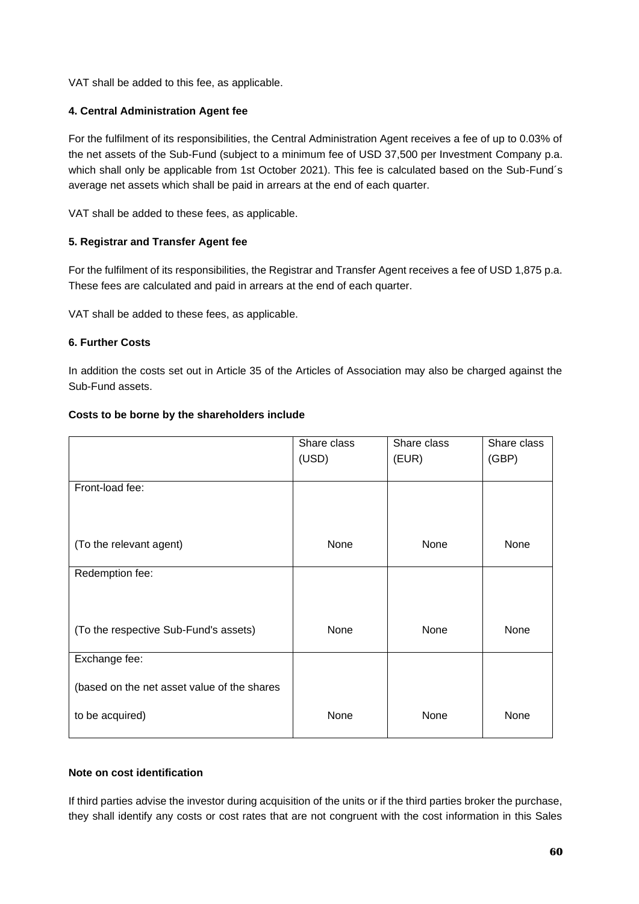VAT shall be added to this fee, as applicable.

## **4. Central Administration Agent fee**

For the fulfilment of its responsibilities, the Central Administration Agent receives a fee of up to 0.03% of the net assets of the Sub-Fund (subject to a minimum fee of USD 37,500 per Investment Company p.a. which shall only be applicable from 1st October 2021). This fee is calculated based on the Sub-Fund´s average net assets which shall be paid in arrears at the end of each quarter.

VAT shall be added to these fees, as applicable.

## **5. Registrar and Transfer Agent fee**

For the fulfilment of its responsibilities, the Registrar and Transfer Agent receives a fee of USD 1,875 p.a. These fees are calculated and paid in arrears at the end of each quarter.

VAT shall be added to these fees, as applicable.

## **6. Further Costs**

In addition the costs set out in Article 35 of the Articles of Association may also be charged against the Sub-Fund assets.

|                                             | Share class<br>(USD) | Share class<br>(EUR) | Share class<br>(GBP) |
|---------------------------------------------|----------------------|----------------------|----------------------|
| Front-load fee:                             |                      |                      |                      |
| (To the relevant agent)                     | None                 | None                 | None                 |
| Redemption fee:                             |                      |                      |                      |
| (To the respective Sub-Fund's assets)       | None                 | None                 | None                 |
| Exchange fee:                               |                      |                      |                      |
| (based on the net asset value of the shares |                      |                      |                      |
| to be acquired)                             | None                 | None                 | None                 |

#### **Costs to be borne by the shareholders include**

### **Note on cost identification**

If third parties advise the investor during acquisition of the units or if the third parties broker the purchase, they shall identify any costs or cost rates that are not congruent with the cost information in this Sales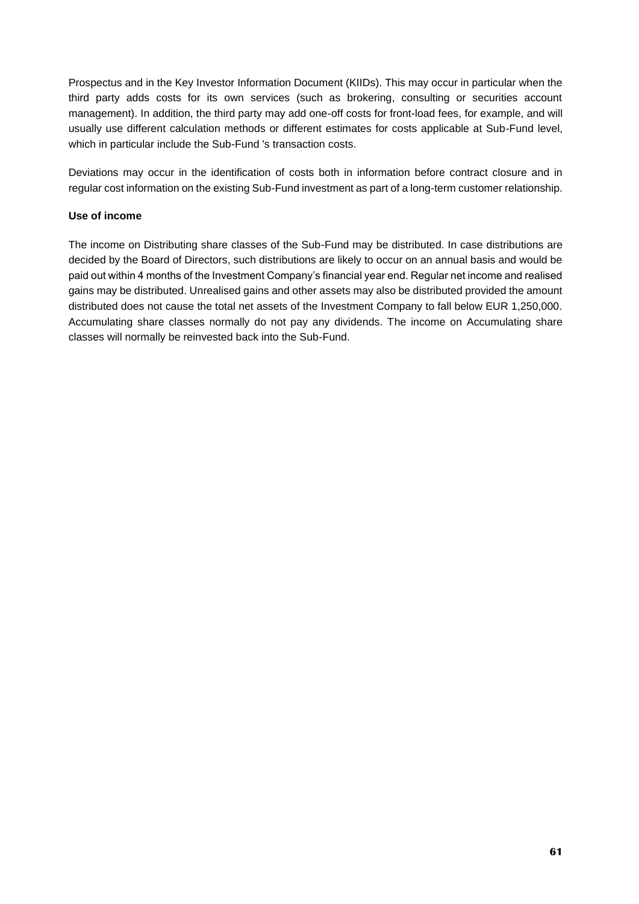Prospectus and in the Key Investor Information Document (KIIDs). This may occur in particular when the third party adds costs for its own services (such as brokering, consulting or securities account management). In addition, the third party may add one-off costs for front-load fees, for example, and will usually use different calculation methods or different estimates for costs applicable at Sub-Fund level, which in particular include the Sub-Fund 's transaction costs.

Deviations may occur in the identification of costs both in information before contract closure and in regular cost information on the existing Sub-Fund investment as part of a long-term customer relationship.

### **Use of income**

The income on Distributing share classes of the Sub-Fund may be distributed. In case distributions are decided by the Board of Directors, such distributions are likely to occur on an annual basis and would be paid out within 4 months of the Investment Company's financial year end. Regular net income and realised gains may be distributed. Unrealised gains and other assets may also be distributed provided the amount distributed does not cause the total net assets of the Investment Company to fall below EUR 1,250,000. Accumulating share classes normally do not pay any dividends. The income on Accumulating share classes will normally be reinvested back into the Sub-Fund.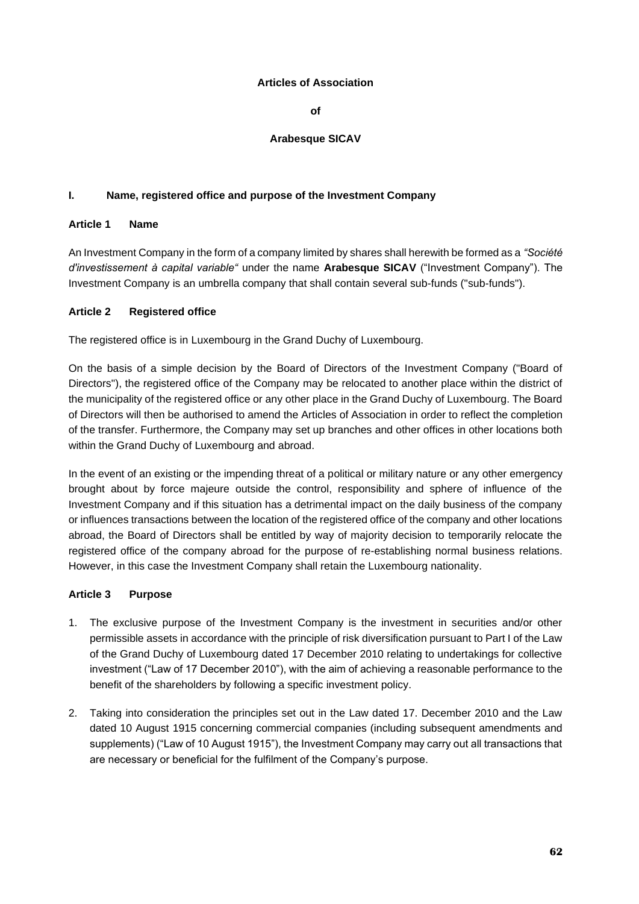#### **Articles of Association**

**of**

### **Arabesque SICAV**

### **I. Name, registered office and purpose of the Investment Company**

### **Article 1 Name**

An Investment Company in the form of a company limited by shares shall herewith be formed as a *"Société d'investissement à capital variable"* under the name **Arabesque SICAV** ("Investment Company"). The Investment Company is an umbrella company that shall contain several sub-funds ("sub-funds").

#### **Article 2 Registered office**

The registered office is in Luxembourg in the Grand Duchy of Luxembourg.

On the basis of a simple decision by the Board of Directors of the Investment Company ("Board of Directors"), the registered office of the Company may be relocated to another place within the district of the municipality of the registered office or any other place in the Grand Duchy of Luxembourg. The Board of Directors will then be authorised to amend the Articles of Association in order to reflect the completion of the transfer. Furthermore, the Company may set up branches and other offices in other locations both within the Grand Duchy of Luxembourg and abroad.

In the event of an existing or the impending threat of a political or military nature or any other emergency brought about by force majeure outside the control, responsibility and sphere of influence of the Investment Company and if this situation has a detrimental impact on the daily business of the company or influences transactions between the location of the registered office of the company and other locations abroad, the Board of Directors shall be entitled by way of majority decision to temporarily relocate the registered office of the company abroad for the purpose of re-establishing normal business relations. However, in this case the Investment Company shall retain the Luxembourg nationality.

#### **Article 3 Purpose**

- 1. The exclusive purpose of the Investment Company is the investment in securities and/or other permissible assets in accordance with the principle of risk diversification pursuant to Part I of the Law of the Grand Duchy of Luxembourg dated 17 December 2010 relating to undertakings for collective investment ("Law of 17 December 2010"), with the aim of achieving a reasonable performance to the benefit of the shareholders by following a specific investment policy.
- 2. Taking into consideration the principles set out in the Law dated 17. December 2010 and the Law dated 10 August 1915 concerning commercial companies (including subsequent amendments and supplements) ("Law of 10 August 1915"), the Investment Company may carry out all transactions that are necessary or beneficial for the fulfilment of the Company's purpose.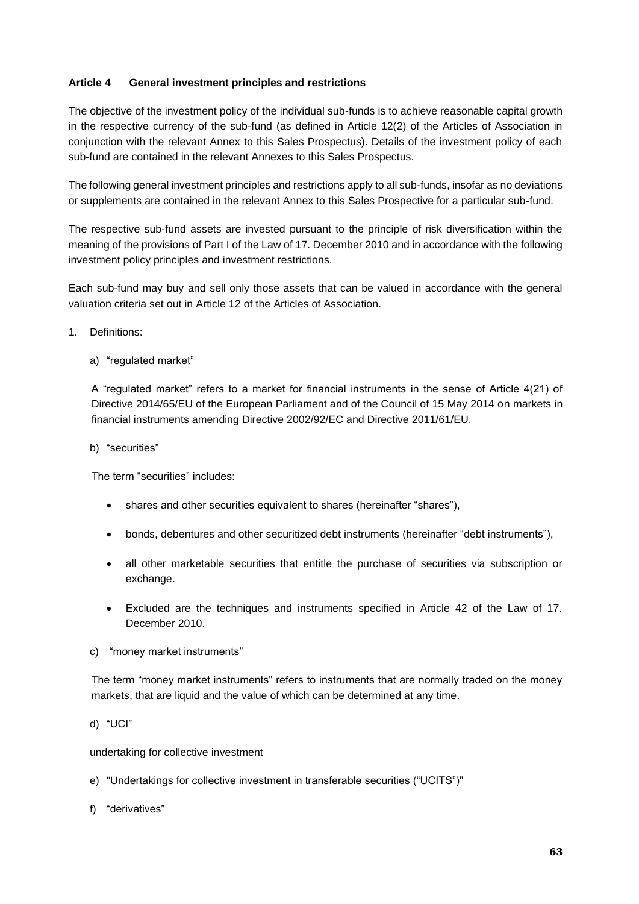## **Article 4 General investment principles and restrictions**

The objective of the investment policy of the individual sub-funds is to achieve reasonable capital growth in the respective currency of the sub-fund (as defined in Article 12(2) of the Articles of Association in conjunction with the relevant Annex to this Sales Prospectus). Details of the investment policy of each sub-fund are contained in the relevant Annexes to this Sales Prospectus.

The following general investment principles and restrictions apply to all sub-funds, insofar as no deviations or supplements are contained in the relevant Annex to this Sales Prospective for a particular sub-fund.

The respective sub-fund assets are invested pursuant to the principle of risk diversification within the meaning of the provisions of Part I of the Law of 17. December 2010 and in accordance with the following investment policy principles and investment restrictions.

Each sub-fund may buy and sell only those assets that can be valued in accordance with the general valuation criteria set out in Article 12 of the Articles of Association.

1. Definitions:

a) "regulated market"

A "regulated market" refers to a market for financial instruments in the sense of Article 4(21) of Directive 2014/65/EU of the European Parliament and of the Council of 15 May 2014 on markets in financial instruments amending Directive 2002/92/EC and Directive 2011/61/EU.

b) "securities"

The term "securities" includes:

- shares and other securities equivalent to shares (hereinafter "shares"),
- bonds, debentures and other securitized debt instruments (hereinafter "debt instruments"),
- all other marketable securities that entitle the purchase of securities via subscription or exchange.
- Excluded are the techniques and instruments specified in Article 42 of the Law of 17. December 2010.
- c) "money market instruments"

The term "money market instruments" refers to instruments that are normally traded on the money markets, that are liquid and the value of which can be determined at any time.

undertaking for collective investment

- e) "Undertakings for collective investment in transferable securities ("UCITS")"
- f) "derivatives"

d) "UCI"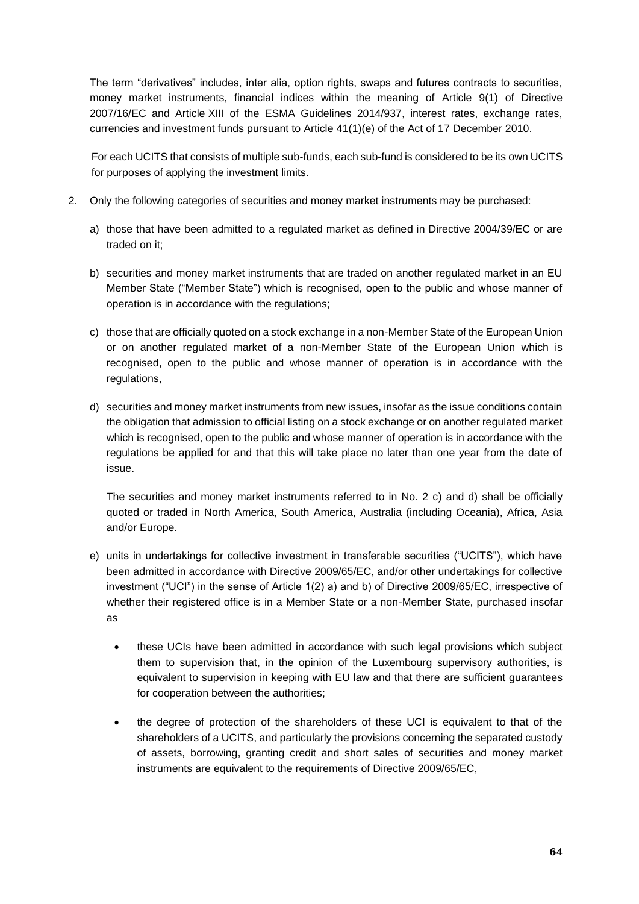The term "derivatives" includes, inter alia, option rights, swaps and futures contracts to securities, money market instruments, financial indices within the meaning of Article 9(1) of Directive 2007/16/EC and Article XIII of the ESMA Guidelines 2014/937, interest rates, exchange rates, currencies and investment funds pursuant to Article 41(1)(e) of the Act of 17 December 2010.

For each UCITS that consists of multiple sub-funds, each sub-fund is considered to be its own UCITS for purposes of applying the investment limits.

- 2. Only the following categories of securities and money market instruments may be purchased:
	- a) those that have been admitted to a regulated market as defined in Directive 2004/39/EC or are traded on it;
	- b) securities and money market instruments that are traded on another regulated market in an EU Member State ("Member State") which is recognised, open to the public and whose manner of operation is in accordance with the regulations;
	- c) those that are officially quoted on a stock exchange in a non-Member State of the European Union or on another regulated market of a non-Member State of the European Union which is recognised, open to the public and whose manner of operation is in accordance with the regulations,
	- d) securities and money market instruments from new issues, insofar as the issue conditions contain the obligation that admission to official listing on a stock exchange or on another regulated market which is recognised, open to the public and whose manner of operation is in accordance with the regulations be applied for and that this will take place no later than one year from the date of issue.

The securities and money market instruments referred to in No. 2 c) and d) shall be officially quoted or traded in North America, South America, Australia (including Oceania), Africa, Asia and/or Europe.

- e) units in undertakings for collective investment in transferable securities ("UCITS"), which have been admitted in accordance with Directive 2009/65/EC, and/or other undertakings for collective investment ("UCI") in the sense of Article 1(2) a) and b) of Directive 2009/65/EC, irrespective of whether their registered office is in a Member State or a non-Member State, purchased insofar as
	- these UCIs have been admitted in accordance with such legal provisions which subject them to supervision that, in the opinion of the Luxembourg supervisory authorities, is equivalent to supervision in keeping with EU law and that there are sufficient guarantees for cooperation between the authorities;
	- the degree of protection of the shareholders of these UCI is equivalent to that of the shareholders of a UCITS, and particularly the provisions concerning the separated custody of assets, borrowing, granting credit and short sales of securities and money market instruments are equivalent to the requirements of Directive 2009/65/EC,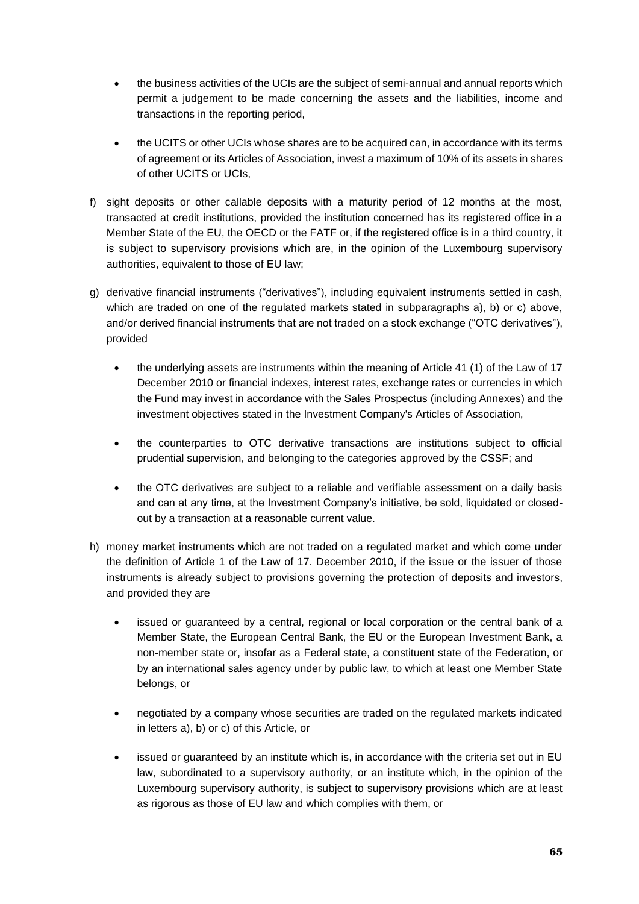- the business activities of the UCIs are the subject of semi-annual and annual reports which permit a judgement to be made concerning the assets and the liabilities, income and transactions in the reporting period,
- the UCITS or other UCIs whose shares are to be acquired can, in accordance with its terms of agreement or its Articles of Association, invest a maximum of 10% of its assets in shares of other UCITS or UCIs,
- f) sight deposits or other callable deposits with a maturity period of 12 months at the most, transacted at credit institutions, provided the institution concerned has its registered office in a Member State of the EU, the OECD or the FATF or, if the registered office is in a third country, it is subject to supervisory provisions which are, in the opinion of the Luxembourg supervisory authorities, equivalent to those of EU law;
- g) derivative financial instruments ("derivatives"), including equivalent instruments settled in cash, which are traded on one of the regulated markets stated in subparagraphs a), b) or c) above, and/or derived financial instruments that are not traded on a stock exchange ("OTC derivatives"), provided
	- the underlying assets are instruments within the meaning of Article 41 (1) of the Law of 17 December 2010 or financial indexes, interest rates, exchange rates or currencies in which the Fund may invest in accordance with the Sales Prospectus (including Annexes) and the investment objectives stated in the Investment Company's Articles of Association,
	- the counterparties to OTC derivative transactions are institutions subject to official prudential supervision, and belonging to the categories approved by the CSSF; and
	- the OTC derivatives are subject to a reliable and verifiable assessment on a daily basis and can at any time, at the Investment Company's initiative, be sold, liquidated or closedout by a transaction at a reasonable current value.
- h) money market instruments which are not traded on a regulated market and which come under the definition of Article 1 of the Law of 17. December 2010, if the issue or the issuer of those instruments is already subject to provisions governing the protection of deposits and investors, and provided they are
	- issued or guaranteed by a central, regional or local corporation or the central bank of a Member State, the European Central Bank, the EU or the European Investment Bank, a non-member state or, insofar as a Federal state, a constituent state of the Federation, or by an international sales agency under by public law, to which at least one Member State belongs, or
	- negotiated by a company whose securities are traded on the regulated markets indicated in letters a), b) or c) of this Article, or
	- issued or guaranteed by an institute which is, in accordance with the criteria set out in EU law, subordinated to a supervisory authority, or an institute which, in the opinion of the Luxembourg supervisory authority, is subject to supervisory provisions which are at least as rigorous as those of EU law and which complies with them, or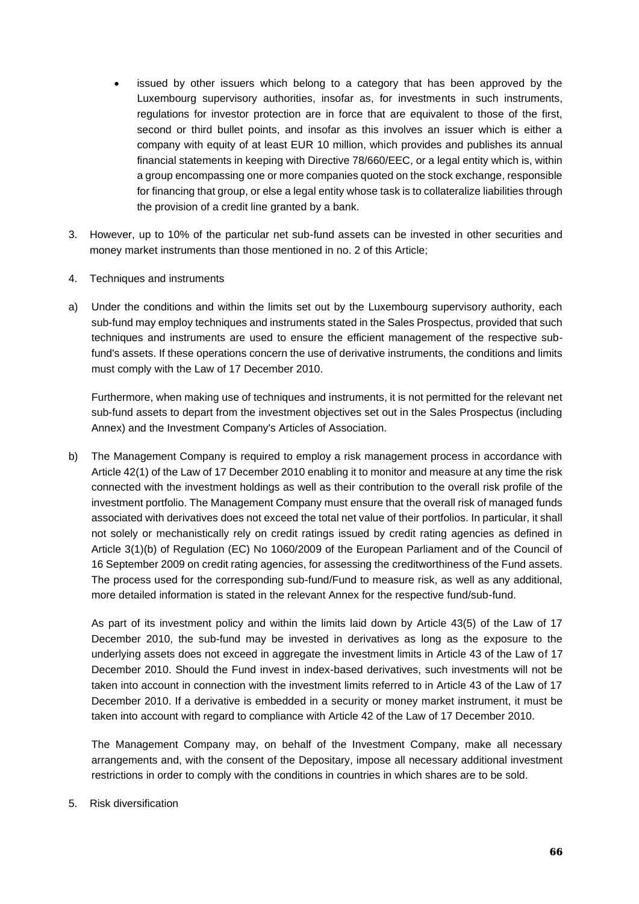- issued by other issuers which belong to a category that has been approved by the Luxembourg supervisory authorities, insofar as, for investments in such instruments, regulations for investor protection are in force that are equivalent to those of the first, second or third bullet points, and insofar as this involves an issuer which is either a company with equity of at least EUR 10 million, which provides and publishes its annual financial statements in keeping with Directive 78/660/EEC, or a legal entity which is, within a group encompassing one or more companies quoted on the stock exchange, responsible for financing that group, or else a legal entity whose task is to collateralize liabilities through the provision of a credit line granted by a bank.
- 3. However, up to 10% of the particular net sub-fund assets can be invested in other securities and money market instruments than those mentioned in no. 2 of this Article;
- 4. Techniques and instruments
- a) Under the conditions and within the limits set out by the Luxembourg supervisory authority, each sub-fund may employ techniques and instruments stated in the Sales Prospectus, provided that such techniques and instruments are used to ensure the efficient management of the respective subfund's assets. If these operations concern the use of derivative instruments, the conditions and limits must comply with the Law of 17 December 2010.

Furthermore, when making use of techniques and instruments, it is not permitted for the relevant net sub-fund assets to depart from the investment objectives set out in the Sales Prospectus (including Annex) and the Investment Company's Articles of Association.

b) The Management Company is required to employ a risk management process in accordance with Article 42(1) of the Law of 17 December 2010 enabling it to monitor and measure at any time the risk connected with the investment holdings as well as their contribution to the overall risk profile of the investment portfolio. The Management Company must ensure that the overall risk of managed funds associated with derivatives does not exceed the total net value of their portfolios. In particular, it shall not solely or mechanistically rely on credit ratings issued by credit rating agencies as defined in Article 3(1)(b) of Regulation (EC) No 1060/2009 of the European Parliament and of the Council of 16 September 2009 on credit rating agencies, for assessing the creditworthiness of the Fund assets. The process used for the corresponding sub-fund/Fund to measure risk, as well as any additional, more detailed information is stated in the relevant Annex for the respective fund/sub-fund.

As part of its investment policy and within the limits laid down by Article 43(5) of the Law of 17 December 2010, the sub-fund may be invested in derivatives as long as the exposure to the underlying assets does not exceed in aggregate the investment limits in Article 43 of the Law of 17 December 2010. Should the Fund invest in index-based derivatives, such investments will not be taken into account in connection with the investment limits referred to in Article 43 of the Law of 17 December 2010. If a derivative is embedded in a security or money market instrument, it must be taken into account with regard to compliance with Article 42 of the Law of 17 December 2010.

The Management Company may, on behalf of the Investment Company, make all necessary arrangements and, with the consent of the Depositary, impose all necessary additional investment restrictions in order to comply with the conditions in countries in which shares are to be sold.

5. Risk diversification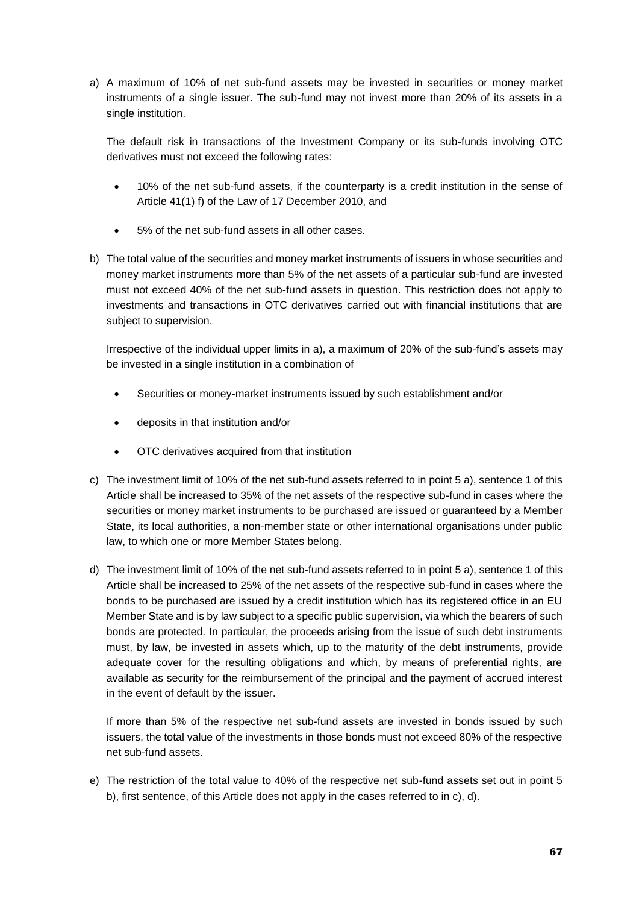a) A maximum of 10% of net sub-fund assets may be invested in securities or money market instruments of a single issuer. The sub-fund may not invest more than 20% of its assets in a single institution.

The default risk in transactions of the Investment Company or its sub-funds involving OTC derivatives must not exceed the following rates:

- 10% of the net sub-fund assets, if the counterparty is a credit institution in the sense of Article 41(1) f) of the Law of 17 December 2010, and
- 5% of the net sub-fund assets in all other cases.
- b) The total value of the securities and money market instruments of issuers in whose securities and money market instruments more than 5% of the net assets of a particular sub-fund are invested must not exceed 40% of the net sub-fund assets in question. This restriction does not apply to investments and transactions in OTC derivatives carried out with financial institutions that are subject to supervision.

Irrespective of the individual upper limits in a), a maximum of 20% of the sub-fund's assets may be invested in a single institution in a combination of

- Securities or money-market instruments issued by such establishment and/or
- deposits in that institution and/or
- OTC derivatives acquired from that institution
- c) The investment limit of 10% of the net sub-fund assets referred to in point 5 a), sentence 1 of this Article shall be increased to 35% of the net assets of the respective sub-fund in cases where the securities or money market instruments to be purchased are issued or guaranteed by a Member State, its local authorities, a non-member state or other international organisations under public law, to which one or more Member States belong.
- d) The investment limit of 10% of the net sub-fund assets referred to in point 5 a), sentence 1 of this Article shall be increased to 25% of the net assets of the respective sub-fund in cases where the bonds to be purchased are issued by a credit institution which has its registered office in an EU Member State and is by law subject to a specific public supervision, via which the bearers of such bonds are protected. In particular, the proceeds arising from the issue of such debt instruments must, by law, be invested in assets which, up to the maturity of the debt instruments, provide adequate cover for the resulting obligations and which, by means of preferential rights, are available as security for the reimbursement of the principal and the payment of accrued interest in the event of default by the issuer.

If more than 5% of the respective net sub-fund assets are invested in bonds issued by such issuers, the total value of the investments in those bonds must not exceed 80% of the respective net sub-fund assets.

e) The restriction of the total value to 40% of the respective net sub-fund assets set out in point 5 b), first sentence, of this Article does not apply in the cases referred to in c), d).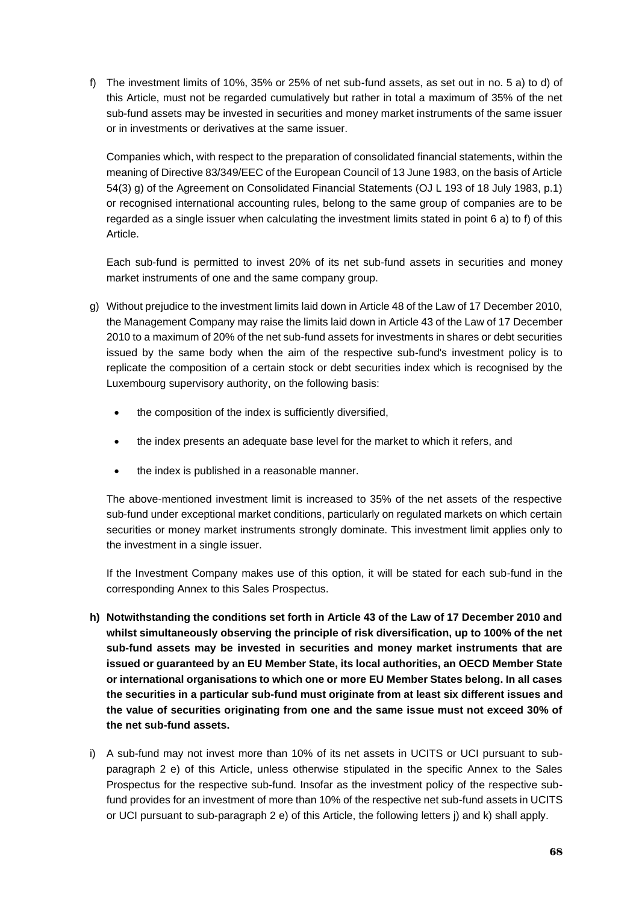f) The investment limits of 10%, 35% or 25% of net sub-fund assets, as set out in no. 5 a) to d) of this Article, must not be regarded cumulatively but rather in total a maximum of 35% of the net sub-fund assets may be invested in securities and money market instruments of the same issuer or in investments or derivatives at the same issuer.

Companies which, with respect to the preparation of consolidated financial statements, within the meaning of Directive 83/349/EEC of the European Council of 13 June 1983, on the basis of Article 54(3) g) of the Agreement on Consolidated Financial Statements (OJ L 193 of 18 July 1983, p.1) or recognised international accounting rules, belong to the same group of companies are to be regarded as a single issuer when calculating the investment limits stated in point 6 a) to f) of this Article.

Each sub-fund is permitted to invest 20% of its net sub-fund assets in securities and money market instruments of one and the same company group.

- g) Without prejudice to the investment limits laid down in Article 48 of the Law of 17 December 2010, the Management Company may raise the limits laid down in Article 43 of the Law of 17 December 2010 to a maximum of 20% of the net sub-fund assets for investments in shares or debt securities issued by the same body when the aim of the respective sub-fund's investment policy is to replicate the composition of a certain stock or debt securities index which is recognised by the Luxembourg supervisory authority, on the following basis:
	- the composition of the index is sufficiently diversified,
	- the index presents an adequate base level for the market to which it refers, and
	- the index is published in a reasonable manner.

The above-mentioned investment limit is increased to 35% of the net assets of the respective sub-fund under exceptional market conditions, particularly on regulated markets on which certain securities or money market instruments strongly dominate. This investment limit applies only to the investment in a single issuer.

If the Investment Company makes use of this option, it will be stated for each sub-fund in the corresponding Annex to this Sales Prospectus.

- **h) Notwithstanding the conditions set forth in Article 43 of the Law of 17 December 2010 and whilst simultaneously observing the principle of risk diversification, up to 100% of the net sub-fund assets may be invested in securities and money market instruments that are issued or guaranteed by an EU Member State, its local authorities, an OECD Member State or international organisations to which one or more EU Member States belong. In all cases the securities in a particular sub-fund must originate from at least six different issues and the value of securities originating from one and the same issue must not exceed 30% of the net sub-fund assets.**
- i) A sub-fund may not invest more than 10% of its net assets in UCITS or UCI pursuant to subparagraph 2 e) of this Article, unless otherwise stipulated in the specific Annex to the Sales Prospectus for the respective sub-fund. Insofar as the investment policy of the respective subfund provides for an investment of more than 10% of the respective net sub-fund assets in UCITS or UCI pursuant to sub-paragraph 2 e) of this Article, the following letters j) and k) shall apply.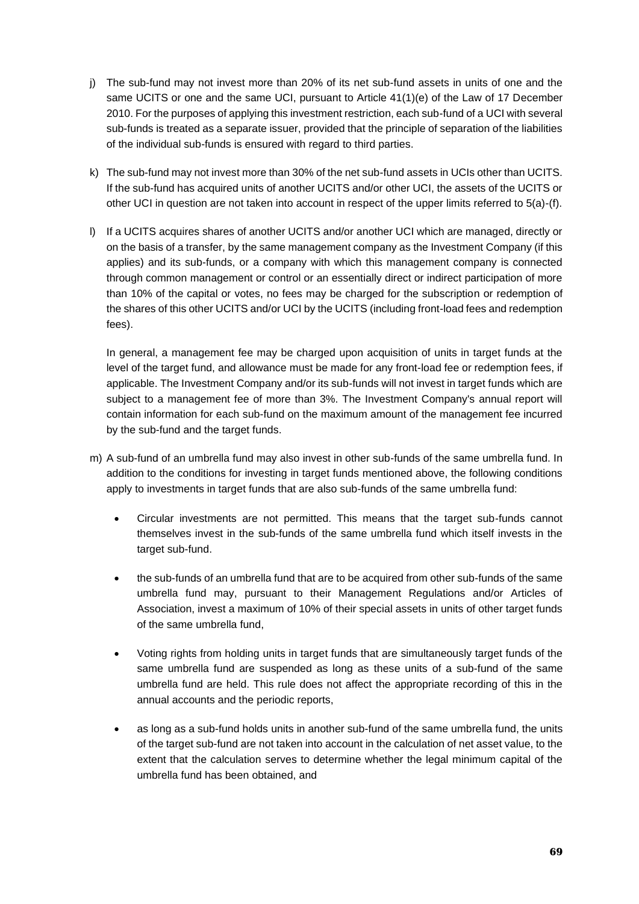- j) The sub-fund may not invest more than 20% of its net sub-fund assets in units of one and the same UCITS or one and the same UCI, pursuant to Article 41(1)(e) of the Law of 17 December 2010. For the purposes of applying this investment restriction, each sub-fund of a UCI with several sub-funds is treated as a separate issuer, provided that the principle of separation of the liabilities of the individual sub-funds is ensured with regard to third parties.
- k) The sub-fund may not invest more than 30% of the net sub-fund assets in UCIs other than UCITS. If the sub-fund has acquired units of another UCITS and/or other UCI, the assets of the UCITS or other UCI in question are not taken into account in respect of the upper limits referred to 5(a)-(f).
- l) If a UCITS acquires shares of another UCITS and/or another UCI which are managed, directly or on the basis of a transfer, by the same management company as the Investment Company (if this applies) and its sub-funds, or a company with which this management company is connected through common management or control or an essentially direct or indirect participation of more than 10% of the capital or votes, no fees may be charged for the subscription or redemption of the shares of this other UCITS and/or UCI by the UCITS (including front-load fees and redemption fees).

In general, a management fee may be charged upon acquisition of units in target funds at the level of the target fund, and allowance must be made for any front-load fee or redemption fees, if applicable. The Investment Company and/or its sub-funds will not invest in target funds which are subject to a management fee of more than 3%. The Investment Company's annual report will contain information for each sub-fund on the maximum amount of the management fee incurred by the sub-fund and the target funds.

- m) A sub-fund of an umbrella fund may also invest in other sub-funds of the same umbrella fund. In addition to the conditions for investing in target funds mentioned above, the following conditions apply to investments in target funds that are also sub-funds of the same umbrella fund:
	- Circular investments are not permitted. This means that the target sub-funds cannot themselves invest in the sub-funds of the same umbrella fund which itself invests in the target sub-fund.
	- the sub-funds of an umbrella fund that are to be acquired from other sub-funds of the same umbrella fund may, pursuant to their Management Regulations and/or Articles of Association, invest a maximum of 10% of their special assets in units of other target funds of the same umbrella fund,
	- Voting rights from holding units in target funds that are simultaneously target funds of the same umbrella fund are suspended as long as these units of a sub-fund of the same umbrella fund are held. This rule does not affect the appropriate recording of this in the annual accounts and the periodic reports,
	- as long as a sub-fund holds units in another sub-fund of the same umbrella fund, the units of the target sub-fund are not taken into account in the calculation of net asset value, to the extent that the calculation serves to determine whether the legal minimum capital of the umbrella fund has been obtained, and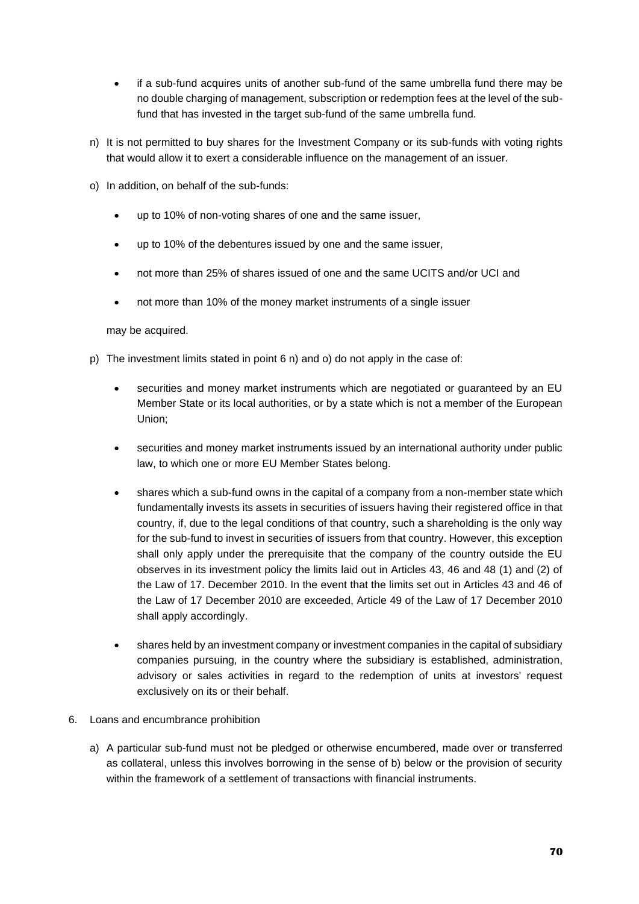- if a sub-fund acquires units of another sub-fund of the same umbrella fund there may be no double charging of management, subscription or redemption fees at the level of the subfund that has invested in the target sub-fund of the same umbrella fund.
- n) It is not permitted to buy shares for the Investment Company or its sub-funds with voting rights that would allow it to exert a considerable influence on the management of an issuer.
- o) In addition, on behalf of the sub-funds:
	- up to 10% of non-voting shares of one and the same issuer,
	- up to 10% of the debentures issued by one and the same issuer,
	- not more than 25% of shares issued of one and the same UCITS and/or UCI and
	- not more than 10% of the money market instruments of a single issuer

may be acquired.

- p) The investment limits stated in point 6 n) and o) do not apply in the case of:
	- securities and money market instruments which are negotiated or guaranteed by an EU Member State or its local authorities, or by a state which is not a member of the European Union;
	- securities and money market instruments issued by an international authority under public law, to which one or more EU Member States belong.
	- shares which a sub-fund owns in the capital of a company from a non-member state which fundamentally invests its assets in securities of issuers having their registered office in that country, if, due to the legal conditions of that country, such a shareholding is the only way for the sub-fund to invest in securities of issuers from that country. However, this exception shall only apply under the prerequisite that the company of the country outside the EU observes in its investment policy the limits laid out in Articles 43, 46 and 48 (1) and (2) of the Law of 17. December 2010. In the event that the limits set out in Articles 43 and 46 of the Law of 17 December 2010 are exceeded, Article 49 of the Law of 17 December 2010 shall apply accordingly.
	- shares held by an investment company or investment companies in the capital of subsidiary companies pursuing, in the country where the subsidiary is established, administration, advisory or sales activities in regard to the redemption of units at investors' request exclusively on its or their behalf.
- 6. Loans and encumbrance prohibition
	- a) A particular sub-fund must not be pledged or otherwise encumbered, made over or transferred as collateral, unless this involves borrowing in the sense of b) below or the provision of security within the framework of a settlement of transactions with financial instruments.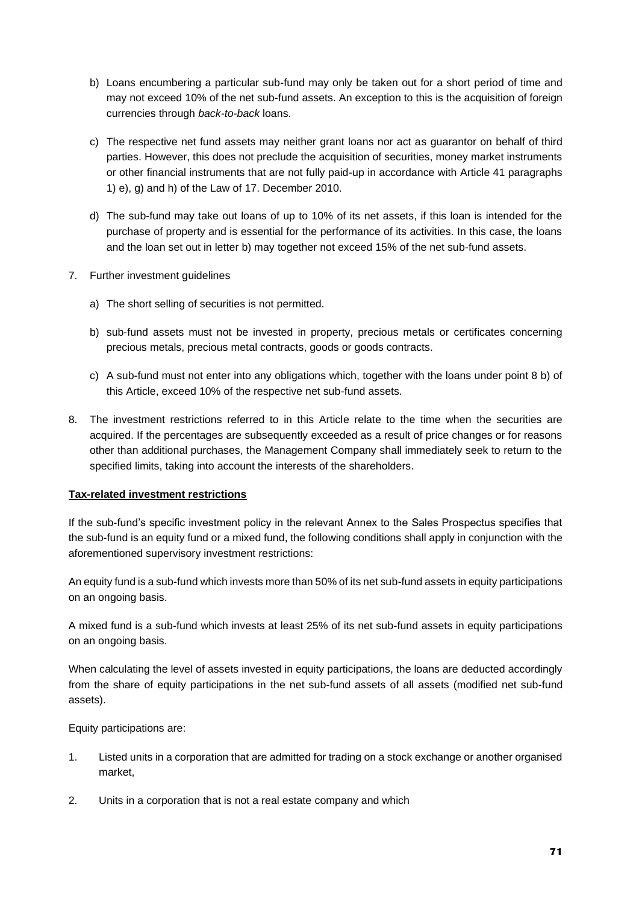- b) Loans encumbering a particular sub-fund may only be taken out for a short period of time and may not exceed 10% of the net sub-fund assets. An exception to this is the acquisition of foreign currencies through *back-to-back* loans.
- c) The respective net fund assets may neither grant loans nor act as guarantor on behalf of third parties. However, this does not preclude the acquisition of securities, money market instruments or other financial instruments that are not fully paid-up in accordance with Article 41 paragraphs 1) e), g) and h) of the Law of 17. December 2010.
- d) The sub-fund may take out loans of up to 10% of its net assets, if this loan is intended for the purchase of property and is essential for the performance of its activities. In this case, the loans and the loan set out in letter b) may together not exceed 15% of the net sub-fund assets.
- 7. Further investment guidelines
	- a) The short selling of securities is not permitted.
	- b) sub-fund assets must not be invested in property, precious metals or certificates concerning precious metals, precious metal contracts, goods or goods contracts.
	- c) A sub-fund must not enter into any obligations which, together with the loans under point 8 b) of this Article, exceed 10% of the respective net sub-fund assets.
- 8. The investment restrictions referred to in this Article relate to the time when the securities are acquired. If the percentages are subsequently exceeded as a result of price changes or for reasons other than additional purchases, the Management Company shall immediately seek to return to the specified limits, taking into account the interests of the shareholders.

#### **Tax-related investment restrictions**

If the sub-fund's specific investment policy in the relevant Annex to the Sales Prospectus specifies that the sub-fund is an equity fund or a mixed fund, the following conditions shall apply in conjunction with the aforementioned supervisory investment restrictions:

An equity fund is a sub-fund which invests more than 50% of its net sub-fund assets in equity participations on an ongoing basis.

A mixed fund is a sub-fund which invests at least 25% of its net sub-fund assets in equity participations on an ongoing basis.

When calculating the level of assets invested in equity participations, the loans are deducted accordingly from the share of equity participations in the net sub-fund assets of all assets (modified net sub-fund assets).

Equity participations are:

- 1. Listed units in a corporation that are admitted for trading on a stock exchange or another organised market,
- 2. Units in a corporation that is not a real estate company and which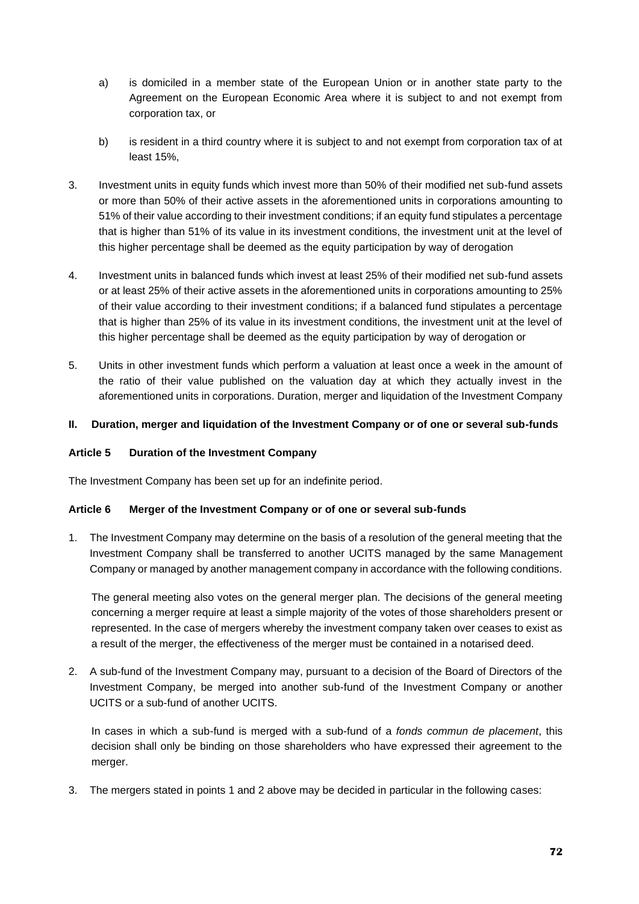- a) is domiciled in a member state of the European Union or in another state party to the Agreement on the European Economic Area where it is subject to and not exempt from corporation tax, or
- b) is resident in a third country where it is subject to and not exempt from corporation tax of at least 15%,
- 3. Investment units in equity funds which invest more than 50% of their modified net sub-fund assets or more than 50% of their active assets in the aforementioned units in corporations amounting to 51% of their value according to their investment conditions; if an equity fund stipulates a percentage that is higher than 51% of its value in its investment conditions, the investment unit at the level of this higher percentage shall be deemed as the equity participation by way of derogation
- 4. Investment units in balanced funds which invest at least 25% of their modified net sub-fund assets or at least 25% of their active assets in the aforementioned units in corporations amounting to 25% of their value according to their investment conditions; if a balanced fund stipulates a percentage that is higher than 25% of its value in its investment conditions, the investment unit at the level of this higher percentage shall be deemed as the equity participation by way of derogation or
- 5. Units in other investment funds which perform a valuation at least once a week in the amount of the ratio of their value published on the valuation day at which they actually invest in the aforementioned units in corporations. Duration, merger and liquidation of the Investment Company

## **II. Duration, merger and liquidation of the Investment Company or of one or several sub-funds**

### **Article 5 Duration of the Investment Company**

The Investment Company has been set up for an indefinite period.

#### **Article 6 Merger of the Investment Company or of one or several sub-funds**

1. The Investment Company may determine on the basis of a resolution of the general meeting that the Investment Company shall be transferred to another UCITS managed by the same Management Company or managed by another management company in accordance with the following conditions.

The general meeting also votes on the general merger plan. The decisions of the general meeting concerning a merger require at least a simple majority of the votes of those shareholders present or represented. In the case of mergers whereby the investment company taken over ceases to exist as a result of the merger, the effectiveness of the merger must be contained in a notarised deed.

2. A sub-fund of the Investment Company may, pursuant to a decision of the Board of Directors of the Investment Company, be merged into another sub-fund of the Investment Company or another UCITS or a sub-fund of another UCITS.

In cases in which a sub-fund is merged with a sub-fund of a *fonds commun de placement*, this decision shall only be binding on those shareholders who have expressed their agreement to the merger.

3. The mergers stated in points 1 and 2 above may be decided in particular in the following cases: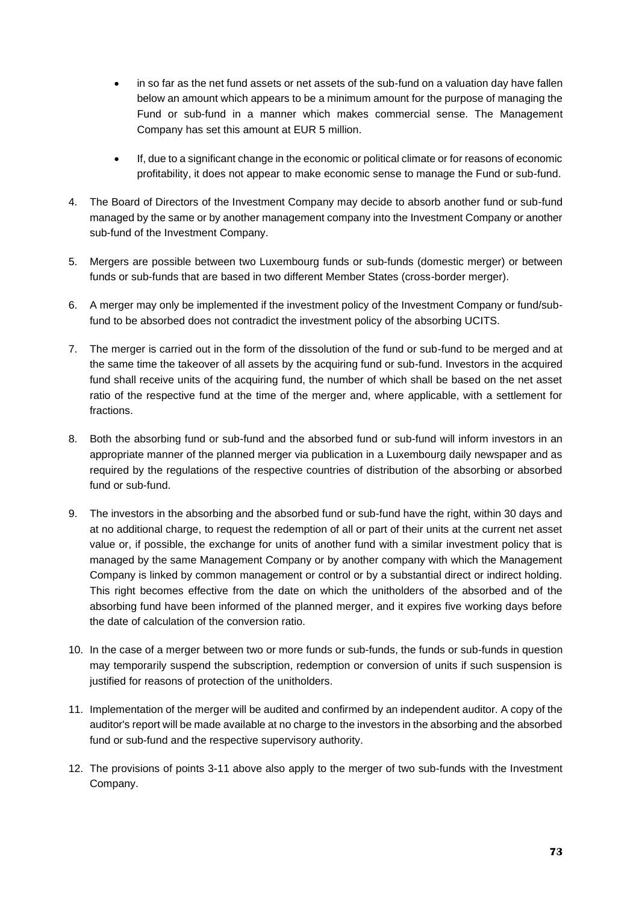- in so far as the net fund assets or net assets of the sub-fund on a valuation day have fallen below an amount which appears to be a minimum amount for the purpose of managing the Fund or sub-fund in a manner which makes commercial sense. The Management Company has set this amount at EUR 5 million.
- If, due to a significant change in the economic or political climate or for reasons of economic profitability, it does not appear to make economic sense to manage the Fund or sub-fund.
- 4. The Board of Directors of the Investment Company may decide to absorb another fund or sub-fund managed by the same or by another management company into the Investment Company or another sub-fund of the Investment Company.
- 5. Mergers are possible between two Luxembourg funds or sub-funds (domestic merger) or between funds or sub-funds that are based in two different Member States (cross-border merger).
- 6. A merger may only be implemented if the investment policy of the Investment Company or fund/subfund to be absorbed does not contradict the investment policy of the absorbing UCITS.
- 7. The merger is carried out in the form of the dissolution of the fund or sub-fund to be merged and at the same time the takeover of all assets by the acquiring fund or sub-fund. Investors in the acquired fund shall receive units of the acquiring fund, the number of which shall be based on the net asset ratio of the respective fund at the time of the merger and, where applicable, with a settlement for fractions.
- 8. Both the absorbing fund or sub-fund and the absorbed fund or sub-fund will inform investors in an appropriate manner of the planned merger via publication in a Luxembourg daily newspaper and as required by the regulations of the respective countries of distribution of the absorbing or absorbed fund or sub-fund.
- 9. The investors in the absorbing and the absorbed fund or sub-fund have the right, within 30 days and at no additional charge, to request the redemption of all or part of their units at the current net asset value or, if possible, the exchange for units of another fund with a similar investment policy that is managed by the same Management Company or by another company with which the Management Company is linked by common management or control or by a substantial direct or indirect holding. This right becomes effective from the date on which the unitholders of the absorbed and of the absorbing fund have been informed of the planned merger, and it expires five working days before the date of calculation of the conversion ratio.
- 10. In the case of a merger between two or more funds or sub-funds, the funds or sub-funds in question may temporarily suspend the subscription, redemption or conversion of units if such suspension is justified for reasons of protection of the unitholders.
- 11. Implementation of the merger will be audited and confirmed by an independent auditor. A copy of the auditor's report will be made available at no charge to the investors in the absorbing and the absorbed fund or sub-fund and the respective supervisory authority.
- 12. The provisions of points 3-11 above also apply to the merger of two sub-funds with the Investment Company.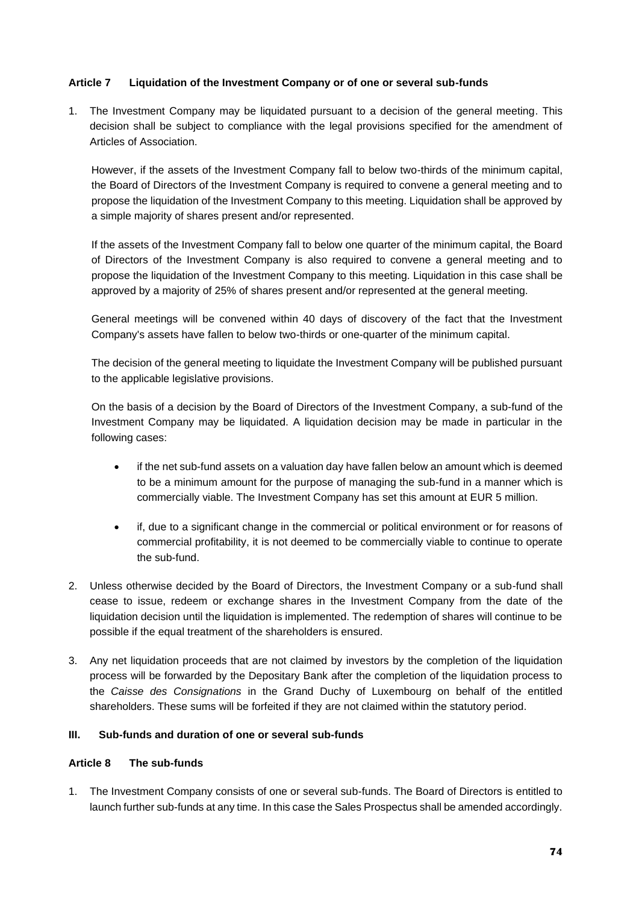## **Article 7 Liquidation of the Investment Company or of one or several sub-funds**

1. The Investment Company may be liquidated pursuant to a decision of the general meeting. This decision shall be subject to compliance with the legal provisions specified for the amendment of Articles of Association.

However, if the assets of the Investment Company fall to below two-thirds of the minimum capital, the Board of Directors of the Investment Company is required to convene a general meeting and to propose the liquidation of the Investment Company to this meeting. Liquidation shall be approved by a simple majority of shares present and/or represented.

If the assets of the Investment Company fall to below one quarter of the minimum capital, the Board of Directors of the Investment Company is also required to convene a general meeting and to propose the liquidation of the Investment Company to this meeting. Liquidation in this case shall be approved by a majority of 25% of shares present and/or represented at the general meeting.

General meetings will be convened within 40 days of discovery of the fact that the Investment Company's assets have fallen to below two-thirds or one-quarter of the minimum capital.

The decision of the general meeting to liquidate the Investment Company will be published pursuant to the applicable legislative provisions.

On the basis of a decision by the Board of Directors of the Investment Company, a sub-fund of the Investment Company may be liquidated. A liquidation decision may be made in particular in the following cases:

- if the net sub-fund assets on a valuation day have fallen below an amount which is deemed to be a minimum amount for the purpose of managing the sub-fund in a manner which is commercially viable. The Investment Company has set this amount at EUR 5 million.
- if, due to a significant change in the commercial or political environment or for reasons of commercial profitability, it is not deemed to be commercially viable to continue to operate the sub-fund.
- 2. Unless otherwise decided by the Board of Directors, the Investment Company or a sub-fund shall cease to issue, redeem or exchange shares in the Investment Company from the date of the liquidation decision until the liquidation is implemented. The redemption of shares will continue to be possible if the equal treatment of the shareholders is ensured.
- 3. Any net liquidation proceeds that are not claimed by investors by the completion of the liquidation process will be forwarded by the Depositary Bank after the completion of the liquidation process to the *Caisse des Consignations* in the Grand Duchy of Luxembourg on behalf of the entitled shareholders. These sums will be forfeited if they are not claimed within the statutory period.

### **III. Sub-funds and duration of one or several sub-funds**

### **Article 8 The sub-funds**

1. The Investment Company consists of one or several sub-funds. The Board of Directors is entitled to launch further sub-funds at any time. In this case the Sales Prospectus shall be amended accordingly.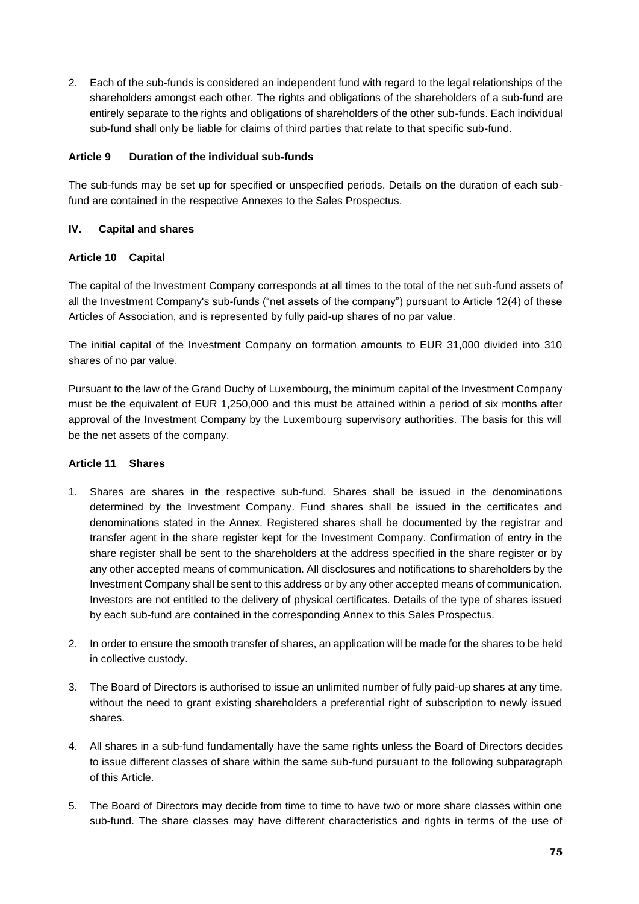2. Each of the sub-funds is considered an independent fund with regard to the legal relationships of the shareholders amongst each other. The rights and obligations of the shareholders of a sub-fund are entirely separate to the rights and obligations of shareholders of the other sub-funds. Each individual sub-fund shall only be liable for claims of third parties that relate to that specific sub-fund.

## **Article 9 Duration of the individual sub-funds**

The sub-funds may be set up for specified or unspecified periods. Details on the duration of each subfund are contained in the respective Annexes to the Sales Prospectus.

## **IV. Capital and shares**

## **Article 10 Capital**

The capital of the Investment Company corresponds at all times to the total of the net sub-fund assets of all the Investment Company's sub-funds ("net assets of the company") pursuant to Article 12(4) of these Articles of Association, and is represented by fully paid-up shares of no par value.

The initial capital of the Investment Company on formation amounts to EUR 31,000 divided into 310 shares of no par value.

Pursuant to the law of the Grand Duchy of Luxembourg, the minimum capital of the Investment Company must be the equivalent of EUR 1,250,000 and this must be attained within a period of six months after approval of the Investment Company by the Luxembourg supervisory authorities. The basis for this will be the net assets of the company.

## **Article 11 Shares**

- 1. Shares are shares in the respective sub-fund. Shares shall be issued in the denominations determined by the Investment Company. Fund shares shall be issued in the certificates and denominations stated in the Annex. Registered shares shall be documented by the registrar and transfer agent in the share register kept for the Investment Company. Confirmation of entry in the share register shall be sent to the shareholders at the address specified in the share register or by any other accepted means of communication. All disclosures and notifications to shareholders by the Investment Company shall be sent to this address or by any other accepted means of communication. Investors are not entitled to the delivery of physical certificates. Details of the type of shares issued by each sub-fund are contained in the corresponding Annex to this Sales Prospectus.
- 2. In order to ensure the smooth transfer of shares, an application will be made for the shares to be held in collective custody.
- 3. The Board of Directors is authorised to issue an unlimited number of fully paid-up shares at any time, without the need to grant existing shareholders a preferential right of subscription to newly issued shares.
- 4. All shares in a sub-fund fundamentally have the same rights unless the Board of Directors decides to issue different classes of share within the same sub-fund pursuant to the following subparagraph of this Article.
- 5. The Board of Directors may decide from time to time to have two or more share classes within one sub-fund. The share classes may have different characteristics and rights in terms of the use of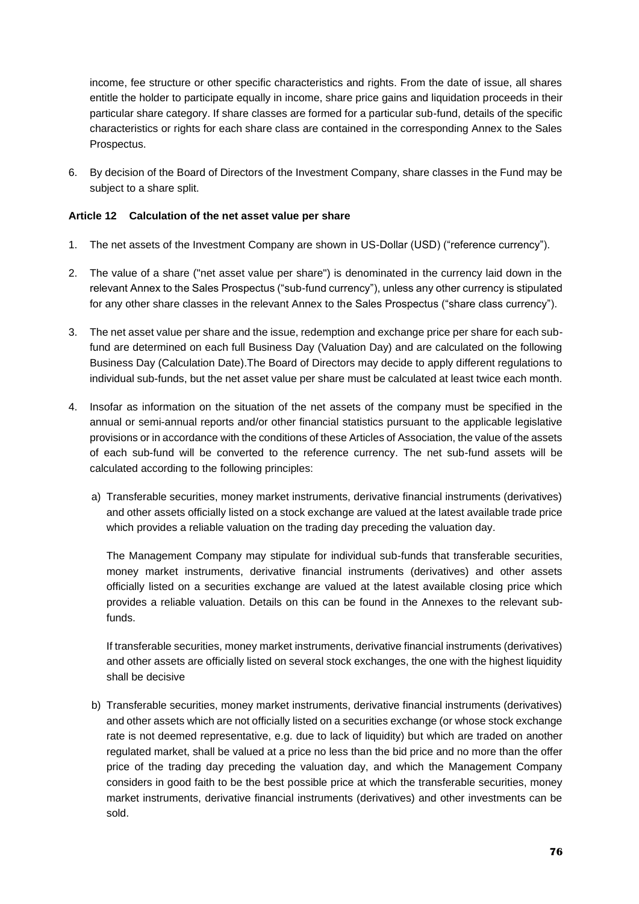income, fee structure or other specific characteristics and rights. From the date of issue, all shares entitle the holder to participate equally in income, share price gains and liquidation proceeds in their particular share category. If share classes are formed for a particular sub-fund, details of the specific characteristics or rights for each share class are contained in the corresponding Annex to the Sales Prospectus.

6. By decision of the Board of Directors of the Investment Company, share classes in the Fund may be subject to a share split.

## **Article 12 Calculation of the net asset value per share**

- 1. The net assets of the Investment Company are shown in US-Dollar (USD) ("reference currency").
- 2. The value of a share ("net asset value per share") is denominated in the currency laid down in the relevant Annex to the Sales Prospectus ("sub-fund currency"), unless any other currency is stipulated for any other share classes in the relevant Annex to the Sales Prospectus ("share class currency").
- 3. The net asset value per share and the issue, redemption and exchange price per share for each subfund are determined on each full Business Day (Valuation Day) and are calculated on the following Business Day (Calculation Date).The Board of Directors may decide to apply different regulations to individual sub-funds, but the net asset value per share must be calculated at least twice each month.
- 4. Insofar as information on the situation of the net assets of the company must be specified in the annual or semi-annual reports and/or other financial statistics pursuant to the applicable legislative provisions or in accordance with the conditions of these Articles of Association, the value of the assets of each sub-fund will be converted to the reference currency. The net sub-fund assets will be calculated according to the following principles:
	- a) Transferable securities, money market instruments, derivative financial instruments (derivatives) and other assets officially listed on a stock exchange are valued at the latest available trade price which provides a reliable valuation on the trading day preceding the valuation day.

The Management Company may stipulate for individual sub-funds that transferable securities, money market instruments, derivative financial instruments (derivatives) and other assets officially listed on a securities exchange are valued at the latest available closing price which provides a reliable valuation. Details on this can be found in the Annexes to the relevant subfunds.

If transferable securities, money market instruments, derivative financial instruments (derivatives) and other assets are officially listed on several stock exchanges, the one with the highest liquidity shall be decisive

b) Transferable securities, money market instruments, derivative financial instruments (derivatives) and other assets which are not officially listed on a securities exchange (or whose stock exchange rate is not deemed representative, e.g. due to lack of liquidity) but which are traded on another regulated market, shall be valued at a price no less than the bid price and no more than the offer price of the trading day preceding the valuation day, and which the Management Company considers in good faith to be the best possible price at which the transferable securities, money market instruments, derivative financial instruments (derivatives) and other investments can be sold.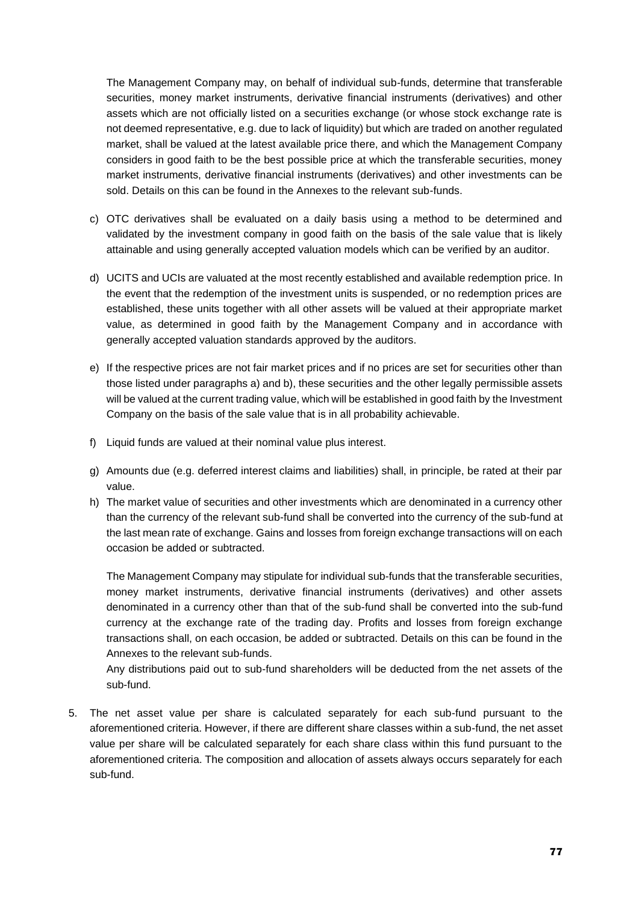The Management Company may, on behalf of individual sub-funds, determine that transferable securities, money market instruments, derivative financial instruments (derivatives) and other assets which are not officially listed on a securities exchange (or whose stock exchange rate is not deemed representative, e.g. due to lack of liquidity) but which are traded on another regulated market, shall be valued at the latest available price there, and which the Management Company considers in good faith to be the best possible price at which the transferable securities, money market instruments, derivative financial instruments (derivatives) and other investments can be sold. Details on this can be found in the Annexes to the relevant sub-funds.

- c) OTC derivatives shall be evaluated on a daily basis using a method to be determined and validated by the investment company in good faith on the basis of the sale value that is likely attainable and using generally accepted valuation models which can be verified by an auditor.
- d) UCITS and UCIs are valuated at the most recently established and available redemption price. In the event that the redemption of the investment units is suspended, or no redemption prices are established, these units together with all other assets will be valued at their appropriate market value, as determined in good faith by the Management Company and in accordance with generally accepted valuation standards approved by the auditors.
- e) If the respective prices are not fair market prices and if no prices are set for securities other than those listed under paragraphs a) and b), these securities and the other legally permissible assets will be valued at the current trading value, which will be established in good faith by the Investment Company on the basis of the sale value that is in all probability achievable.
- f) Liquid funds are valued at their nominal value plus interest.
- g) Amounts due (e.g. deferred interest claims and liabilities) shall, in principle, be rated at their par value.
- h) The market value of securities and other investments which are denominated in a currency other than the currency of the relevant sub-fund shall be converted into the currency of the sub-fund at the last mean rate of exchange. Gains and losses from foreign exchange transactions will on each occasion be added or subtracted.

The Management Company may stipulate for individual sub-funds that the transferable securities, money market instruments, derivative financial instruments (derivatives) and other assets denominated in a currency other than that of the sub-fund shall be converted into the sub-fund currency at the exchange rate of the trading day. Profits and losses from foreign exchange transactions shall, on each occasion, be added or subtracted. Details on this can be found in the Annexes to the relevant sub-funds.

Any distributions paid out to sub-fund shareholders will be deducted from the net assets of the sub-fund.

5. The net asset value per share is calculated separately for each sub-fund pursuant to the aforementioned criteria. However, if there are different share classes within a sub-fund, the net asset value per share will be calculated separately for each share class within this fund pursuant to the aforementioned criteria. The composition and allocation of assets always occurs separately for each sub-fund.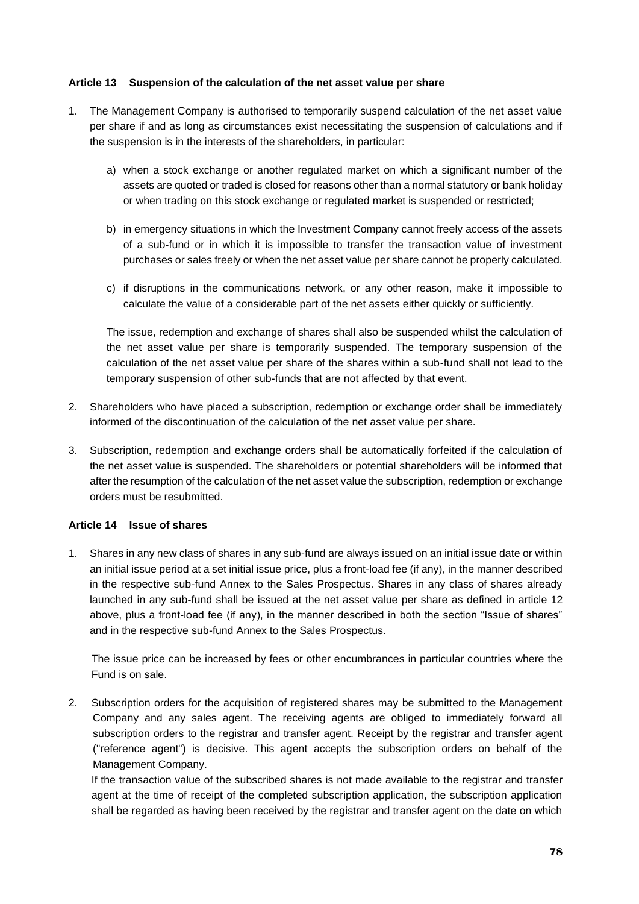### **Article 13 Suspension of the calculation of the net asset value per share**

- 1. The Management Company is authorised to temporarily suspend calculation of the net asset value per share if and as long as circumstances exist necessitating the suspension of calculations and if the suspension is in the interests of the shareholders, in particular:
	- a) when a stock exchange or another regulated market on which a significant number of the assets are quoted or traded is closed for reasons other than a normal statutory or bank holiday or when trading on this stock exchange or regulated market is suspended or restricted;
	- b) in emergency situations in which the Investment Company cannot freely access of the assets of a sub-fund or in which it is impossible to transfer the transaction value of investment purchases or sales freely or when the net asset value per share cannot be properly calculated.
	- c) if disruptions in the communications network, or any other reason, make it impossible to calculate the value of a considerable part of the net assets either quickly or sufficiently.

The issue, redemption and exchange of shares shall also be suspended whilst the calculation of the net asset value per share is temporarily suspended. The temporary suspension of the calculation of the net asset value per share of the shares within a sub-fund shall not lead to the temporary suspension of other sub-funds that are not affected by that event.

- 2. Shareholders who have placed a subscription, redemption or exchange order shall be immediately informed of the discontinuation of the calculation of the net asset value per share.
- 3. Subscription, redemption and exchange orders shall be automatically forfeited if the calculation of the net asset value is suspended. The shareholders or potential shareholders will be informed that after the resumption of the calculation of the net asset value the subscription, redemption or exchange orders must be resubmitted.

#### **Article 14 Issue of shares**

1. Shares in any new class of shares in any sub-fund are always issued on an initial issue date or within an initial issue period at a set initial issue price, plus a front-load fee (if any), in the manner described in the respective sub-fund Annex to the Sales Prospectus. Shares in any class of shares already launched in any sub-fund shall be issued at the net asset value per share as defined in article 12 above, plus a front-load fee (if any), in the manner described in both the section "Issue of shares" and in the respective sub-fund Annex to the Sales Prospectus.

The issue price can be increased by fees or other encumbrances in particular countries where the Fund is on sale.

2. Subscription orders for the acquisition of registered shares may be submitted to the Management Company and any sales agent. The receiving agents are obliged to immediately forward all subscription orders to the registrar and transfer agent. Receipt by the registrar and transfer agent ("reference agent") is decisive. This agent accepts the subscription orders on behalf of the Management Company.

If the transaction value of the subscribed shares is not made available to the registrar and transfer agent at the time of receipt of the completed subscription application, the subscription application shall be regarded as having been received by the registrar and transfer agent on the date on which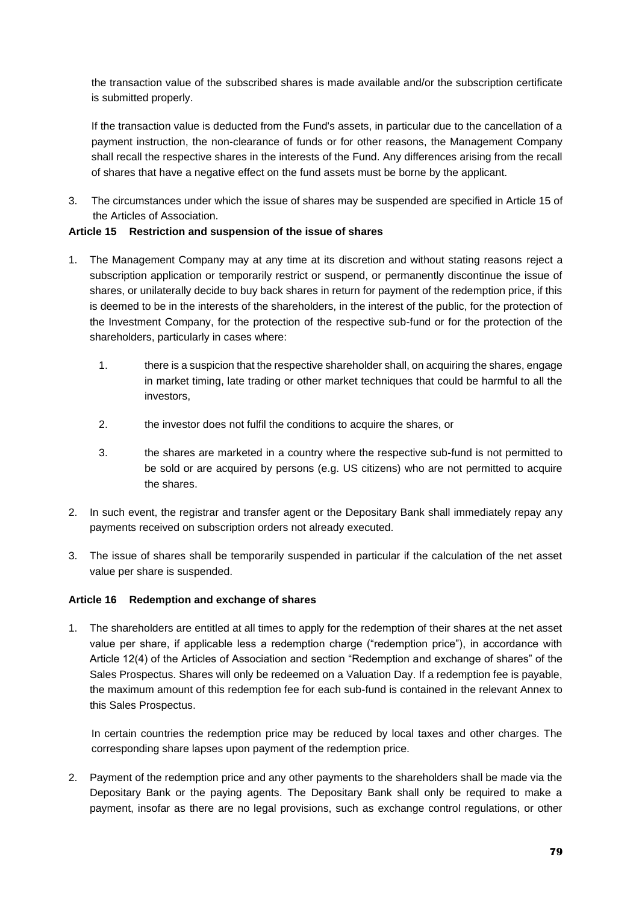the transaction value of the subscribed shares is made available and/or the subscription certificate is submitted properly.

If the transaction value is deducted from the Fund's assets, in particular due to the cancellation of a payment instruction, the non-clearance of funds or for other reasons, the Management Company shall recall the respective shares in the interests of the Fund. Any differences arising from the recall of shares that have a negative effect on the fund assets must be borne by the applicant.

3. The circumstances under which the issue of shares may be suspended are specified in Article 15 of the Articles of Association.

# **Article 15 Restriction and suspension of the issue of shares**

- 1. The Management Company may at any time at its discretion and without stating reasons reject a subscription application or temporarily restrict or suspend, or permanently discontinue the issue of shares, or unilaterally decide to buy back shares in return for payment of the redemption price, if this is deemed to be in the interests of the shareholders, in the interest of the public, for the protection of the Investment Company, for the protection of the respective sub-fund or for the protection of the shareholders, particularly in cases where:
	- 1. there is a suspicion that the respective shareholder shall, on acquiring the shares, engage in market timing, late trading or other market techniques that could be harmful to all the investors,
	- 2. the investor does not fulfil the conditions to acquire the shares, or
	- 3. the shares are marketed in a country where the respective sub-fund is not permitted to be sold or are acquired by persons (e.g. US citizens) who are not permitted to acquire the shares.
- 2. In such event, the registrar and transfer agent or the Depositary Bank shall immediately repay any payments received on subscription orders not already executed.
- 3. The issue of shares shall be temporarily suspended in particular if the calculation of the net asset value per share is suspended.

### **Article 16 Redemption and exchange of shares**

1. The shareholders are entitled at all times to apply for the redemption of their shares at the net asset value per share, if applicable less a redemption charge ("redemption price"), in accordance with Article 12(4) of the Articles of Association and section "Redemption and exchange of shares" of the Sales Prospectus. Shares will only be redeemed on a Valuation Day. If a redemption fee is payable, the maximum amount of this redemption fee for each sub-fund is contained in the relevant Annex to this Sales Prospectus.

In certain countries the redemption price may be reduced by local taxes and other charges. The corresponding share lapses upon payment of the redemption price.

2. Payment of the redemption price and any other payments to the shareholders shall be made via the Depositary Bank or the paying agents. The Depositary Bank shall only be required to make a payment, insofar as there are no legal provisions, such as exchange control regulations, or other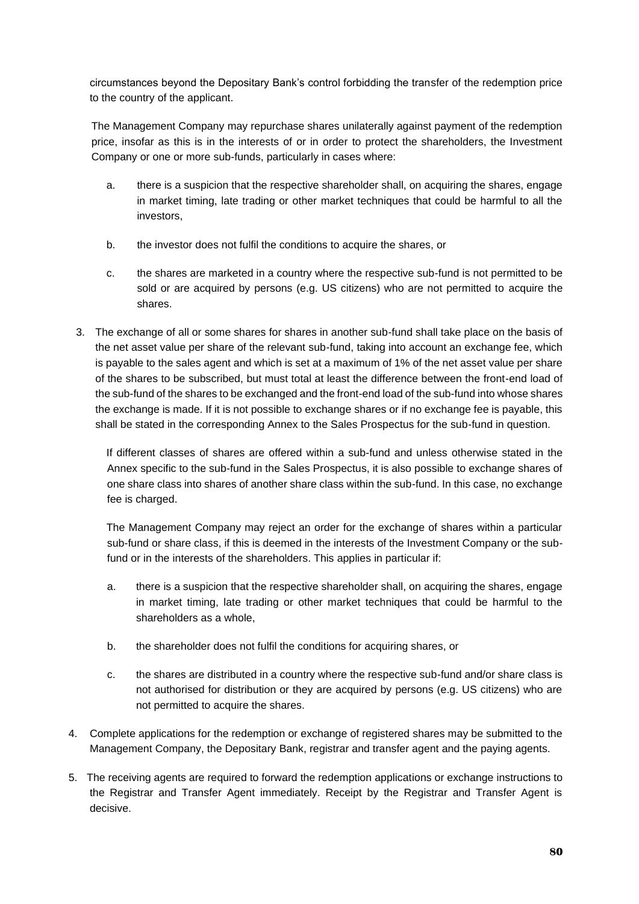circumstances beyond the Depositary Bank's control forbidding the transfer of the redemption price to the country of the applicant.

The Management Company may repurchase shares unilaterally against payment of the redemption price, insofar as this is in the interests of or in order to protect the shareholders, the Investment Company or one or more sub-funds, particularly in cases where:

- a. there is a suspicion that the respective shareholder shall, on acquiring the shares, engage in market timing, late trading or other market techniques that could be harmful to all the investors,
- b. the investor does not fulfil the conditions to acquire the shares, or
- c. the shares are marketed in a country where the respective sub-fund is not permitted to be sold or are acquired by persons (e.g. US citizens) who are not permitted to acquire the shares.
- 3. The exchange of all or some shares for shares in another sub-fund shall take place on the basis of the net asset value per share of the relevant sub-fund, taking into account an exchange fee, which is payable to the sales agent and which is set at a maximum of 1% of the net asset value per share of the shares to be subscribed, but must total at least the difference between the front-end load of the sub-fund of the shares to be exchanged and the front-end load of the sub-fund into whose shares the exchange is made. If it is not possible to exchange shares or if no exchange fee is payable, this shall be stated in the corresponding Annex to the Sales Prospectus for the sub-fund in question.

If different classes of shares are offered within a sub-fund and unless otherwise stated in the Annex specific to the sub-fund in the Sales Prospectus, it is also possible to exchange shares of one share class into shares of another share class within the sub-fund. In this case, no exchange fee is charged.

The Management Company may reject an order for the exchange of shares within a particular sub-fund or share class, if this is deemed in the interests of the Investment Company or the subfund or in the interests of the shareholders. This applies in particular if:

- a. there is a suspicion that the respective shareholder shall, on acquiring the shares, engage in market timing, late trading or other market techniques that could be harmful to the shareholders as a whole,
- b. the shareholder does not fulfil the conditions for acquiring shares, or
- c. the shares are distributed in a country where the respective sub-fund and/or share class is not authorised for distribution or they are acquired by persons (e.g. US citizens) who are not permitted to acquire the shares.
- 4. Complete applications for the redemption or exchange of registered shares may be submitted to the Management Company, the Depositary Bank, registrar and transfer agent and the paying agents.
- 5. The receiving agents are required to forward the redemption applications or exchange instructions to the Registrar and Transfer Agent immediately. Receipt by the Registrar and Transfer Agent is decisive.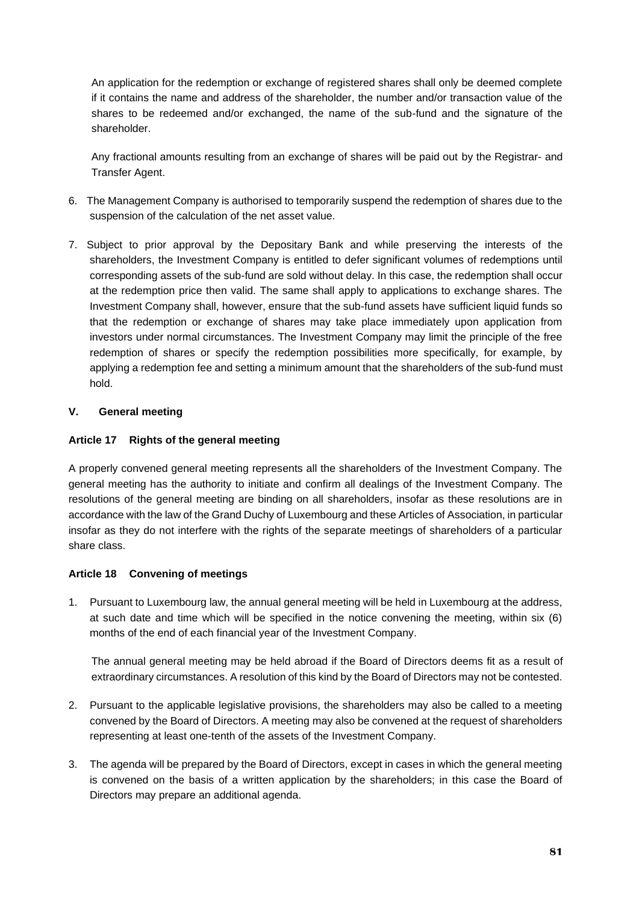An application for the redemption or exchange of registered shares shall only be deemed complete if it contains the name and address of the shareholder, the number and/or transaction value of the shares to be redeemed and/or exchanged, the name of the sub-fund and the signature of the shareholder.

Any fractional amounts resulting from an exchange of shares will be paid out by the Registrar- and Transfer Agent.

- 6. The Management Company is authorised to temporarily suspend the redemption of shares due to the suspension of the calculation of the net asset value.
- 7. Subject to prior approval by the Depositary Bank and while preserving the interests of the shareholders, the Investment Company is entitled to defer significant volumes of redemptions until corresponding assets of the sub-fund are sold without delay. In this case, the redemption shall occur at the redemption price then valid. The same shall apply to applications to exchange shares. The Investment Company shall, however, ensure that the sub-fund assets have sufficient liquid funds so that the redemption or exchange of shares may take place immediately upon application from investors under normal circumstances. The Investment Company may limit the principle of the free redemption of shares or specify the redemption possibilities more specifically, for example, by applying a redemption fee and setting a minimum amount that the shareholders of the sub-fund must hold.

## **V. General meeting**

## **Article 17 Rights of the general meeting**

A properly convened general meeting represents all the shareholders of the Investment Company. The general meeting has the authority to initiate and confirm all dealings of the Investment Company. The resolutions of the general meeting are binding on all shareholders, insofar as these resolutions are in accordance with the law of the Grand Duchy of Luxembourg and these Articles of Association, in particular insofar as they do not interfere with the rights of the separate meetings of shareholders of a particular share class.

### **Article 18 Convening of meetings**

1. Pursuant to Luxembourg law, the annual general meeting will be held in Luxembourg at the address, at such date and time which will be specified in the notice convening the meeting, within six (6) months of the end of each financial year of the Investment Company.

The annual general meeting may be held abroad if the Board of Directors deems fit as a result of extraordinary circumstances. A resolution of this kind by the Board of Directors may not be contested.

- 2. Pursuant to the applicable legislative provisions, the shareholders may also be called to a meeting convened by the Board of Directors. A meeting may also be convened at the request of shareholders representing at least one-tenth of the assets of the Investment Company.
- 3. The agenda will be prepared by the Board of Directors, except in cases in which the general meeting is convened on the basis of a written application by the shareholders; in this case the Board of Directors may prepare an additional agenda.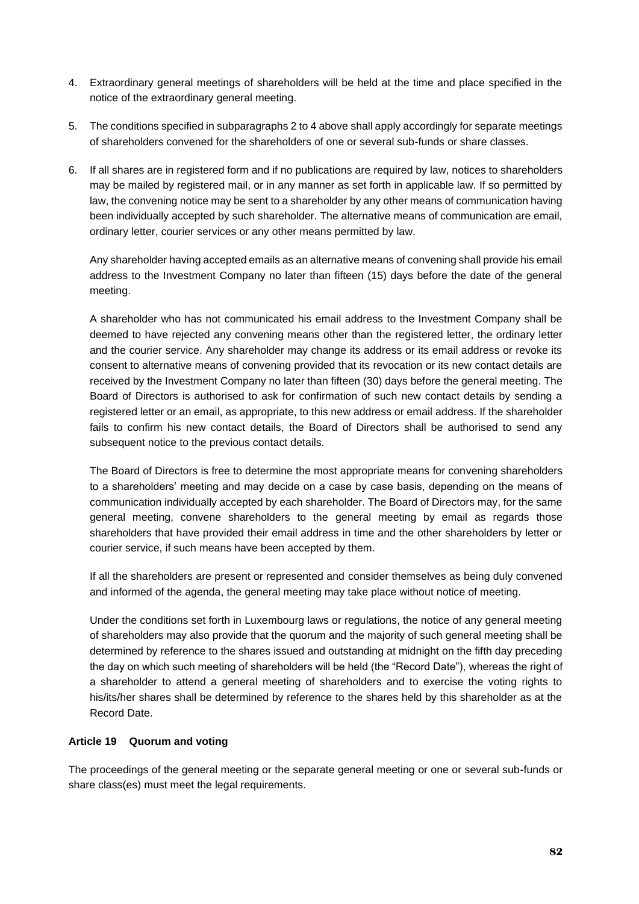- 4. Extraordinary general meetings of shareholders will be held at the time and place specified in the notice of the extraordinary general meeting.
- 5. The conditions specified in subparagraphs 2 to 4 above shall apply accordingly for separate meetings of shareholders convened for the shareholders of one or several sub-funds or share classes.
- 6. If all shares are in registered form and if no publications are required by law, notices to shareholders may be mailed by registered mail, or in any manner as set forth in applicable law. If so permitted by law, the convening notice may be sent to a shareholder by any other means of communication having been individually accepted by such shareholder. The alternative means of communication are email, ordinary letter, courier services or any other means permitted by law.

Any shareholder having accepted emails as an alternative means of convening shall provide his email address to the Investment Company no later than fifteen (15) days before the date of the general meeting.

A shareholder who has not communicated his email address to the Investment Company shall be deemed to have rejected any convening means other than the registered letter, the ordinary letter and the courier service. Any shareholder may change its address or its email address or revoke its consent to alternative means of convening provided that its revocation or its new contact details are received by the Investment Company no later than fifteen (30) days before the general meeting. The Board of Directors is authorised to ask for confirmation of such new contact details by sending a registered letter or an email, as appropriate, to this new address or email address. If the shareholder fails to confirm his new contact details, the Board of Directors shall be authorised to send any subsequent notice to the previous contact details.

The Board of Directors is free to determine the most appropriate means for convening shareholders to a shareholders' meeting and may decide on a case by case basis, depending on the means of communication individually accepted by each shareholder. The Board of Directors may, for the same general meeting, convene shareholders to the general meeting by email as regards those shareholders that have provided their email address in time and the other shareholders by letter or courier service, if such means have been accepted by them.

If all the shareholders are present or represented and consider themselves as being duly convened and informed of the agenda, the general meeting may take place without notice of meeting.

Under the conditions set forth in Luxembourg laws or regulations, the notice of any general meeting of shareholders may also provide that the quorum and the majority of such general meeting shall be determined by reference to the shares issued and outstanding at midnight on the fifth day preceding the day on which such meeting of shareholders will be held (the "Record Date"), whereas the right of a shareholder to attend a general meeting of shareholders and to exercise the voting rights to his/its/her shares shall be determined by reference to the shares held by this shareholder as at the Record Date.

## **Article 19 Quorum and voting**

The proceedings of the general meeting or the separate general meeting or one or several sub-funds or share class(es) must meet the legal requirements.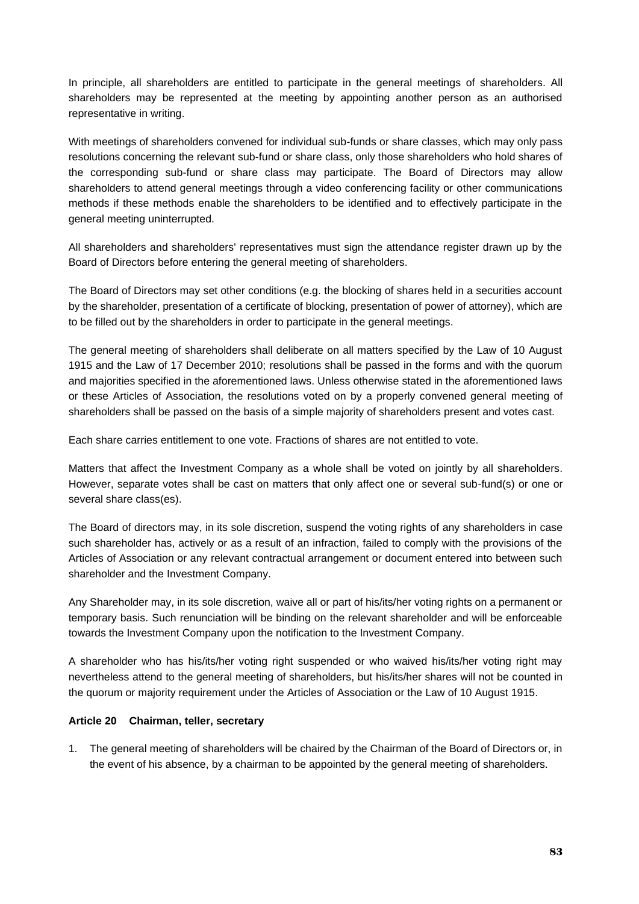In principle, all shareholders are entitled to participate in the general meetings of shareholders. All shareholders may be represented at the meeting by appointing another person as an authorised representative in writing.

With meetings of shareholders convened for individual sub-funds or share classes, which may only pass resolutions concerning the relevant sub-fund or share class, only those shareholders who hold shares of the corresponding sub-fund or share class may participate. The Board of Directors may allow shareholders to attend general meetings through a video conferencing facility or other communications methods if these methods enable the shareholders to be identified and to effectively participate in the general meeting uninterrupted.

All shareholders and shareholders' representatives must sign the attendance register drawn up by the Board of Directors before entering the general meeting of shareholders.

The Board of Directors may set other conditions (e.g. the blocking of shares held in a securities account by the shareholder, presentation of a certificate of blocking, presentation of power of attorney), which are to be filled out by the shareholders in order to participate in the general meetings.

The general meeting of shareholders shall deliberate on all matters specified by the Law of 10 August 1915 and the Law of 17 December 2010; resolutions shall be passed in the forms and with the quorum and majorities specified in the aforementioned laws. Unless otherwise stated in the aforementioned laws or these Articles of Association, the resolutions voted on by a properly convened general meeting of shareholders shall be passed on the basis of a simple majority of shareholders present and votes cast.

Each share carries entitlement to one vote. Fractions of shares are not entitled to vote.

Matters that affect the Investment Company as a whole shall be voted on jointly by all shareholders. However, separate votes shall be cast on matters that only affect one or several sub-fund(s) or one or several share class(es).

The Board of directors may, in its sole discretion, suspend the voting rights of any shareholders in case such shareholder has, actively or as a result of an infraction, failed to comply with the provisions of the Articles of Association or any relevant contractual arrangement or document entered into between such shareholder and the Investment Company.

Any Shareholder may, in its sole discretion, waive all or part of his/its/her voting rights on a permanent or temporary basis. Such renunciation will be binding on the relevant shareholder and will be enforceable towards the Investment Company upon the notification to the Investment Company.

A shareholder who has his/its/her voting right suspended or who waived his/its/her voting right may nevertheless attend to the general meeting of shareholders, but his/its/her shares will not be counted in the quorum or majority requirement under the Articles of Association or the Law of 10 August 1915.

### **Article 20 Chairman, teller, secretary**

1. The general meeting of shareholders will be chaired by the Chairman of the Board of Directors or, in the event of his absence, by a chairman to be appointed by the general meeting of shareholders.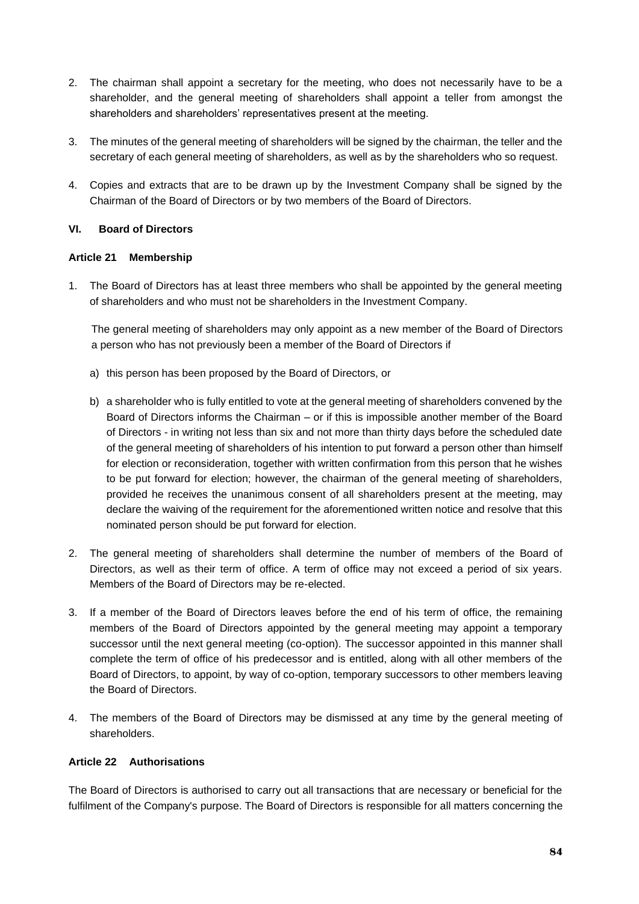- 2. The chairman shall appoint a secretary for the meeting, who does not necessarily have to be a shareholder, and the general meeting of shareholders shall appoint a teller from amongst the shareholders and shareholders' representatives present at the meeting.
- 3. The minutes of the general meeting of shareholders will be signed by the chairman, the teller and the secretary of each general meeting of shareholders, as well as by the shareholders who so request.
- 4. Copies and extracts that are to be drawn up by the Investment Company shall be signed by the Chairman of the Board of Directors or by two members of the Board of Directors.

## **VI. Board of Directors**

### **Article 21 Membership**

1. The Board of Directors has at least three members who shall be appointed by the general meeting of shareholders and who must not be shareholders in the Investment Company.

The general meeting of shareholders may only appoint as a new member of the Board of Directors a person who has not previously been a member of the Board of Directors if

- a) this person has been proposed by the Board of Directors, or
- b) a shareholder who is fully entitled to vote at the general meeting of shareholders convened by the Board of Directors informs the Chairman – or if this is impossible another member of the Board of Directors - in writing not less than six and not more than thirty days before the scheduled date of the general meeting of shareholders of his intention to put forward a person other than himself for election or reconsideration, together with written confirmation from this person that he wishes to be put forward for election; however, the chairman of the general meeting of shareholders, provided he receives the unanimous consent of all shareholders present at the meeting, may declare the waiving of the requirement for the aforementioned written notice and resolve that this nominated person should be put forward for election.
- 2. The general meeting of shareholders shall determine the number of members of the Board of Directors, as well as their term of office. A term of office may not exceed a period of six years. Members of the Board of Directors may be re-elected.
- 3. If a member of the Board of Directors leaves before the end of his term of office, the remaining members of the Board of Directors appointed by the general meeting may appoint a temporary successor until the next general meeting (co-option). The successor appointed in this manner shall complete the term of office of his predecessor and is entitled, along with all other members of the Board of Directors, to appoint, by way of co-option, temporary successors to other members leaving the Board of Directors.
- 4. The members of the Board of Directors may be dismissed at any time by the general meeting of shareholders.

### **Article 22 Authorisations**

The Board of Directors is authorised to carry out all transactions that are necessary or beneficial for the fulfilment of the Company's purpose. The Board of Directors is responsible for all matters concerning the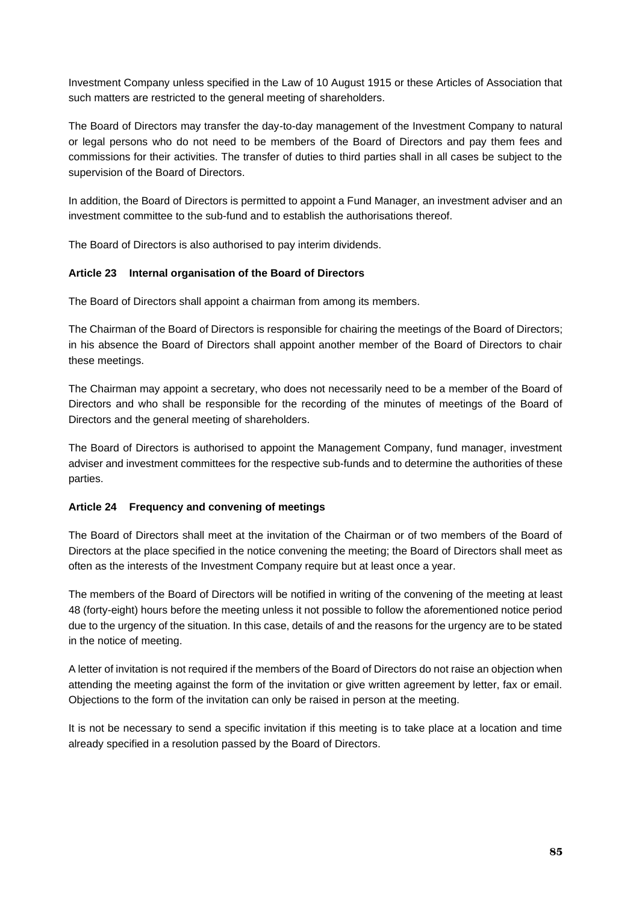Investment Company unless specified in the Law of 10 August 1915 or these Articles of Association that such matters are restricted to the general meeting of shareholders.

The Board of Directors may transfer the day-to-day management of the Investment Company to natural or legal persons who do not need to be members of the Board of Directors and pay them fees and commissions for their activities. The transfer of duties to third parties shall in all cases be subject to the supervision of the Board of Directors.

In addition, the Board of Directors is permitted to appoint a Fund Manager, an investment adviser and an investment committee to the sub-fund and to establish the authorisations thereof.

The Board of Directors is also authorised to pay interim dividends.

## **Article 23 Internal organisation of the Board of Directors**

The Board of Directors shall appoint a chairman from among its members.

The Chairman of the Board of Directors is responsible for chairing the meetings of the Board of Directors; in his absence the Board of Directors shall appoint another member of the Board of Directors to chair these meetings.

The Chairman may appoint a secretary, who does not necessarily need to be a member of the Board of Directors and who shall be responsible for the recording of the minutes of meetings of the Board of Directors and the general meeting of shareholders.

The Board of Directors is authorised to appoint the Management Company, fund manager, investment adviser and investment committees for the respective sub-funds and to determine the authorities of these parties.

## **Article 24 Frequency and convening of meetings**

The Board of Directors shall meet at the invitation of the Chairman or of two members of the Board of Directors at the place specified in the notice convening the meeting; the Board of Directors shall meet as often as the interests of the Investment Company require but at least once a year.

The members of the Board of Directors will be notified in writing of the convening of the meeting at least 48 (forty-eight) hours before the meeting unless it not possible to follow the aforementioned notice period due to the urgency of the situation. In this case, details of and the reasons for the urgency are to be stated in the notice of meeting.

A letter of invitation is not required if the members of the Board of Directors do not raise an objection when attending the meeting against the form of the invitation or give written agreement by letter, fax or email. Objections to the form of the invitation can only be raised in person at the meeting.

It is not be necessary to send a specific invitation if this meeting is to take place at a location and time already specified in a resolution passed by the Board of Directors.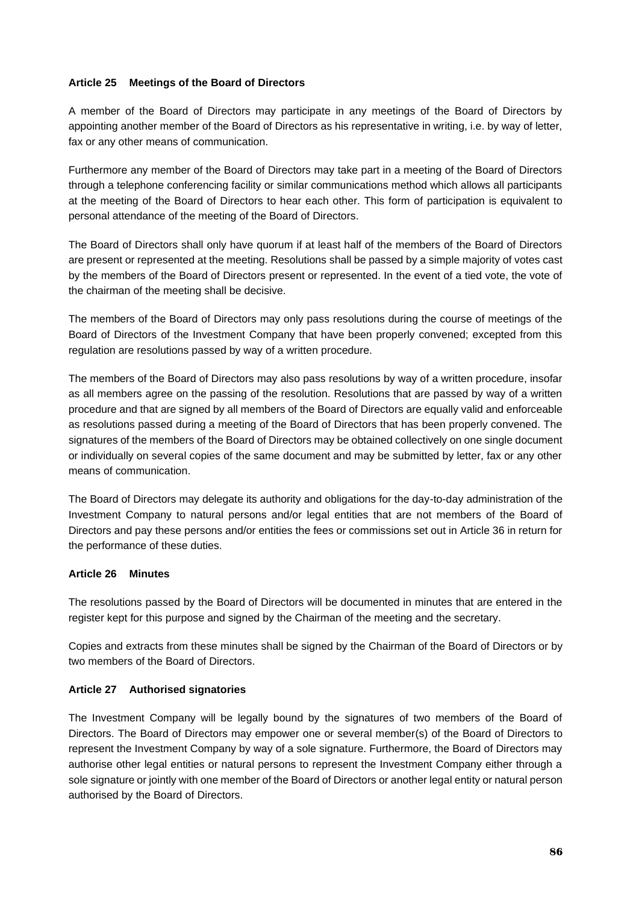## **Article 25 Meetings of the Board of Directors**

A member of the Board of Directors may participate in any meetings of the Board of Directors by appointing another member of the Board of Directors as his representative in writing, i.e. by way of letter, fax or any other means of communication.

Furthermore any member of the Board of Directors may take part in a meeting of the Board of Directors through a telephone conferencing facility or similar communications method which allows all participants at the meeting of the Board of Directors to hear each other. This form of participation is equivalent to personal attendance of the meeting of the Board of Directors.

The Board of Directors shall only have quorum if at least half of the members of the Board of Directors are present or represented at the meeting. Resolutions shall be passed by a simple majority of votes cast by the members of the Board of Directors present or represented. In the event of a tied vote, the vote of the chairman of the meeting shall be decisive.

The members of the Board of Directors may only pass resolutions during the course of meetings of the Board of Directors of the Investment Company that have been properly convened; excepted from this regulation are resolutions passed by way of a written procedure.

The members of the Board of Directors may also pass resolutions by way of a written procedure, insofar as all members agree on the passing of the resolution. Resolutions that are passed by way of a written procedure and that are signed by all members of the Board of Directors are equally valid and enforceable as resolutions passed during a meeting of the Board of Directors that has been properly convened. The signatures of the members of the Board of Directors may be obtained collectively on one single document or individually on several copies of the same document and may be submitted by letter, fax or any other means of communication.

The Board of Directors may delegate its authority and obligations for the day-to-day administration of the Investment Company to natural persons and/or legal entities that are not members of the Board of Directors and pay these persons and/or entities the fees or commissions set out in Article 36 in return for the performance of these duties.

### **Article 26 Minutes**

The resolutions passed by the Board of Directors will be documented in minutes that are entered in the register kept for this purpose and signed by the Chairman of the meeting and the secretary.

Copies and extracts from these minutes shall be signed by the Chairman of the Board of Directors or by two members of the Board of Directors.

### **Article 27 Authorised signatories**

The Investment Company will be legally bound by the signatures of two members of the Board of Directors. The Board of Directors may empower one or several member(s) of the Board of Directors to represent the Investment Company by way of a sole signature. Furthermore, the Board of Directors may authorise other legal entities or natural persons to represent the Investment Company either through a sole signature or jointly with one member of the Board of Directors or another legal entity or natural person authorised by the Board of Directors.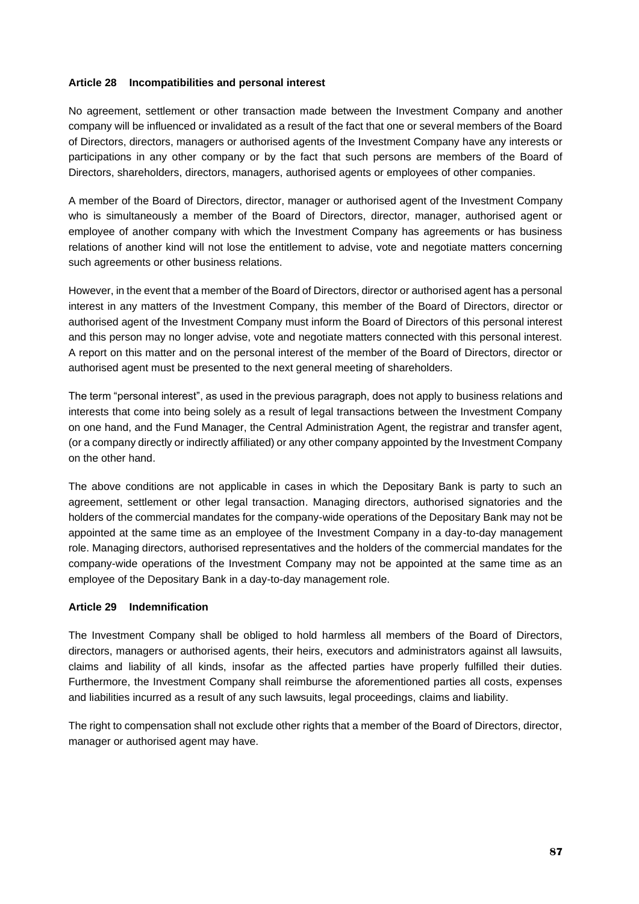### **Article 28 Incompatibilities and personal interest**

No agreement, settlement or other transaction made between the Investment Company and another company will be influenced or invalidated as a result of the fact that one or several members of the Board of Directors, directors, managers or authorised agents of the Investment Company have any interests or participations in any other company or by the fact that such persons are members of the Board of Directors, shareholders, directors, managers, authorised agents or employees of other companies.

A member of the Board of Directors, director, manager or authorised agent of the Investment Company who is simultaneously a member of the Board of Directors, director, manager, authorised agent or employee of another company with which the Investment Company has agreements or has business relations of another kind will not lose the entitlement to advise, vote and negotiate matters concerning such agreements or other business relations.

However, in the event that a member of the Board of Directors, director or authorised agent has a personal interest in any matters of the Investment Company, this member of the Board of Directors, director or authorised agent of the Investment Company must inform the Board of Directors of this personal interest and this person may no longer advise, vote and negotiate matters connected with this personal interest. A report on this matter and on the personal interest of the member of the Board of Directors, director or authorised agent must be presented to the next general meeting of shareholders.

The term "personal interest", as used in the previous paragraph, does not apply to business relations and interests that come into being solely as a result of legal transactions between the Investment Company on one hand, and the Fund Manager, the Central Administration Agent, the registrar and transfer agent, (or a company directly or indirectly affiliated) or any other company appointed by the Investment Company on the other hand.

The above conditions are not applicable in cases in which the Depositary Bank is party to such an agreement, settlement or other legal transaction. Managing directors, authorised signatories and the holders of the commercial mandates for the company-wide operations of the Depositary Bank may not be appointed at the same time as an employee of the Investment Company in a day-to-day management role. Managing directors, authorised representatives and the holders of the commercial mandates for the company-wide operations of the Investment Company may not be appointed at the same time as an employee of the Depositary Bank in a day-to-day management role.

### **Article 29 Indemnification**

The Investment Company shall be obliged to hold harmless all members of the Board of Directors, directors, managers or authorised agents, their heirs, executors and administrators against all lawsuits, claims and liability of all kinds, insofar as the affected parties have properly fulfilled their duties. Furthermore, the Investment Company shall reimburse the aforementioned parties all costs, expenses and liabilities incurred as a result of any such lawsuits, legal proceedings, claims and liability.

The right to compensation shall not exclude other rights that a member of the Board of Directors, director, manager or authorised agent may have.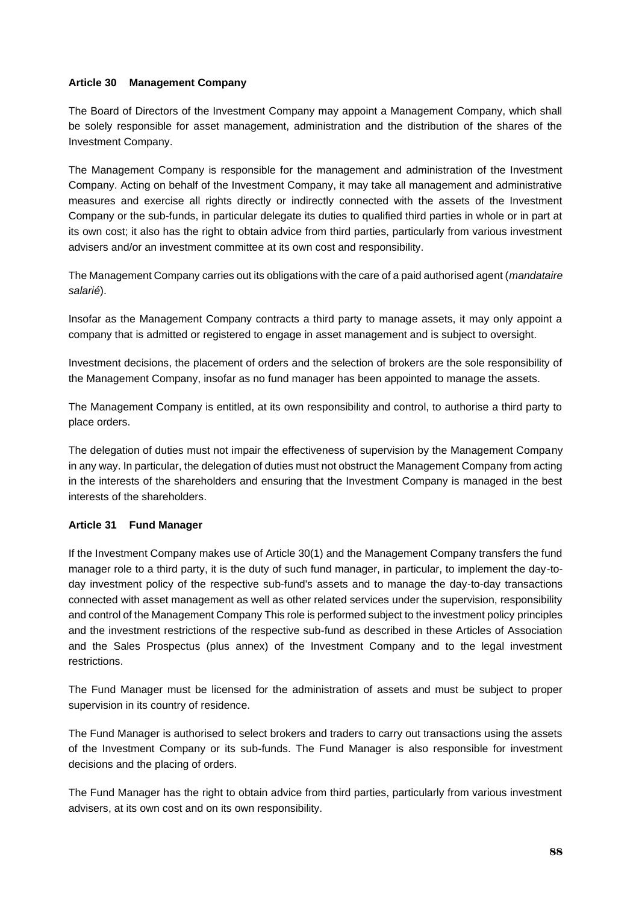## **Article 30 Management Company**

The Board of Directors of the Investment Company may appoint a Management Company, which shall be solely responsible for asset management, administration and the distribution of the shares of the Investment Company.

The Management Company is responsible for the management and administration of the Investment Company. Acting on behalf of the Investment Company, it may take all management and administrative measures and exercise all rights directly or indirectly connected with the assets of the Investment Company or the sub-funds, in particular delegate its duties to qualified third parties in whole or in part at its own cost; it also has the right to obtain advice from third parties, particularly from various investment advisers and/or an investment committee at its own cost and responsibility.

The Management Company carries out its obligations with the care of a paid authorised agent (*mandataire salarié*).

Insofar as the Management Company contracts a third party to manage assets, it may only appoint a company that is admitted or registered to engage in asset management and is subject to oversight.

Investment decisions, the placement of orders and the selection of brokers are the sole responsibility of the Management Company, insofar as no fund manager has been appointed to manage the assets.

The Management Company is entitled, at its own responsibility and control, to authorise a third party to place orders.

The delegation of duties must not impair the effectiveness of supervision by the Management Company in any way. In particular, the delegation of duties must not obstruct the Management Company from acting in the interests of the shareholders and ensuring that the Investment Company is managed in the best interests of the shareholders.

### **Article 31 Fund Manager**

If the Investment Company makes use of Article 30(1) and the Management Company transfers the fund manager role to a third party, it is the duty of such fund manager, in particular, to implement the day-today investment policy of the respective sub-fund's assets and to manage the day-to-day transactions connected with asset management as well as other related services under the supervision, responsibility and control of the Management Company This role is performed subject to the investment policy principles and the investment restrictions of the respective sub-fund as described in these Articles of Association and the Sales Prospectus (plus annex) of the Investment Company and to the legal investment restrictions.

The Fund Manager must be licensed for the administration of assets and must be subject to proper supervision in its country of residence.

The Fund Manager is authorised to select brokers and traders to carry out transactions using the assets of the Investment Company or its sub-funds. The Fund Manager is also responsible for investment decisions and the placing of orders.

The Fund Manager has the right to obtain advice from third parties, particularly from various investment advisers, at its own cost and on its own responsibility.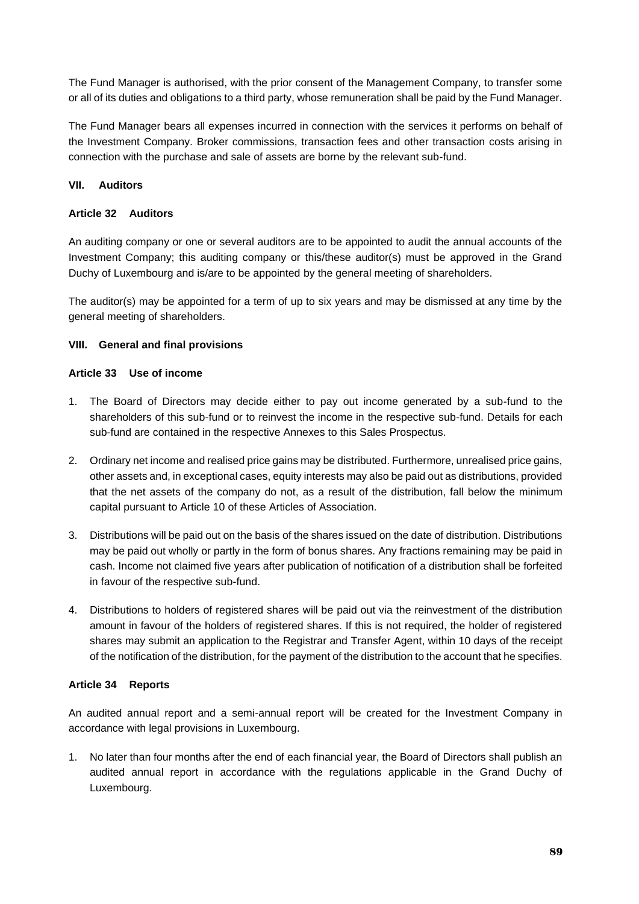The Fund Manager is authorised, with the prior consent of the Management Company, to transfer some or all of its duties and obligations to a third party, whose remuneration shall be paid by the Fund Manager.

The Fund Manager bears all expenses incurred in connection with the services it performs on behalf of the Investment Company. Broker commissions, transaction fees and other transaction costs arising in connection with the purchase and sale of assets are borne by the relevant sub-fund.

## **VII. Auditors**

### **Article 32 Auditors**

An auditing company or one or several auditors are to be appointed to audit the annual accounts of the Investment Company; this auditing company or this/these auditor(s) must be approved in the Grand Duchy of Luxembourg and is/are to be appointed by the general meeting of shareholders.

The auditor(s) may be appointed for a term of up to six years and may be dismissed at any time by the general meeting of shareholders.

### **VIII. General and final provisions**

### **Article 33 Use of income**

- 1. The Board of Directors may decide either to pay out income generated by a sub-fund to the shareholders of this sub-fund or to reinvest the income in the respective sub-fund. Details for each sub-fund are contained in the respective Annexes to this Sales Prospectus.
- 2. Ordinary net income and realised price gains may be distributed. Furthermore, unrealised price gains, other assets and, in exceptional cases, equity interests may also be paid out as distributions, provided that the net assets of the company do not, as a result of the distribution, fall below the minimum capital pursuant to Article 10 of these Articles of Association.
- 3. Distributions will be paid out on the basis of the shares issued on the date of distribution. Distributions may be paid out wholly or partly in the form of bonus shares. Any fractions remaining may be paid in cash. Income not claimed five years after publication of notification of a distribution shall be forfeited in favour of the respective sub-fund.
- 4. Distributions to holders of registered shares will be paid out via the reinvestment of the distribution amount in favour of the holders of registered shares. If this is not required, the holder of registered shares may submit an application to the Registrar and Transfer Agent, within 10 days of the receipt of the notification of the distribution, for the payment of the distribution to the account that he specifies.

### **Article 34 Reports**

An audited annual report and a semi-annual report will be created for the Investment Company in accordance with legal provisions in Luxembourg.

1. No later than four months after the end of each financial year, the Board of Directors shall publish an audited annual report in accordance with the regulations applicable in the Grand Duchy of Luxembourg.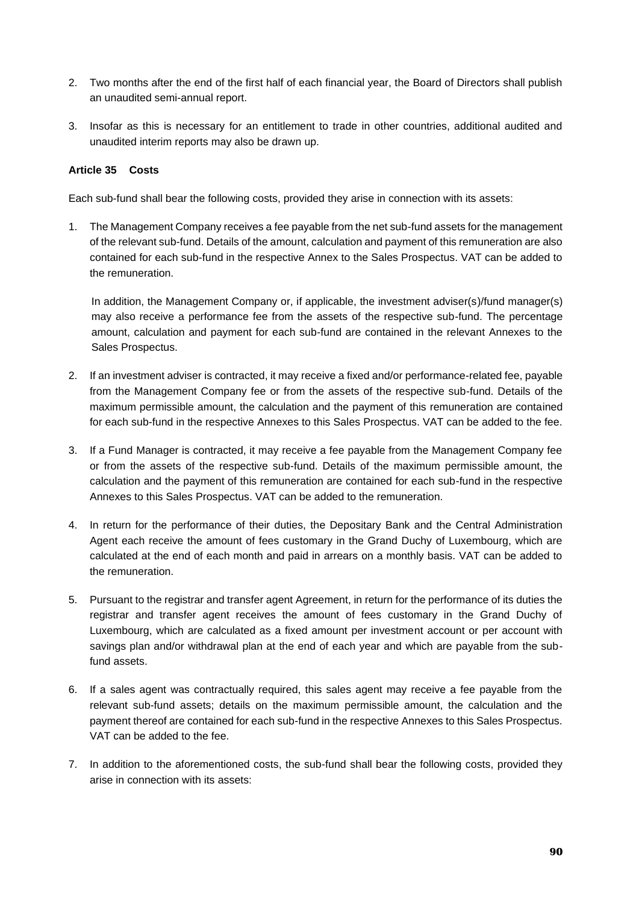- 2. Two months after the end of the first half of each financial year, the Board of Directors shall publish an unaudited semi-annual report.
- 3. Insofar as this is necessary for an entitlement to trade in other countries, additional audited and unaudited interim reports may also be drawn up.

## **Article 35 Costs**

Each sub-fund shall bear the following costs, provided they arise in connection with its assets:

1. The Management Company receives a fee payable from the net sub-fund assets for the management of the relevant sub-fund. Details of the amount, calculation and payment of this remuneration are also contained for each sub-fund in the respective Annex to the Sales Prospectus. VAT can be added to the remuneration.

In addition, the Management Company or, if applicable, the investment adviser(s)/fund manager(s) may also receive a performance fee from the assets of the respective sub-fund. The percentage amount, calculation and payment for each sub-fund are contained in the relevant Annexes to the Sales Prospectus.

- 2. If an investment adviser is contracted, it may receive a fixed and/or performance-related fee, payable from the Management Company fee or from the assets of the respective sub-fund. Details of the maximum permissible amount, the calculation and the payment of this remuneration are contained for each sub-fund in the respective Annexes to this Sales Prospectus. VAT can be added to the fee.
- 3. If a Fund Manager is contracted, it may receive a fee payable from the Management Company fee or from the assets of the respective sub-fund. Details of the maximum permissible amount, the calculation and the payment of this remuneration are contained for each sub-fund in the respective Annexes to this Sales Prospectus. VAT can be added to the remuneration.
- 4. In return for the performance of their duties, the Depositary Bank and the Central Administration Agent each receive the amount of fees customary in the Grand Duchy of Luxembourg, which are calculated at the end of each month and paid in arrears on a monthly basis. VAT can be added to the remuneration.
- 5. Pursuant to the registrar and transfer agent Agreement, in return for the performance of its duties the registrar and transfer agent receives the amount of fees customary in the Grand Duchy of Luxembourg, which are calculated as a fixed amount per investment account or per account with savings plan and/or withdrawal plan at the end of each year and which are payable from the subfund assets.
- 6. If a sales agent was contractually required, this sales agent may receive a fee payable from the relevant sub-fund assets; details on the maximum permissible amount, the calculation and the payment thereof are contained for each sub-fund in the respective Annexes to this Sales Prospectus. VAT can be added to the fee.
- 7. In addition to the aforementioned costs, the sub-fund shall bear the following costs, provided they arise in connection with its assets: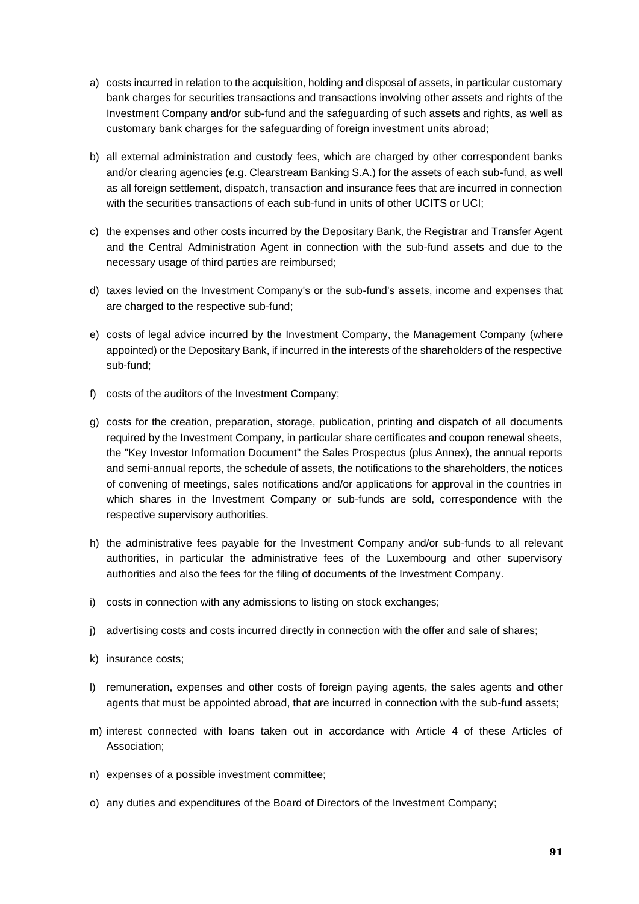- a) costs incurred in relation to the acquisition, holding and disposal of assets, in particular customary bank charges for securities transactions and transactions involving other assets and rights of the Investment Company and/or sub-fund and the safeguarding of such assets and rights, as well as customary bank charges for the safeguarding of foreign investment units abroad;
- b) all external administration and custody fees, which are charged by other correspondent banks and/or clearing agencies (e.g. Clearstream Banking S.A.) for the assets of each sub-fund, as well as all foreign settlement, dispatch, transaction and insurance fees that are incurred in connection with the securities transactions of each sub-fund in units of other UCITS or UCI;
- c) the expenses and other costs incurred by the Depositary Bank, the Registrar and Transfer Agent and the Central Administration Agent in connection with the sub-fund assets and due to the necessary usage of third parties are reimbursed;
- d) taxes levied on the Investment Company's or the sub-fund's assets, income and expenses that are charged to the respective sub-fund;
- e) costs of legal advice incurred by the Investment Company, the Management Company (where appointed) or the Depositary Bank, if incurred in the interests of the shareholders of the respective sub-fund;
- f) costs of the auditors of the Investment Company;
- g) costs for the creation, preparation, storage, publication, printing and dispatch of all documents required by the Investment Company, in particular share certificates and coupon renewal sheets, the "Key Investor Information Document" the Sales Prospectus (plus Annex), the annual reports and semi-annual reports, the schedule of assets, the notifications to the shareholders, the notices of convening of meetings, sales notifications and/or applications for approval in the countries in which shares in the Investment Company or sub-funds are sold, correspondence with the respective supervisory authorities.
- h) the administrative fees payable for the Investment Company and/or sub-funds to all relevant authorities, in particular the administrative fees of the Luxembourg and other supervisory authorities and also the fees for the filing of documents of the Investment Company.
- i) costs in connection with any admissions to listing on stock exchanges;
- j) advertising costs and costs incurred directly in connection with the offer and sale of shares;
- k) insurance costs;
- l) remuneration, expenses and other costs of foreign paying agents, the sales agents and other agents that must be appointed abroad, that are incurred in connection with the sub-fund assets;
- m) interest connected with loans taken out in accordance with Article 4 of these Articles of Association;
- n) expenses of a possible investment committee;
- o) any duties and expenditures of the Board of Directors of the Investment Company;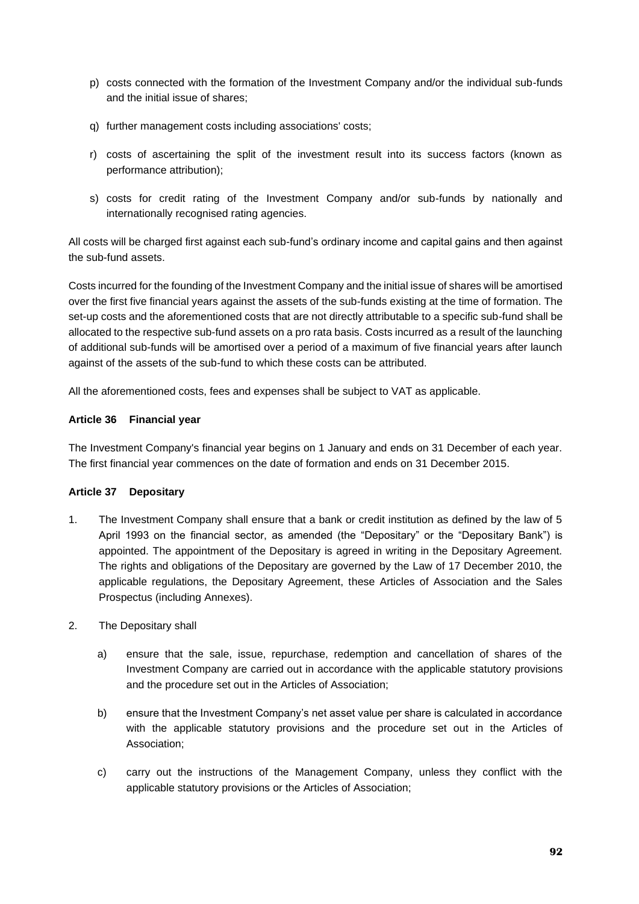- p) costs connected with the formation of the Investment Company and/or the individual sub-funds and the initial issue of shares;
- q) further management costs including associations' costs;
- r) costs of ascertaining the split of the investment result into its success factors (known as performance attribution);
- s) costs for credit rating of the Investment Company and/or sub-funds by nationally and internationally recognised rating agencies.

All costs will be charged first against each sub-fund's ordinary income and capital gains and then against the sub-fund assets.

Costs incurred for the founding of the Investment Company and the initial issue of shares will be amortised over the first five financial years against the assets of the sub-funds existing at the time of formation. The set-up costs and the aforementioned costs that are not directly attributable to a specific sub-fund shall be allocated to the respective sub-fund assets on a pro rata basis. Costs incurred as a result of the launching of additional sub-funds will be amortised over a period of a maximum of five financial years after launch against of the assets of the sub-fund to which these costs can be attributed.

All the aforementioned costs, fees and expenses shall be subject to VAT as applicable.

## **Article 36 Financial year**

The Investment Company's financial year begins on 1 January and ends on 31 December of each year. The first financial year commences on the date of formation and ends on 31 December 2015.

### **Article 37 Depositary**

- 1. The Investment Company shall ensure that a bank or credit institution as defined by the law of 5 April 1993 on the financial sector, as amended (the "Depositary" or the "Depositary Bank") is appointed. The appointment of the Depositary is agreed in writing in the Depositary Agreement. The rights and obligations of the Depositary are governed by the Law of 17 December 2010, the applicable regulations, the Depositary Agreement, these Articles of Association and the Sales Prospectus (including Annexes).
- 2. The Depositary shall
	- a) ensure that the sale, issue, repurchase, redemption and cancellation of shares of the Investment Company are carried out in accordance with the applicable statutory provisions and the procedure set out in the Articles of Association;
	- b) ensure that the Investment Company's net asset value per share is calculated in accordance with the applicable statutory provisions and the procedure set out in the Articles of Association;
	- c) carry out the instructions of the Management Company, unless they conflict with the applicable statutory provisions or the Articles of Association;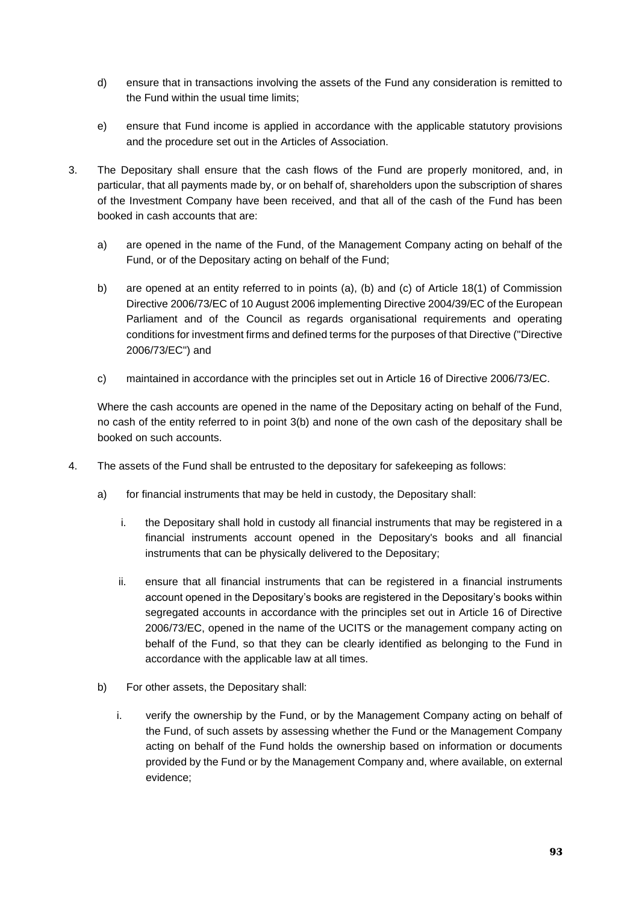- d) ensure that in transactions involving the assets of the Fund any consideration is remitted to the Fund within the usual time limits;
- e) ensure that Fund income is applied in accordance with the applicable statutory provisions and the procedure set out in the Articles of Association.
- 3. The Depositary shall ensure that the cash flows of the Fund are properly monitored, and, in particular, that all payments made by, or on behalf of, shareholders upon the subscription of shares of the Investment Company have been received, and that all of the cash of the Fund has been booked in cash accounts that are:
	- a) are opened in the name of the Fund, of the Management Company acting on behalf of the Fund, or of the Depositary acting on behalf of the Fund;
	- b) are opened at an entity referred to in points (a), (b) and (c) of Article 18(1) of Commission Directive 2006/73/EC of 10 August 2006 implementing Directive 2004/39/EC of the European Parliament and of the Council as regards organisational requirements and operating conditions for investment firms and defined terms for the purposes of that Directive ("Directive 2006/73/EC") and
	- c) maintained in accordance with the principles set out in Article 16 of Directive 2006/73/EC.

Where the cash accounts are opened in the name of the Depositary acting on behalf of the Fund, no cash of the entity referred to in point 3(b) and none of the own cash of the depositary shall be booked on such accounts.

- 4. The assets of the Fund shall be entrusted to the depositary for safekeeping as follows:
	- a) for financial instruments that may be held in custody, the Depositary shall:
		- i. the Depositary shall hold in custody all financial instruments that may be registered in a financial instruments account opened in the Depositary's books and all financial instruments that can be physically delivered to the Depositary;
		- ii. ensure that all financial instruments that can be registered in a financial instruments account opened in the Depositary's books are registered in the Depositary's books within segregated accounts in accordance with the principles set out in Article 16 of Directive 2006/73/EC, opened in the name of the UCITS or the management company acting on behalf of the Fund, so that they can be clearly identified as belonging to the Fund in accordance with the applicable law at all times.
	- b) For other assets, the Depositary shall:
		- i. verify the ownership by the Fund, or by the Management Company acting on behalf of the Fund, of such assets by assessing whether the Fund or the Management Company acting on behalf of the Fund holds the ownership based on information or documents provided by the Fund or by the Management Company and, where available, on external evidence;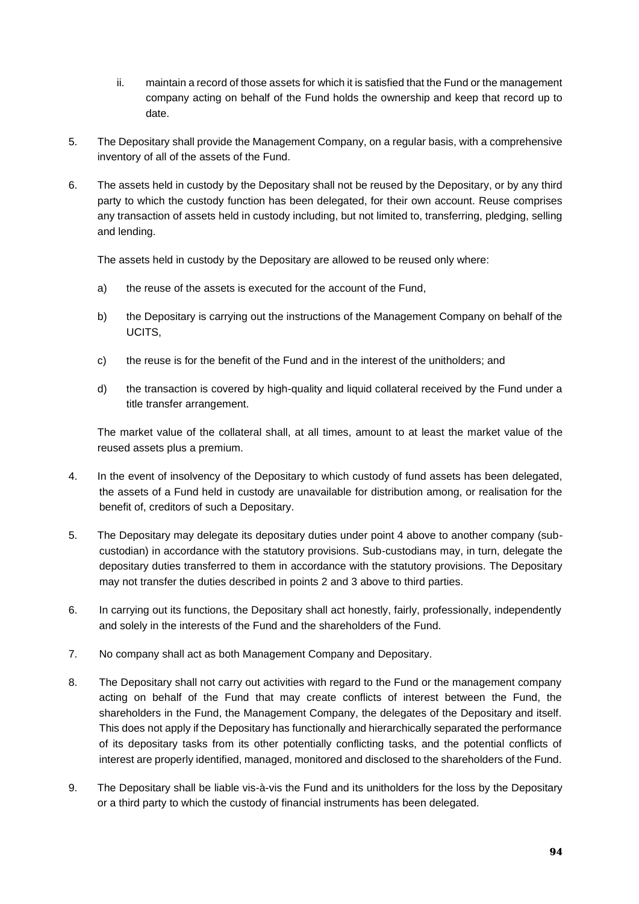- ii. maintain a record of those assets for which it is satisfied that the Fund or the management company acting on behalf of the Fund holds the ownership and keep that record up to date.
- 5. The Depositary shall provide the Management Company, on a regular basis, with a comprehensive inventory of all of the assets of the Fund.
- 6. The assets held in custody by the Depositary shall not be reused by the Depositary, or by any third party to which the custody function has been delegated, for their own account. Reuse comprises any transaction of assets held in custody including, but not limited to, transferring, pledging, selling and lending.

The assets held in custody by the Depositary are allowed to be reused only where:

- a) the reuse of the assets is executed for the account of the Fund,
- b) the Depositary is carrying out the instructions of the Management Company on behalf of the UCITS,
- c) the reuse is for the benefit of the Fund and in the interest of the unitholders; and
- d) the transaction is covered by high-quality and liquid collateral received by the Fund under a title transfer arrangement.

The market value of the collateral shall, at all times, amount to at least the market value of the reused assets plus a premium.

- 4. In the event of insolvency of the Depositary to which custody of fund assets has been delegated, the assets of a Fund held in custody are unavailable for distribution among, or realisation for the benefit of, creditors of such a Depositary.
- 5. The Depositary may delegate its depositary duties under point 4 above to another company (subcustodian) in accordance with the statutory provisions. Sub-custodians may, in turn, delegate the depositary duties transferred to them in accordance with the statutory provisions. The Depositary may not transfer the duties described in points 2 and 3 above to third parties.
- 6. In carrying out its functions, the Depositary shall act honestly, fairly, professionally, independently and solely in the interests of the Fund and the shareholders of the Fund.
- 7. No company shall act as both Management Company and Depositary.
- 8. The Depositary shall not carry out activities with regard to the Fund or the management company acting on behalf of the Fund that may create conflicts of interest between the Fund, the shareholders in the Fund, the Management Company, the delegates of the Depositary and itself. This does not apply if the Depositary has functionally and hierarchically separated the performance of its depositary tasks from its other potentially conflicting tasks, and the potential conflicts of interest are properly identified, managed, monitored and disclosed to the shareholders of the Fund.
- 9. The Depositary shall be liable vis-à-vis the Fund and its unitholders for the loss by the Depositary or a third party to which the custody of financial instruments has been delegated.